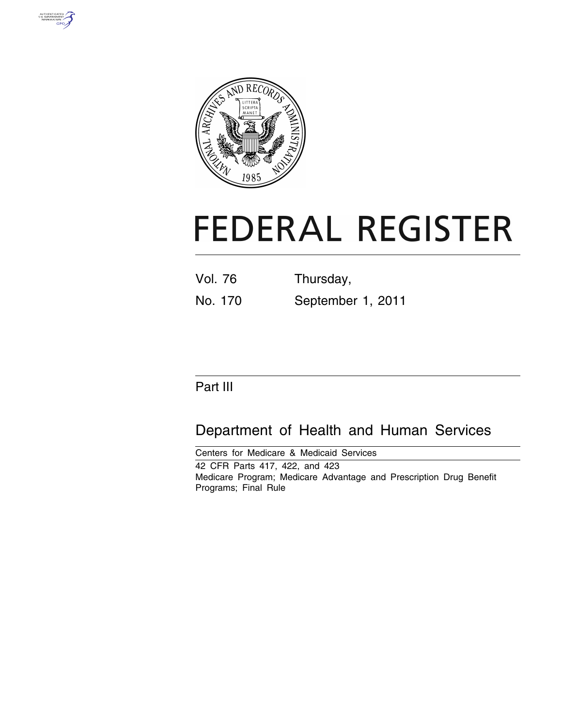



# **FEDERAL REGISTER**

| <b>Vol. 76</b> | Thursday,         |
|----------------|-------------------|
| No. 170        | September 1, 2011 |

# Part III

# Department of Health and Human Services

Centers for Medicare & Medicaid Services 42 CFR Parts 417, 422, and 423 Medicare Program; Medicare Advantage and Prescription Drug Benefit Programs; Final Rule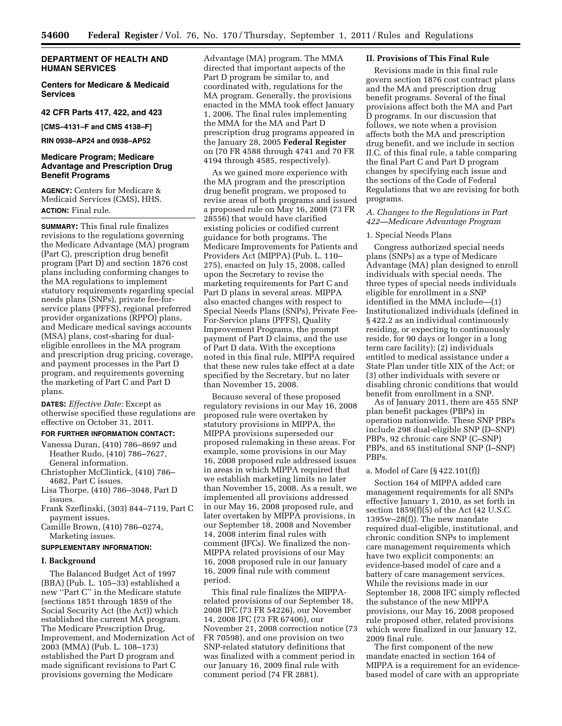# **DEPARTMENT OF HEALTH AND HUMAN SERVICES**

# **Centers for Medicare & Medicaid Services**

#### **42 CFR Parts 417, 422, and 423**

**[CMS–4131–F and CMS 4138–F]** 

# **RIN 0938–AP24 and 0938–AP52**

# **Medicare Program; Medicare Advantage and Prescription Drug Benefit Programs**

**AGENCY:** Centers for Medicare & Medicaid Services (CMS), HHS. **ACTION:** Final rule.

**SUMMARY:** This final rule finalizes revisions to the regulations governing the Medicare Advantage (MA) program (Part C), prescription drug benefit program (Part D) and section 1876 cost plans including conforming changes to the MA regulations to implement statutory requirements regarding special needs plans (SNPs), private fee-forservice plans (PFFS), regional preferred provider organizations (RPPO) plans, and Medicare medical savings accounts (MSA) plans, cost-sharing for dualeligible enrollees in the MA program and prescription drug pricing, coverage, and payment processes in the Part D program, and requirements governing the marketing of Part C and Part D plans.

**DATES:** *Effective Date:* Except as otherwise specified these regulations are effective on October 31, 2011.

## **FOR FURTHER INFORMATION CONTACT:**

- Vanessa Duran, (410) 786–8697 and Heather Rudo, (410) 786–7627, General information.
- Christopher McClintick, (410) 786– 4682, Part C issues.
- Lisa Thorpe, (410) 786–3048, Part D issues.
- Frank Szeflinski, (303) 844–7119, Part C payment issues.
- Camille Brown, (410) 786–0274, Marketing issues.

#### **SUPPLEMENTARY INFORMATION:**

#### **I. Background**

The Balanced Budget Act of 1997 (BBA) (Pub. L. 105–33) established a new ''Part C'' in the Medicare statute (sections 1851 through 1859 of the Social Security Act (the Act)) which established the current MA program. The Medicare Prescription Drug, Improvement, and Modernization Act of 2003 (MMA) (Pub. L. 108–173) established the Part D program and made significant revisions to Part C provisions governing the Medicare

Advantage (MA) program. The MMA directed that important aspects of the Part D program be similar to, and coordinated with, regulations for the MA program. Generally, the provisions enacted in the MMA took effect January 1, 2006. The final rules implementing the MMA for the MA and Part D prescription drug programs appeared in the January 28, 2005 **Federal Register**  on (70 FR 4588 through 4741 and 70 FR 4194 through 4585, respectively).

As we gained more experience with the MA program and the prescription drug benefit program, we proposed to revise areas of both programs and issued a proposed rule on May 16, 2008 (73 FR 28556) that would have clarified existing policies or codified current guidance for both programs. The Medicare Improvements for Patients and Providers Act (MIPPA) (Pub. L. 110– 275), enacted on July 15, 2008, called upon the Secretary to revise the marketing requirements for Part C and Part D plans in several areas. MIPPA also enacted changes with respect to Special Needs Plans (SNPs), Private Fee-For-Service plans (PFFS), Quality Improvement Programs, the prompt payment of Part D claims, and the use of Part D data. With the exceptions noted in this final rule, MIPPA required that these new rules take effect at a date specified by the Secretary, but no later than November 15, 2008.

Because several of these proposed regulatory revisions in our May 16, 2008 proposed rule were overtaken by statutory provisions in MIPPA, the MIPPA provisions superseded our proposed rulemaking in these areas. For example, some provisions in our May 16, 2008 proposed rule addressed issues in areas in which MIPPA required that we establish marketing limits no later than November 15, 2008. As a result, we implemented all provisions addressed in our May 16, 2008 proposed rule, and later overtaken by MIPPA provisions, in our September 18, 2008 and November 14, 2008 interim final rules with comment (IFCs). We finalized the non-MIPPA related provisions of our May 16, 2008 proposed rule in our January 16, 2009 final rule with comment period.

This final rule finalizes the MIPPArelated provisions of our September 18, 2008 IFC (73 FR 54226), our November 14, 2008 IFC (73 FR 67406), our November 21, 2008 correction notice (73 FR 70598), and one provision on two SNP-related statutory definitions that was finalized with a comment period in our January 16, 2009 final rule with comment period (74 FR 2881).

#### **II. Provisions of This Final Rule**

Revisions made in this final rule govern section 1876 cost contract plans and the MA and prescription drug benefit programs. Several of the final provisions affect both the MA and Part D programs. In our discussion that follows, we note when a provision affects both the MA and prescription drug benefit, and we include in section II.C. of this final rule, a table comparing the final Part C and Part D program changes by specifying each issue and the sections of the Code of Federal Regulations that we are revising for both programs.

#### *A. Changes to the Regulations in Part 422—Medicare Advantage Program*

#### 1. Special Needs Plans

Congress authorized special needs plans (SNPs) as a type of Medicare Advantage (MA) plan designed to enroll individuals with special needs. The three types of special needs individuals eligible for enrollment in a SNP identified in the MMA include—(1) Institutionalized individuals (defined in § 422.2 as an individual continuously residing, or expecting to continuously reside, for 90 days or longer in a long term care facility); (2) individuals entitled to medical assistance under a State Plan under title XIX of the Act; or (3) other individuals with severe or disabling chronic conditions that would benefit from enrollment in a SNP.

As of January 2011, there are 455 SNP plan benefit packages (PBPs) in operation nationwide. These SNP PBPs include 298 dual-eligible SNP (D–SNP) PBPs, 92 chronic care SNP (C–SNP) PBPs, and 65 institutional SNP (I–SNP) PBPs.

#### a. Model of Care (§ 422.101(f))

Section 164 of MIPPA added care management requirements for all SNPs effective January 1, 2010, as set forth in section  $1859(f)(5)$  of the Act (42 U.S.C. 1395w–28(f)). The new mandate required dual-eligible, institutional, and chronic condition SNPs to implement care management requirements which have two explicit components: an evidence-based model of care and a battery of care management services. While the revisions made in our September 18, 2008 IFC simply reflected the substance of the new MIPPA provisions, our May 16, 2008 proposed rule proposed other, related provisions which were finalized in our January 12, 2009 final rule.

The first component of the new mandate enacted in section 164 of MIPPA is a requirement for an evidencebased model of care with an appropriate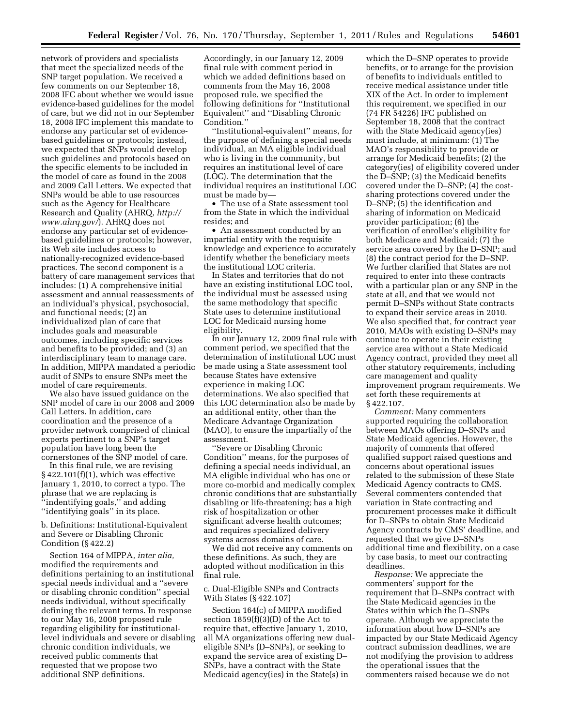network of providers and specialists that meet the specialized needs of the SNP target population. We received a few comments on our September 18, 2008 IFC about whether we would issue evidence-based guidelines for the model of care, but we did not in our September 18, 2008 IFC implement this mandate to endorse any particular set of evidencebased guidelines or protocols; instead, we expected that SNPs would develop such guidelines and protocols based on the specific elements to be included in the model of care as found in the 2008 and 2009 Call Letters. We expected that SNPs would be able to use resources such as the Agency for Healthcare Research and Quality (AHRQ, *[http://](http://www.ahrq.gov/) [www.ahrq.gov/](http://www.ahrq.gov/)*). AHRQ does not endorse any particular set of evidencebased guidelines or protocols; however, its Web site includes access to nationally-recognized evidence-based practices. The second component is a battery of care management services that includes: (1) A comprehensive initial assessment and annual reassessments of an individual's physical, psychosocial, and functional needs; (2) an individualized plan of care that includes goals and measurable outcomes, including specific services and benefits to be provided; and (3) an interdisciplinary team to manage care. In addition, MIPPA mandated a periodic audit of SNPs to ensure SNPs meet the model of care requirements.

We also have issued guidance on the SNP model of care in our 2008 and 2009 Call Letters. In addition, care coordination and the presence of a provider network comprised of clinical experts pertinent to a SNP's target population have long been the cornerstones of the SNP model of care.

In this final rule, we are revising  $§$  422.101(f)(1), which was effective January 1, 2010, to correct a typo. The phrase that we are replacing is ''indentifying goals,'' and adding ''identifying goals'' in its place.

b. Definitions: Institutional-Equivalent and Severe or Disabling Chronic Condition (§ 422.2)

Section 164 of MIPPA, *inter alia,*  modified the requirements and definitions pertaining to an institutional special needs individual and a ''severe or disabling chronic condition'' special needs individual, without specifically defining the relevant terms. In response to our May 16, 2008 proposed rule regarding eligibility for institutionallevel individuals and severe or disabling chronic condition individuals, we received public comments that requested that we propose two additional SNP definitions.

Accordingly, in our January 12, 2009 final rule with comment period in which we added definitions based on comments from the May 16, 2008 proposed rule, we specified the following definitions for ''Institutional Equivalent'' and ''Disabling Chronic Condition.''

'Institutional-equivalent'' means, for the purpose of defining a special needs individual, an MA eligible individual who is living in the community, but requires an institutional level of care (LOC). The determination that the individual requires an institutional LOC must be made by—

• The use of a State assessment tool from the State in which the individual resides; and

• An assessment conducted by an impartial entity with the requisite knowledge and experience to accurately identify whether the beneficiary meets the institutional LOC criteria.

In States and territories that do not have an existing institutional LOC tool, the individual must be assessed using the same methodology that specific State uses to determine institutional LOC for Medicaid nursing home eligibility.

In our January 12, 2009 final rule with comment period, we specified that the determination of institutional LOC must be made using a State assessment tool because States have extensive experience in making LOC determinations. We also specified that this LOC determination also be made by an additional entity, other than the Medicare Advantage Organization (MAO), to ensure the impartially of the assessment.

''Severe or Disabling Chronic Condition'' means, for the purposes of defining a special needs individual, an MA eligible individual who has one or more co-morbid and medically complex chronic conditions that are substantially disabling or life-threatening; has a high risk of hospitalization or other significant adverse health outcomes; and requires specialized delivery systems across domains of care.

We did not receive any comments on these definitions. As such, they are adopted without modification in this final rule.

# c. Dual-Eligible SNPs and Contracts With States (§ 422.107)

Section 164(c) of MIPPA modified section 1859(f)(3)(D) of the Act to require that, effective January 1, 2010, all MA organizations offering new dualeligible SNPs (D–SNPs), or seeking to expand the service area of existing D– SNPs, have a contract with the State Medicaid agency(ies) in the State(s) in

which the D–SNP operates to provide benefits, or to arrange for the provision of benefits to individuals entitled to receive medical assistance under title XIX of the Act. In order to implement this requirement, we specified in our (74 FR 54226) IFC published on September 18, 2008 that the contract with the State Medicaid agency(ies) must include, at minimum: (1) The MAO's responsibility to provide or arrange for Medicaid benefits; (2) the category(ies) of eligibility covered under the D–SNP; (3) the Medicaid benefits covered under the D–SNP; (4) the costsharing protections covered under the D–SNP; (5) the identification and sharing of information on Medicaid provider participation; (6) the verification of enrollee's eligibility for both Medicare and Medicaid; (7) the service area covered by the D–SNP; and (8) the contract period for the D–SNP. We further clarified that States are not required to enter into these contracts with a particular plan or any SNP in the state at all, and that we would not permit D–SNPs without State contracts to expand their service areas in 2010. We also specified that, for contract year 2010, MAOs with existing D–SNPs may continue to operate in their existing service area without a State Medicaid Agency contract, provided they meet all other statutory requirements, including care management and quality improvement program requirements. We set forth these requirements at § 422.107.

*Comment:* Many commenters supported requiring the collaboration between MAOs offering D–SNPs and State Medicaid agencies. However, the majority of comments that offered qualified support raised questions and concerns about operational issues related to the submission of these State Medicaid Agency contracts to CMS. Several commenters contended that variation in State contracting and procurement processes make it difficult for D–SNPs to obtain State Medicaid Agency contracts by CMS' deadline, and requested that we give D–SNPs additional time and flexibility, on a case by case basis, to meet our contracting deadlines.

*Response:* We appreciate the commenters' support for the requirement that D–SNPs contract with the State Medicaid agencies in the States within which the D–SNPs operate. Although we appreciate the information about how D–SNPs are impacted by our State Medicaid Agency contract submission deadlines, we are not modifying the provision to address the operational issues that the commenters raised because we do not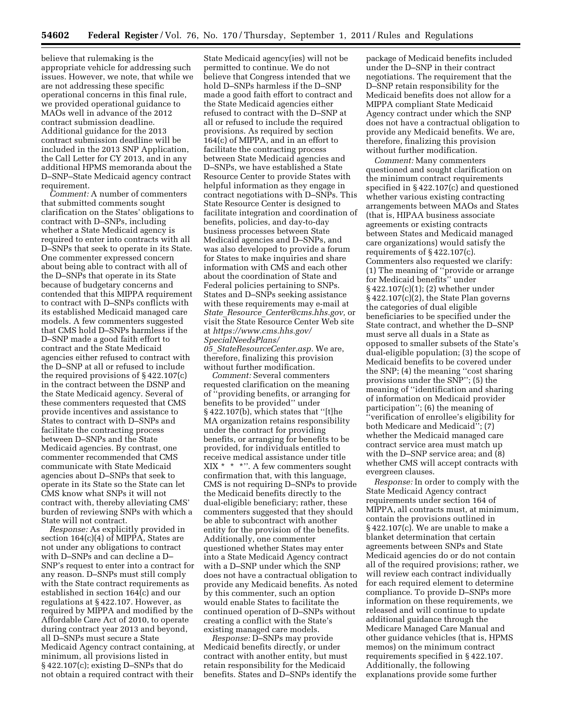believe that rulemaking is the appropriate vehicle for addressing such issues. However, we note, that while we are not addressing these specific operational concerns in this final rule, we provided operational guidance to MAOs well in advance of the 2012 contract submission deadline. Additional guidance for the 2013 contract submission deadline will be included in the 2013 SNP Application, the Call Letter for CY 2013, and in any additional HPMS memoranda about the D–SNP–State Medicaid agency contract requirement.

*Comment:* A number of commenters that submitted comments sought clarification on the States' obligations to contract with D–SNPs, including whether a State Medicaid agency is required to enter into contracts with all D–SNPs that seek to operate in its State. One commenter expressed concern about being able to contract with all of the D–SNPs that operate in its State because of budgetary concerns and contended that this MIPPA requirement to contract with D–SNPs conflicts with its established Medicaid managed care models. A few commenters suggested that CMS hold D–SNPs harmless if the D–SNP made a good faith effort to contract and the State Medicaid agencies either refused to contract with the D–SNP at all or refused to include the required provisions of § 422.107(c) in the contract between the DSNP and the State Medicaid agency. Several of these commenters requested that CMS provide incentives and assistance to States to contract with D–SNPs and facilitate the contracting process between D–SNPs and the State Medicaid agencies. By contrast, one commenter recommended that CMS communicate with State Medicaid agencies about D–SNPs that seek to operate in its State so the State can let CMS know what SNPs it will not contract with, thereby alleviating CMS' burden of reviewing SNPs with which a State will not contract.

*Response:* As explicitly provided in section 164(c)(4) of MIPPA, States are not under any obligations to contract with D–SNPs and can decline a D– SNP's request to enter into a contract for any reason. D–SNPs must still comply with the State contract requirements as established in section 164(c) and our regulations at § 422.107. However, as required by MIPPA and modified by the Affordable Care Act of 2010, to operate during contract year 2013 and beyond, all D–SNPs must secure a State Medicaid Agency contract containing, at minimum, all provisions listed in § 422.107(c); existing D–SNPs that do not obtain a required contract with their

State Medicaid agency(ies) will not be permitted to continue. We do not believe that Congress intended that we hold D–SNPs harmless if the D–SNP made a good faith effort to contract and the State Medicaid agencies either refused to contract with the D–SNP at all or refused to include the required provisions. As required by section 164(c) of MIPPA, and in an effort to facilitate the contracting process between State Medicaid agencies and D–SNPs, we have established a State Resource Center to provide States with helpful information as they engage in contract negotiations with D–SNPs. This State Resource Center is designed to facilitate integration and coordination of benefits, policies, and day-to-day business processes between State Medicaid agencies and D–SNPs, and was also developed to provide a forum for States to make inquiries and share information with CMS and each other about the coordination of State and Federal policies pertaining to SNPs. States and D–SNPs seeking assistance with these requirements may e-mail at *State*\_*Resource*\_*[Center@cms.hhs.gov,](mailto:State_Resource_Center@cms.hhs.gov)* or visit the State Resource Center Web site at *[https://www.cms.hhs.gov/](https://www.cms.hhs.gov/SpecialNeedsPlans/05_StateResourceCenter.asp)  [SpecialNeedsPlans/](https://www.cms.hhs.gov/SpecialNeedsPlans/05_StateResourceCenter.asp)* 

*05*\_*[StateResourceCenter.asp.](https://www.cms.hhs.gov/SpecialNeedsPlans/05_StateResourceCenter.asp)* We are, therefore, finalizing this provision without further modification.

*Comment:* Several commenters requested clarification on the meaning of ''providing benefits, or arranging for benefits to be provided'' under § 422.107(b), which states that ''[t]he MA organization retains responsibility under the contract for providing benefits, or arranging for benefits to be provided, for individuals entitled to receive medical assistance under title  $XIX * * "$ . A few commenters sought confirmation that, with this language, CMS is not requiring D–SNPs to provide the Medicaid benefits directly to the dual-eligible beneficiary; rather, these commenters suggested that they should be able to subcontract with another entity for the provision of the benefits. Additionally, one commenter questioned whether States may enter into a State Medicaid Agency contract with a D–SNP under which the SNP does not have a contractual obligation to provide any Medicaid benefits. As noted by this commenter, such an option would enable States to facilitate the continued operation of D–SNPs without creating a conflict with the State's existing managed care models.

*Response:* D–SNPs may provide Medicaid benefits directly, or under contract with another entity, but must retain responsibility for the Medicaid benefits. States and D–SNPs identify the

package of Medicaid benefits included under the D–SNP in their contract negotiations. The requirement that the D–SNP retain responsibility for the Medicaid benefits does not allow for a MIPPA compliant State Medicaid Agency contract under which the SNP does not have a contractual obligation to provide any Medicaid benefits. We are, therefore, finalizing this provision without further modification.

*Comment:* Many commenters questioned and sought clarification on the minimum contract requirements specified in § 422.107(c) and questioned whether various existing contracting arrangements between MAOs and States (that is, HIPAA business associate agreements or existing contracts between States and Medicaid managed care organizations) would satisfy the requirements of § 422.107(c). Commenters also requested we clarify: (1) The meaning of ''provide or arrange for Medicaid benefits'' under § 422.107(c)(1); (2) whether under § 422.107(c)(2), the State Plan governs the categories of dual eligible beneficiaries to be specified under the State contract, and whether the D–SNP must serve all duals in a State as opposed to smaller subsets of the State's dual-eligible population; (3) the scope of Medicaid benefits to be covered under the SNP; (4) the meaning ''cost sharing provisions under the SNP''; (5) the meaning of ''identification and sharing of information on Medicaid provider participation''; (6) the meaning of ''verification of enrollee's eligibility for both Medicare and Medicaid''; (7) whether the Medicaid managed care contract service area must match up with the D–SNP service area; and (8) whether CMS will accept contracts with evergreen clauses.

*Response:* In order to comply with the State Medicaid Agency contract requirements under section 164 of MIPPA, all contracts must, at minimum, contain the provisions outlined in § 422.107(c). We are unable to make a blanket determination that certain agreements between SNPs and State Medicaid agencies do or do not contain all of the required provisions; rather, we will review each contract individually for each required element to determine compliance. To provide D–SNPs more information on these requirements, we released and will continue to update additional guidance through the Medicare Managed Care Manual and other guidance vehicles (that is, HPMS memos) on the minimum contract requirements specified in § 422.107. Additionally, the following explanations provide some further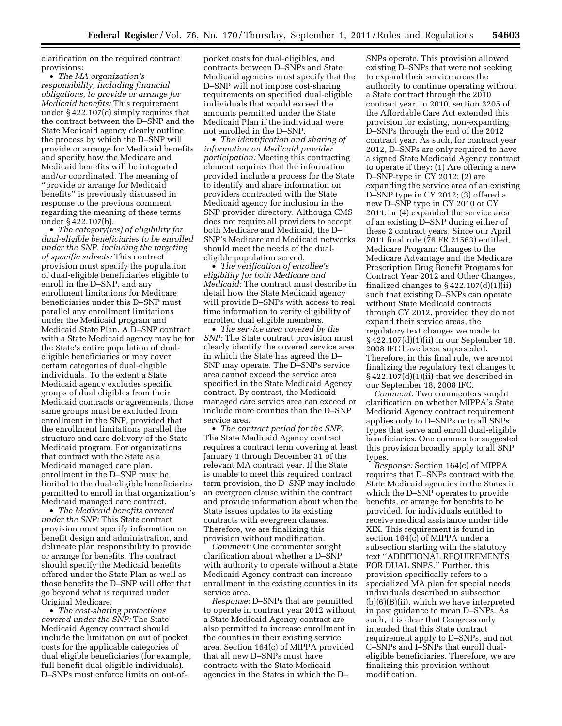clarification on the required contract provisions:

• *The MA organization's responsibility, including financial obligations, to provide or arrange for Medicaid benefits:* This requirement under § 422.107(c) simply requires that the contract between the D–SNP and the State Medicaid agency clearly outline the process by which the D–SNP will provide or arrange for Medicaid benefits and specify how the Medicare and Medicaid benefits will be integrated and/or coordinated. The meaning of ''provide or arrange for Medicaid benefits'' is previously discussed in response to the previous comment regarding the meaning of these terms under § 422.107(b).

• *The category(ies) of eligibility for dual-eligible beneficiaries to be enrolled under the SNP, including the targeting of specific subsets:* This contract provision must specify the population of dual-eligible beneficiaries eligible to enroll in the D–SNP, and any enrollment limitations for Medicare beneficiaries under this D–SNP must parallel any enrollment limitations under the Medicaid program and Medicaid State Plan. A D–SNP contract with a State Medicaid agency may be for the State's entire population of dualeligible beneficiaries or may cover certain categories of dual-eligible individuals. To the extent a State Medicaid agency excludes specific groups of dual eligibles from their Medicaid contracts or agreements, those same groups must be excluded from enrollment in the SNP, provided that the enrollment limitations parallel the structure and care delivery of the State Medicaid program. For organizations that contract with the State as a Medicaid managed care plan, enrollment in the D–SNP must be limited to the dual-eligible beneficiaries permitted to enroll in that organization's Medicaid managed care contract.

• *The Medicaid benefits covered under the SNP:* This State contract provision must specify information on benefit design and administration, and delineate plan responsibility to provide or arrange for benefits. The contract should specify the Medicaid benefits offered under the State Plan as well as those benefits the D–SNP will offer that go beyond what is required under Original Medicare.

• *The cost-sharing protections covered under the SNP:* The State Medicaid Agency contract should include the limitation on out of pocket costs for the applicable categories of dual eligible beneficiaries (for example, full benefit dual-eligible individuals). D–SNPs must enforce limits on out-of-

pocket costs for dual-eligibles, and contracts between D–SNPs and State Medicaid agencies must specify that the D–SNP will not impose cost-sharing requirements on specified dual-eligible individuals that would exceed the amounts permitted under the State Medicaid Plan if the individual were not enrolled in the D–SNP.

• *The identification and sharing of information on Medicaid provider participation:* Meeting this contracting element requires that the information provided include a process for the State to identify and share information on providers contracted with the State Medicaid agency for inclusion in the SNP provider directory. Although CMS does not require all providers to accept both Medicare and Medicaid, the D– SNP's Medicare and Medicaid networks should meet the needs of the dualeligible population served.

• *The verification of enrollee's eligibility for both Medicare and Medicaid:* The contract must describe in detail how the State Medicaid agency will provide D–SNPs with access to real time information to verify eligibility of enrolled dual eligible members.

• *The service area covered by the SNP:* The State contract provision must clearly identify the covered service area in which the State has agreed the D– SNP may operate. The D–SNPs service area cannot exceed the service area specified in the State Medicaid Agency contract. By contrast, the Medicaid managed care service area can exceed or include more counties than the D–SNP service area.

• *The contract period for the SNP:*  The State Medicaid Agency contract requires a contract term covering at least January 1 through December 31 of the relevant MA contract year. If the State is unable to meet this required contract term provision, the D–SNP may include an evergreen clause within the contract and provide information about when the State issues updates to its existing contracts with evergreen clauses. Therefore, we are finalizing this provision without modification.

*Comment:* One commenter sought clarification about whether a D–SNP with authority to operate without a State Medicaid Agency contract can increase enrollment in the existing counties in its service area.

*Response:* D–SNPs that are permitted to operate in contract year 2012 without a State Medicaid Agency contract are also permitted to increase enrollment in the counties in their existing service area. Section 164(c) of MIPPA provided that all new D–SNPs must have contracts with the State Medicaid agencies in the States in which the D–

SNPs operate. This provision allowed existing D–SNPs that were not seeking to expand their service areas the authority to continue operating without a State contract through the 2010 contract year. In 2010, section 3205 of the Affordable Care Act extended this provision for existing, non-expanding D–SNPs through the end of the 2012 contract year. As such, for contract year 2012, D–SNPs are only required to have a signed State Medicaid Agency contract to operate if they: (1) Are offering a new D–SNP-type in CY 2012; (2) are expanding the service area of an existing D–SNP type in CY 2012; (3) offered a new D–SNP type in CY 2010 or CY 2011; or (4) expanded the service area of an existing D–SNP during either of these 2 contract years. Since our April 2011 final rule (76 FR 21563) entitled, Medicare Program: Changes to the Medicare Advantage and the Medicare Prescription Drug Benefit Programs for Contract Year 2012 and Other Changes, finalized changes to  $\S 422.107(d)(1)(ii)$ such that existing D–SNPs can operate without State Medicaid contracts through CY 2012, provided they do not expand their service areas, the regulatory text changes we made to § 422.107(d)(1)(ii) in our September 18, 2008 IFC have been superseded. Therefore, in this final rule, we are not finalizing the regulatory text changes to § 422.107(d)(1)(ii) that we described in our September 18, 2008 IFC.

*Comment:* Two commenters sought clarification on whether MIPPA's State Medicaid Agency contract requirement applies only to D–SNPs or to all SNPs types that serve and enroll dual-eligible beneficiaries. One commenter suggested this provision broadly apply to all SNP types.

*Response:* Section 164(c) of MIPPA requires that D–SNPs contract with the State Medicaid agencies in the States in which the D–SNP operates to provide benefits, or arrange for benefits to be provided, for individuals entitled to receive medical assistance under title XIX. This requirement is found in section 164(c) of MIPPA under a subsection starting with the statutory text ''ADDITIONAL REQUIREMENTS FOR DUAL SNPS.'' Further, this provision specifically refers to a specialized MA plan for special needs individuals described in subsection (b)(6)(B)(ii), which we have interpreted in past guidance to mean D–SNPs. As such, it is clear that Congress only intended that this State contract requirement apply to D–SNPs, and not C–SNPs and I–SNPs that enroll dualeligible beneficiaries. Therefore, we are finalizing this provision without modification.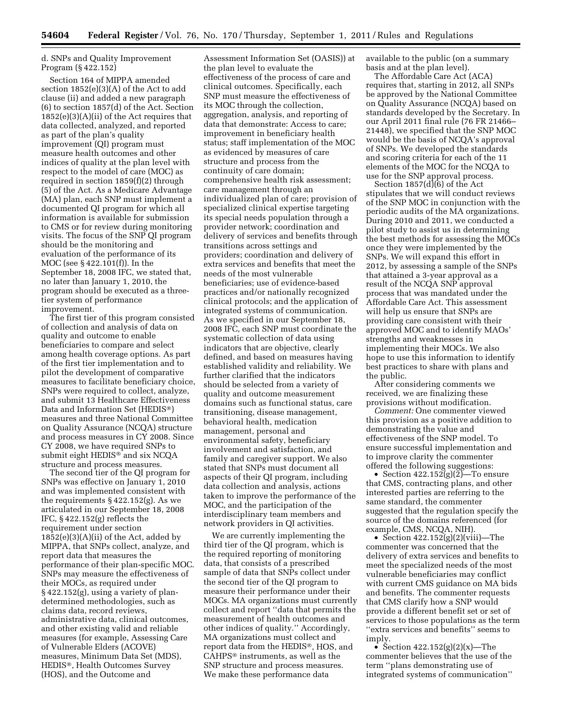# d. SNPs and Quality Improvement Program (§ 422.152)

Section 164 of MIPPA amended section 1852(e)(3)(A) of the Act to add clause (ii) and added a new paragraph (6) to section 1857(d) of the Act. Section 1852(e)(3)(A)(ii) of the Act requires that data collected, analyzed, and reported as part of the plan's quality improvement (QI) program must measure health outcomes and other indices of quality at the plan level with respect to the model of care (MOC) as required in section 1859(f)(2) through (5) of the Act. As a Medicare Advantage (MA) plan, each SNP must implement a documented QI program for which all information is available for submission to CMS or for review during monitoring visits. The focus of the SNP QI program should be the monitoring and evaluation of the performance of its MOC (see § 422.101(f)). In the September 18, 2008 IFC, we stated that, no later than January 1, 2010, the program should be executed as a threetier system of performance improvement.

The first tier of this program consisted of collection and analysis of data on quality and outcome to enable beneficiaries to compare and select among health coverage options. As part of the first tier implementation and to pilot the development of comparative measures to facilitate beneficiary choice, SNPs were required to collect, analyze, and submit 13 Healthcare Effectiveness Data and Information Set (HEDIS®) measures and three National Committee on Quality Assurance (NCQA) structure and process measures in CY 2008. Since CY 2008, we have required SNPs to submit eight HEDIS® and six NCQA structure and process measures.

The second tier of the QI program for SNPs was effective on January 1, 2010 and was implemented consistent with the requirements  $\S 422.152(g)$ . As we articulated in our September 18, 2008 IFC, § 422.152(g) reflects the requirement under section  $1852(e)(3)(A)(ii)$  of the Act, added by MIPPA, that SNPs collect, analyze, and report data that measures the performance of their plan-specific MOC. SNPs may measure the effectiveness of their MOCs, as required under  $\S$  422.152(g), using a variety of plandetermined methodologies, such as claims data, record reviews, administrative data, clinical outcomes, and other existing valid and reliable measures (for example, Assessing Care of Vulnerable Elders (ACOVE) measures, Minimum Data Set (MDS), HEDIS®, Health Outcomes Survey (HOS), and the Outcome and

Assessment Information Set (OASIS)) at the plan level to evaluate the effectiveness of the process of care and clinical outcomes. Specifically, each SNP must measure the effectiveness of its MOC through the collection, aggregation, analysis, and reporting of data that demonstrate: Access to care; improvement in beneficiary health status; staff implementation of the MOC as evidenced by measures of care structure and process from the continuity of care domain; comprehensive health risk assessment; care management through an individualized plan of care; provision of specialized clinical expertise targeting its special needs population through a provider network; coordination and delivery of services and benefits through transitions across settings and providers; coordination and delivery of extra services and benefits that meet the needs of the most vulnerable beneficiaries; use of evidence-based practices and/or nationally recognized clinical protocols; and the application of integrated systems of communication. As we specified in our September 18, 2008 IFC, each SNP must coordinate the systematic collection of data using indicators that are objective, clearly defined, and based on measures having established validity and reliability. We further clarified that the indicators should be selected from a variety of quality and outcome measurement domains such as functional status, care transitioning, disease management, behavioral health, medication management, personal and environmental safety, beneficiary involvement and satisfaction, and family and caregiver support. We also stated that SNPs must document all aspects of their QI program, including data collection and analysis, actions taken to improve the performance of the MOC, and the participation of the interdisciplinary team members and network providers in QI activities.

We are currently implementing the third tier of the QI program, which is the required reporting of monitoring data, that consists of a prescribed sample of data that SNPs collect under the second tier of the QI program to measure their performance under their MOCs. MA organizations must currently collect and report ''data that permits the measurement of health outcomes and other indices of quality.'' Accordingly, MA organizations must collect and report data from the HEDIS®, HOS, and CAHPS® instruments, as well as the SNP structure and process measures. We make these performance data

available to the public (on a summary basis and at the plan level).

The Affordable Care Act (ACA) requires that, starting in 2012, all SNPs be approved by the National Committee on Quality Assurance (NCQA) based on standards developed by the Secretary. In our April 2011 final rule (76 FR 21466– 21448), we specified that the SNP MOC would be the basis of NCQA's approval of SNPs. We developed the standards and scoring criteria for each of the 11 elements of the MOC for the NCQA to use for the SNP approval process.

Section 1857(d)(6) of the Act stipulates that we will conduct reviews of the SNP MOC in conjunction with the periodic audits of the MA organizations. During 2010 and 2011, we conducted a pilot study to assist us in determining the best methods for assessing the MOCs once they were implemented by the SNPs. We will expand this effort in 2012, by assessing a sample of the SNPs that attained a 3-year approval as a result of the NCQA SNP approval process that was mandated under the Affordable Care Act. This assessment will help us ensure that SNPs are providing care consistent with their approved MOC and to identify MAOs' strengths and weaknesses in implementing their MOCs. We also hope to use this information to identify best practices to share with plans and the public.

After considering comments we received, we are finalizing these provisions without modification.

*Comment:* One commenter viewed this provision as a positive addition to demonstrating the value and effectiveness of the SNP model. To ensure successful implementation and to improve clarity the commenter offered the following suggestions:

• Section  $422.152(g)(\tilde{2})$ —To ensure that CMS, contracting plans, and other interested parties are referring to the same standard, the commenter suggested that the regulation specify the source of the domains referenced (for example, CMS, NCQA, NIH).

• Section  $422.152(g)(2)(viii)$ —The commenter was concerned that the delivery of extra services and benefits to meet the specialized needs of the most vulnerable beneficiaries may conflict with current CMS guidance on MA bids and benefits. The commenter requests that CMS clarify how a SNP would provide a different benefit set or set of services to those populations as the term ''extra services and benefits'' seems to imply.

• Section  $422.152(g)(2)(x)$ —The commenter believes that the use of the term ''plans demonstrating use of integrated systems of communication''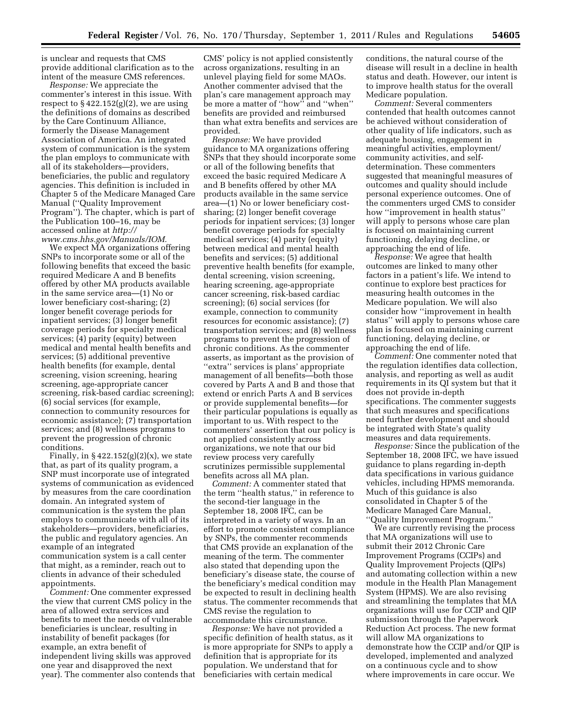is unclear and requests that CMS provide additional clarification as to the intent of the measure CMS references.

*Response:* We appreciate the commenter's interest in this issue. With respect to  $\S 422.152(g)(2)$ , we are using the definitions of domains as described by the Care Continuum Alliance, formerly the Disease Management Association of America. An integrated system of communication is the system the plan employs to communicate with all of its stakeholders—providers, beneficiaries, the public and regulatory agencies. This definition is included in Chapter 5 of the Medicare Managed Care Manual (''Quality Improvement Program''). The chapter, which is part of the Publication 100–16, may be accessed online at *[http://](http://www.cms.hhs.gov/Manuals/IOM)  [www.cms.hhs.gov/Manuals/IOM.](http://www.cms.hhs.gov/Manuals/IOM)* 

We expect MA organizations offering SNPs to incorporate some or all of the following benefits that exceed the basic required Medicare A and B benefits offered by other MA products available in the same service area—(1) No or lower beneficiary cost-sharing; (2) longer benefit coverage periods for inpatient services; (3) longer benefit coverage periods for specialty medical services; (4) parity (equity) between medical and mental health benefits and services; (5) additional preventive health benefits (for example, dental screening, vision screening, hearing screening, age-appropriate cancer screening, risk-based cardiac screening); (6) social services (for example, connection to community resources for economic assistance); (7) transportation services; and (8) wellness programs to prevent the progression of chronic conditions.

Finally, in  $\S 422.152(g)(2)(x)$ , we state that, as part of its quality program, a SNP must incorporate use of integrated systems of communication as evidenced by measures from the care coordination domain. An integrated system of communication is the system the plan employs to communicate with all of its stakeholders—providers, beneficiaries, the public and regulatory agencies. An example of an integrated communication system is a call center that might, as a reminder, reach out to clients in advance of their scheduled appointments.

*Comment:* One commenter expressed the view that current CMS policy in the area of allowed extra services and benefits to meet the needs of vulnerable beneficiaries is unclear, resulting in instability of benefit packages (for example, an extra benefit of independent living skills was approved one year and disapproved the next year). The commenter also contends that

CMS' policy is not applied consistently across organizations, resulting in an unlevel playing field for some MAOs. Another commenter advised that the plan's care management approach may be more a matter of ''how'' and ''when'' benefits are provided and reimbursed than what extra benefits and services are provided.

*Response:* We have provided guidance to MA organizations offering SNPs that they should incorporate some or all of the following benefits that exceed the basic required Medicare A and B benefits offered by other MA products available in the same service area—(1) No or lower beneficiary costsharing; (2) longer benefit coverage periods for inpatient services; (3) longer benefit coverage periods for specialty medical services; (4) parity (equity) between medical and mental health benefits and services; (5) additional preventive health benefits (for example, dental screening, vision screening, hearing screening, age-appropriate cancer screening, risk-based cardiac screening); (6) social services (for example, connection to community resources for economic assistance); (7) transportation services; and (8) wellness programs to prevent the progression of chronic conditions. As the commenter asserts, as important as the provision of "extra" services is plans' appropriate management of all benefits—both those covered by Parts A and B and those that extend or enrich Parts A and B services or provide supplemental benefits—for their particular populations is equally as important to us. With respect to the commenters' assertion that our policy is not applied consistently across organizations, we note that our bid review process very carefully scrutinizes permissible supplemental benefits across all MA plan.

*Comment:* A commenter stated that the term ''health status,'' in reference to the second-tier language in the September 18, 2008 IFC, can be interpreted in a variety of ways. In an effort to promote consistent compliance by SNPs, the commenter recommends that CMS provide an explanation of the meaning of the term. The commenter also stated that depending upon the beneficiary's disease state, the course of the beneficiary's medical condition may be expected to result in declining health status. The commenter recommends that CMS revise the regulation to accommodate this circumstance.

*Response:* We have not provided a specific definition of health status, as it is more appropriate for SNPs to apply a definition that is appropriate for its population. We understand that for beneficiaries with certain medical

conditions, the natural course of the disease will result in a decline in health status and death. However, our intent is to improve health status for the overall Medicare population.

*Comment:* Several commenters contended that health outcomes cannot be achieved without consideration of other quality of life indicators, such as adequate housing, engagement in meaningful activities, employment/ community activities, and selfdetermination. These commenters suggested that meaningful measures of outcomes and quality should include personal experience outcomes. One of the commenters urged CMS to consider how ''improvement in health status'' will apply to persons whose care plan is focused on maintaining current functioning, delaying decline, or approaching the end of life.

*Response:* We agree that health outcomes are linked to many other factors in a patient's life. We intend to continue to explore best practices for measuring health outcomes in the Medicare population. We will also consider how ''improvement in health status'' will apply to persons whose care plan is focused on maintaining current functioning, delaying decline, or approaching the end of life.

*Comment:* One commenter noted that the regulation identifies data collection, analysis, and reporting as well as audit requirements in its QI system but that it does not provide in-depth specifications. The commenter suggests that such measures and specifications need further development and should be integrated with State's quality measures and data requirements.

*Response:* Since the publication of the September 18, 2008 IFC, we have issued guidance to plans regarding in-depth data specifications in various guidance vehicles, including HPMS memoranda. Much of this guidance is also consolidated in Chapter 5 of the Medicare Managed Care Manual, ''Quality Improvement Program.''

We are currently revising the process that MA organizations will use to submit their 2012 Chronic Care Improvement Programs (CCIPs) and Quality Improvement Projects (QIPs) and automating collection within a new module in the Health Plan Management System (HPMS). We are also revising and streamlining the templates that MA organizations will use for CCIP and QIP submission through the Paperwork Reduction Act process. The new format will allow MA organizations to demonstrate how the CCIP and/or QIP is developed, implemented and analyzed on a continuous cycle and to show where improvements in care occur. We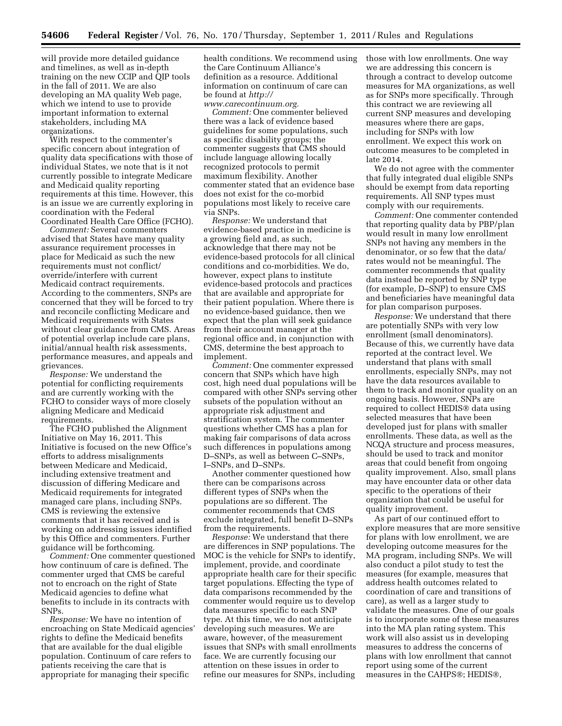will provide more detailed guidance and timelines, as well as in-depth training on the new CCIP and QIP tools in the fall of 2011. We are also developing an MA quality Web page, which we intend to use to provide important information to external stakeholders, including MA organizations.

With respect to the commenter's specific concern about integration of quality data specifications with those of individual States, we note that is it not currently possible to integrate Medicare and Medicaid quality reporting requirements at this time. However, this is an issue we are currently exploring in coordination with the Federal Coordinated Health Care Office (FCHO).

*Comment:* Several commenters advised that States have many quality assurance requirement processes in place for Medicaid as such the new requirements must not conflict/ override/interfere with current Medicaid contract requirements. According to the commenters, SNPs are concerned that they will be forced to try and reconcile conflicting Medicare and Medicaid requirements with States without clear guidance from CMS. Areas of potential overlap include care plans, initial/annual health risk assessments, performance measures, and appeals and grievances.

*Response:* We understand the potential for conflicting requirements and are currently working with the FCHO to consider ways of more closely aligning Medicare and Medicaid requirements.

The FCHO published the Alignment Initiative on May 16, 2011. This Initiative is focused on the new Office's efforts to address misalignments between Medicare and Medicaid, including extensive treatment and discussion of differing Medicare and Medicaid requirements for integrated managed care plans, including SNPs. CMS is reviewing the extensive comments that it has received and is working on addressing issues identified by this Office and commenters. Further guidance will be forthcoming.

*Comment:* One commenter questioned how continuum of care is defined. The commenter urged that CMS be careful not to encroach on the right of State Medicaid agencies to define what benefits to include in its contracts with SNPs.

*Response:* We have no intention of encroaching on State Medicaid agencies' rights to define the Medicaid benefits that are available for the dual eligible population. Continuum of care refers to patients receiving the care that is appropriate for managing their specific

health conditions. We recommend using the Care Continuum Alliance's definition as a resource. Additional information on continuum of care can be found at *[http://](http://www.carecontinuum.org) [www.carecontinuum.org.](http://www.carecontinuum.org)* 

*Comment:* One commenter believed there was a lack of evidence based guidelines for some populations, such as specific disability groups; the commenter suggests that CMS should include language allowing locally recognized protocols to permit maximum flexibility. Another commenter stated that an evidence base does not exist for the co-morbid populations most likely to receive care via SNPs.

*Response:* We understand that evidence-based practice in medicine is a growing field and, as such, acknowledge that there may not be evidence-based protocols for all clinical conditions and co-morbidities. We do, however, expect plans to institute evidence-based protocols and practices that are available and appropriate for their patient population. Where there is no evidence-based guidance, then we expect that the plan will seek guidance from their account manager at the regional office and, in conjunction with CMS, determine the best approach to implement.

*Comment:* One commenter expressed concern that SNPs which have high cost, high need dual populations will be compared with other SNPs serving other subsets of the population without an appropriate risk adjustment and stratification system. The commenter questions whether CMS has a plan for making fair comparisons of data across such differences in populations among D–SNPs, as well as between C–SNPs, I–SNPs, and D–SNPs.

Another commenter questioned how there can be comparisons across different types of SNPs when the populations are so different. The commenter recommends that CMS exclude integrated, full benefit D–SNPs from the requirements.

*Response:* We understand that there are differences in SNP populations. The MOC is the vehicle for SNPs to identify, implement, provide, and coordinate appropriate health care for their specific target populations. Effecting the type of data comparisons recommended by the commenter would require us to develop data measures specific to each SNP type. At this time, we do not anticipate developing such measures. We are aware, however, of the measurement issues that SNPs with small enrollments face. We are currently focusing our attention on these issues in order to refine our measures for SNPs, including

those with low enrollments. One way we are addressing this concern is through a contract to develop outcome measures for MA organizations, as well as for SNPs more specifically. Through this contract we are reviewing all current SNP measures and developing measures where there are gaps, including for SNPs with low enrollment. We expect this work on outcome measures to be completed in late 2014.

We do not agree with the commenter that fully integrated dual eligible SNPs should be exempt from data reporting requirements. All SNP types must comply with our requirements.

*Comment:* One commenter contended that reporting quality data by PBP/plan would result in many low enrollment SNPs not having any members in the denominator, or so few that the data/ rates would not be meaningful. The commenter recommends that quality data instead be reported by SNP type (for example, D–SNP) to ensure CMS and beneficiaries have meaningful data for plan comparison purposes.

*Response:* We understand that there are potentially SNPs with very low enrollment (small denominators). Because of this, we currently have data reported at the contract level. We understand that plans with small enrollments, especially SNPs, may not have the data resources available to them to track and monitor quality on an ongoing basis. However, SNPs are required to collect HEDIS® data using selected measures that have been developed just for plans with smaller enrollments. These data, as well as the NCQA structure and process measures, should be used to track and monitor areas that could benefit from ongoing quality improvement. Also, small plans may have encounter data or other data specific to the operations of their organization that could be useful for quality improvement.

As part of our continued effort to explore measures that are more sensitive for plans with low enrollment, we are developing outcome measures for the MA program, including SNPs. We will also conduct a pilot study to test the measures (for example, measures that address health outcomes related to coordination of care and transitions of care), as well as a larger study to validate the measures. One of our goals is to incorporate some of these measures into the MA plan rating system. This work will also assist us in developing measures to address the concerns of plans with low enrollment that cannot report using some of the current measures in the CAHPS®; HEDIS®,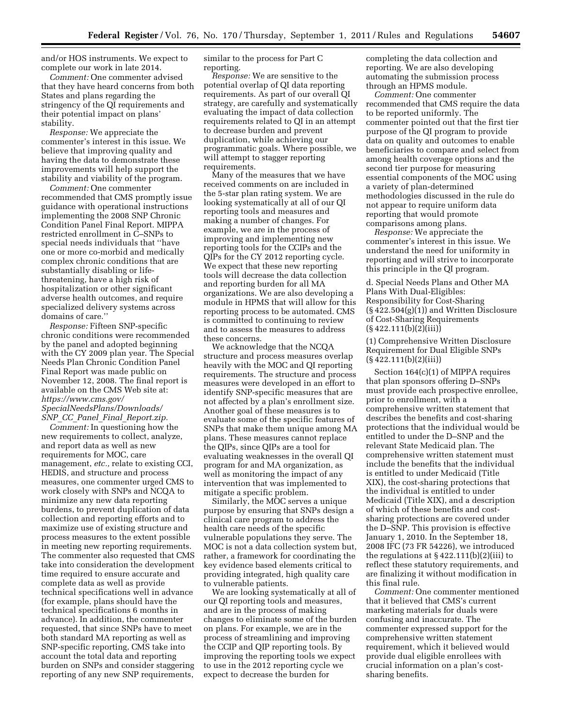and/or HOS instruments. We expect to complete our work in late 2014.

*Comment:* One commenter advised that they have heard concerns from both States and plans regarding the stringency of the QI requirements and their potential impact on plans' stability.

*Response:* We appreciate the commenter's interest in this issue. We believe that improving quality and having the data to demonstrate these improvements will help support the stability and viability of the program.

*Comment:* One commenter recommended that CMS promptly issue guidance with operational instructions implementing the 2008 SNP Chronic Condition Panel Final Report. MIPPA restricted enrollment in C–SNPs to special needs individuals that ''have one or more co-morbid and medically complex chronic conditions that are substantially disabling or lifethreatening, have a high risk of hospitalization or other significant adverse health outcomes, and require specialized delivery systems across domains of care.''

*Response:* Fifteen SNP-specific chronic conditions were recommended by the panel and adopted beginning with the CY 2009 plan year. The Special Needs Plan Chronic Condition Panel Final Report was made public on November 12, 2008. The final report is available on the CMS Web site at: *[https://www.cms.gov/](https://www.cms.gov/SpecialNeedsPlans/Downloads/SNP_CC_Panel_Final_Report.zip) [SpecialNeedsPlans/Downloads/](https://www.cms.gov/SpecialNeedsPlans/Downloads/SNP_CC_Panel_Final_Report.zip) SNP*\_*CC*\_*Panel*\_*Final*\_*[Report.zip.](https://www.cms.gov/SpecialNeedsPlans/Downloads/SNP_CC_Panel_Final_Report.zip)* 

*Comment:* In questioning how the new requirements to collect, analyze, and report data as well as new requirements for MOC, care management, *etc.,* relate to existing CCI, HEDIS, and structure and process measures, one commenter urged CMS to work closely with SNPs and NCQA to minimize any new data reporting burdens, to prevent duplication of data collection and reporting efforts and to maximize use of existing structure and process measures to the extent possible in meeting new reporting requirements. The commenter also requested that CMS take into consideration the development time required to ensure accurate and complete data as well as provide technical specifications well in advance (for example, plans should have the technical specifications 6 months in advance). In addition, the commenter requested, that since SNPs have to meet both standard MA reporting as well as SNP-specific reporting, CMS take into account the total data and reporting burden on SNPs and consider staggering reporting of any new SNP requirements,

similar to the process for Part C reporting.

*Response:* We are sensitive to the potential overlap of QI data reporting requirements. As part of our overall QI strategy, are carefully and systematically evaluating the impact of data collection requirements related to QI in an attempt to decrease burden and prevent duplication, while achieving our programmatic goals. Where possible, we will attempt to stagger reporting requirements.

Many of the measures that we have received comments on are included in the 5-star plan rating system. We are looking systematically at all of our QI reporting tools and measures and making a number of changes. For example, we are in the process of improving and implementing new reporting tools for the CCIPs and the QIPs for the CY 2012 reporting cycle. We expect that these new reporting tools will decrease the data collection and reporting burden for all MA organizations. We are also developing a module in HPMS that will allow for this reporting process to be automated. CMS is committed to continuing to review and to assess the measures to address these concerns.

We acknowledge that the NCQA structure and process measures overlap heavily with the MOC and QI reporting requirements. The structure and process measures were developed in an effort to identify SNP-specific measures that are not affected by a plan's enrollment size. Another goal of these measures is to evaluate some of the specific features of SNPs that make them unique among MA plans. These measures cannot replace the QIPs, since QIPs are a tool for evaluating weaknesses in the overall QI program for and MA organization, as well as monitoring the impact of any intervention that was implemented to mitigate a specific problem.

Similarly, the MOC serves a unique purpose by ensuring that SNPs design a clinical care program to address the health care needs of the specific vulnerable populations they serve. The MOC is not a data collection system but, rather, a framework for coordinating the key evidence based elements critical to providing integrated, high quality care to vulnerable patients.

We are looking systematically at all of our QI reporting tools and measures, and are in the process of making changes to eliminate some of the burden on plans. For example, we are in the process of streamlining and improving the CCIP and QIP reporting tools. By improving the reporting tools we expect to use in the 2012 reporting cycle we expect to decrease the burden for

completing the data collection and reporting. We are also developing automating the submission process through an HPMS module.

*Comment:* One commenter recommended that CMS require the data to be reported uniformly. The commenter pointed out that the first tier purpose of the QI program to provide data on quality and outcomes to enable beneficiaries to compare and select from among health coverage options and the second tier purpose for measuring essential components of the MOC using a variety of plan-determined methodologies discussed in the rule do not appear to require uniform data reporting that would promote comparisons among plans.

*Response:* We appreciate the commenter's interest in this issue. We understand the need for uniformity in reporting and will strive to incorporate this principle in the QI program.

d. Special Needs Plans and Other MA Plans With Dual-Eligibles: Responsibility for Cost-Sharing (§ 422.504(g)(1)) and Written Disclosure of Cost-Sharing Requirements  $(\S 422.111(b)(2)(iii))$ 

(1) Comprehensive Written Disclosure Requirement for Dual Eligible SNPs  $(S\,422.111(b)(2)(iii))$ 

Section 164(c)(1) of MIPPA requires that plan sponsors offering D–SNPs must provide each prospective enrollee, prior to enrollment, with a comprehensive written statement that describes the benefits and cost-sharing protections that the individual would be entitled to under the D–SNP and the relevant State Medicaid plan. The comprehensive written statement must include the benefits that the individual is entitled to under Medicaid (Title XIX), the cost-sharing protections that the individual is entitled to under Medicaid (Title XIX), and a description of which of these benefits and costsharing protections are covered under the D–SNP. This provision is effective January 1, 2010. In the September 18, 2008 IFC (73 FR 54226), we introduced the regulations at  $\S 422.111(b)(2)(iii)$  to reflect these statutory requirements, and are finalizing it without modification in this final rule.

*Comment:* One commenter mentioned that it believed that CMS's current marketing materials for duals were confusing and inaccurate. The commenter expressed support for the comprehensive written statement requirement, which it believed would provide dual eligible enrollees with crucial information on a plan's costsharing benefits.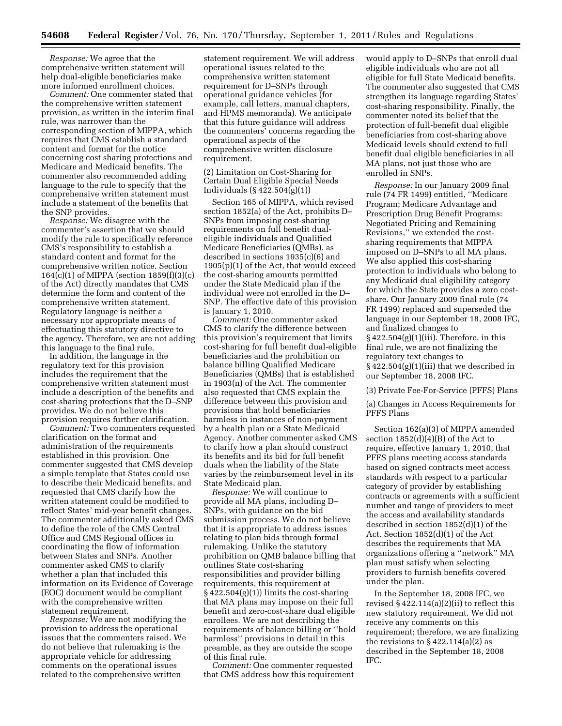*Response:* We agree that the comprehensive written statement will help dual-eligible beneficiaries make more informed enrollment choices.

*Comment:* One commenter stated that the comprehensive written statement provision, as written in the interim final rule, was narrower than the corresponding section of MIPPA, which requires that CMS establish a standard content and format for the notice concerning cost sharing protections and Medicare and Medicaid benefits. The commenter also recommended adding language to the rule to specify that the comprehensive written statement must include a statement of the benefits that the SNP provides.

*Response:* We disagree with the commenter's assertion that we should modify the rule to specifically reference CMS's responsibility to establish a standard content and format for the comprehensive written notice. Section 164(c)(1) of MIPPA (section 1859(f)(3)(c) of the Act) directly mandates that CMS determine the form and content of the comprehensive written statement. Regulatory language is neither a necessary nor appropriate means of effectuating this statutory directive to the agency. Therefore, we are not adding this language to the final rule.

In addition, the language in the regulatory text for this provision includes the requirement that the comprehensive written statement must include a description of the benefits and cost-sharing protections that the D–SNP provides. We do not believe this provision requires further clarification.

*Comment:* Two commenters requested clarification on the format and administration of the requirements established in this provision. One commenter suggested that CMS develop a simple template that States could use to describe their Medicaid benefits, and requested that CMS clarify how the written statement could be modified to reflect States' mid-year benefit changes. The commenter additionally asked CMS to define the role of the CMS Central Office and CMS Regional offices in coordinating the flow of information between States and SNPs. Another commenter asked CMS to clarify whether a plan that included this information on its Evidence of Coverage (EOC) document would be compliant with the comprehensive written statement requirement.

*Response:* We are not modifying the provision to address the operational issues that the commenters raised. We do not believe that rulemaking is the appropriate vehicle for addressing comments on the operational issues related to the comprehensive written

statement requirement. We will address operational issues related to the comprehensive written statement requirement for D–SNPs through operational guidance vehicles (for example, call letters, manual chapters, and HPMS memoranda). We anticipate that this future guidance will address the commenters' concerns regarding the operational aspects of the comprehensive written disclosure requirement.

(2) Limitation on Cost-Sharing for Certain Dual Eligible Special Needs Individuals (§ 422.504(g)(1))

Section 165 of MIPPA, which revised section 1852(a) of the Act, prohibits D– SNPs from imposing cost-sharing requirements on full benefit dualeligible individuals and Qualified Medicare Beneficiaries (QMBs), as described in sections 1935(c)(6) and 1905(p)(1) of the Act, that would exceed the cost-sharing amounts permitted under the State Medicaid plan if the individual were not enrolled in the D– SNP. The effective date of this provision is January 1, 2010.

*Comment:* One commenter asked CMS to clarify the difference between this provision's requirement that limits cost-sharing for full benefit dual-eligible beneficiaries and the prohibition on balance billing Qualified Medicare Beneficiaries (QMBs) that is established in 1903(n) of the Act. The commenter also requested that CMS explain the difference between this provision and provisions that hold beneficiaries harmless in instances of non-payment by a health plan or a State Medicaid Agency. Another commenter asked CMS to clarify how a plan should construct its benefits and its bid for full benefit duals when the liability of the State varies by the reimbursement level in its State Medicaid plan.

*Response:* We will continue to provide all MA plans, including D– SNPs, with guidance on the bid submission process. We do not believe that it is appropriate to address issues relating to plan bids through formal rulemaking. Unlike the statutory prohibition on QMB balance billing that outlines State cost-sharing responsibilities and provider billing requirements, this requirement at  $§$  422.504(g)(1)) limits the cost-sharing that MA plans may impose on their full benefit and zero-cost-share dual eligible enrollees. We are not describing the requirements of balance billing or ''hold harmless'' provisions in detail in this preamble, as they are outside the scope of this final rule.

*Comment:* One commenter requested that CMS address how this requirement would apply to D–SNPs that enroll dual eligible individuals who are not all eligible for full State Medicaid benefits. The commenter also suggested that CMS strengthen its language regarding States' cost-sharing responsibility. Finally, the commenter noted its belief that the protection of full-benefit dual eligible beneficiaries from cost-sharing above Medicaid levels should extend to full benefit dual eligible beneficiaries in all MA plans, not just those who are enrolled in SNPs.

*Response:* In our January 2009 final rule (74 FR 1499) entitled, ''Medicare Program; Medicare Advantage and Prescription Drug Benefit Programs: Negotiated Pricing and Remaining Revisions,'' we extended the costsharing requirements that MIPPA imposed on D–SNPs to all MA plans. We also applied this cost-sharing protection to individuals who belong to any Medicaid dual eligibility category for which the State provides a zero costshare. Our January 2009 final rule (74 FR 1499) replaced and superseded the language in our September 18, 2008 IFC, and finalized changes to § 422.504(g)(1)(iii). Therefore, in this final rule, we are not finalizing the regulatory text changes to § 422.504(g)(1)(iii) that we described in our September 18, 2008 IFC.

(3) Private Fee-For-Service (PFFS) Plans

(a) Changes in Access Requirements for PFFS Plans

Section 162(a)(3) of MIPPA amended section  $1852(d)(4)(B)$  of the Act to require, effective January 1, 2010, that PFFS plans meeting access standards based on signed contracts meet access standards with respect to a particular category of provider by establishing contracts or agreements with a sufficient number and range of providers to meet the access and availability standards described in section 1852(d)(1) of the Act. Section 1852(d)(1) of the Act describes the requirements that MA organizations offering a ''network'' MA plan must satisfy when selecting providers to furnish benefits covered under the plan.

In the September 18, 2008 IFC, we revised  $\S 422.114(a)(2)(ii)$  to reflect this new statutory requirement. We did not receive any comments on this requirement; therefore, we are finalizing the revisions to  $\S$  422.114(a)(2) as described in the September 18, 2008 IFC.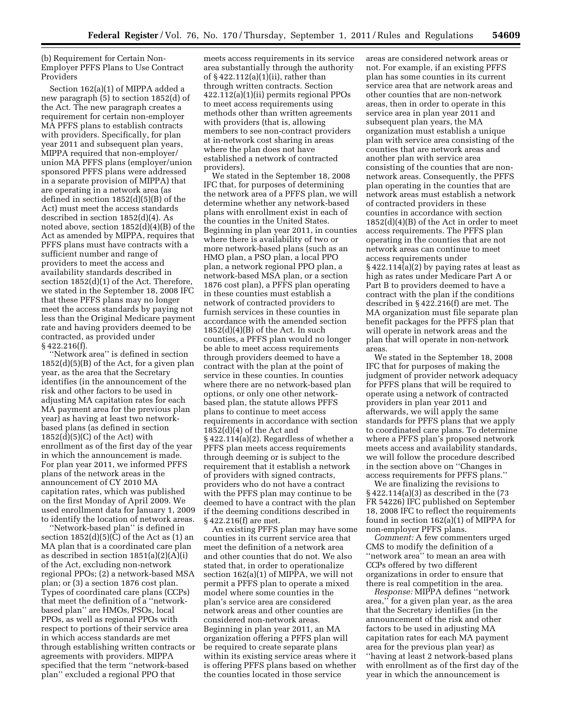(b) Requirement for Certain Non-Employer PFFS Plans to Use Contract Providers

Section 162(a)(1) of MIPPA added a new paragraph (5) to section 1852(d) of the Act. The new paragraph creates a requirement for certain non-employer MA PFFS plans to establish contracts with providers. Specifically, for plan year 2011 and subsequent plan years, MIPPA required that non-employer/ union MA PFFS plans (employer/union sponsored PFFS plans were addressed in a separate provision of MIPPA) that are operating in a network area (as defined in section 1852(d)(5)(B) of the Act) must meet the access standards described in section 1852(d)(4). As noted above, section 1852(d)(4)(B) of the Act as amended by MIPPA, requires that PFFS plans must have contracts with a sufficient number and range of providers to meet the access and availability standards described in section 1852(d)(1) of the Act. Therefore, we stated in the September 18, 2008 IFC that these PFFS plans may no longer meet the access standards by paying not less than the Original Medicare payment rate and having providers deemed to be contracted, as provided under § 422.216(f).

''Network area'' is defined in section  $1852(d)(5)(B)$  of the Act, for a given plan year, as the area that the Secretary identifies (in the announcement of the risk and other factors to be used in adjusting MA capitation rates for each MA payment area for the previous plan year) as having at least two networkbased plans (as defined in section  $1852(d)(5)(C)$  of the Act) with enrollment as of the first day of the year in which the announcement is made. For plan year 2011, we informed PFFS plans of the network areas in the announcement of CY 2010 MA capitation rates, which was published on the first Monday of April 2009. We used enrollment data for January 1, 2009 to identify the location of network areas.

'Network-based plan" is defined in section  $1852(d)(5)(C)$  of the Act as  $(1)$  an MA plan that is a coordinated care plan as described in section 1851(a)(2)(A)(i) of the Act, excluding non-network regional PPOs; (2) a network-based MSA plan; or (3) a section 1876 cost plan. Types of coordinated care plans (CCPs) that meet the definition of a ''networkbased plan'' are HMOs, PSOs, local PPOs, as well as regional PPOs with respect to portions of their service area in which access standards are met through establishing written contracts or agreements with providers. MIPPA specified that the term ''network-based plan'' excluded a regional PPO that

meets access requirements in its service area substantially through the authority of § 422.112(a)(1)(ii), rather than through written contracts. Section 422.112(a)(1)(ii) permits regional PPOs to meet access requirements using methods other than written agreements with providers (that is, allowing members to see non-contract providers at in-network cost sharing in areas where the plan does not have established a network of contracted providers).

We stated in the September 18, 2008 IFC that, for purposes of determining the network area of a PFFS plan, we will determine whether any network-based plans with enrollment exist in each of the counties in the United States. Beginning in plan year 2011, in counties where there is availability of two or more network-based plans (such as an HMO plan, a PSO plan, a local PPO plan, a network regional PPO plan, a network-based MSA plan, or a section 1876 cost plan), a PFFS plan operating in these counties must establish a network of contracted providers to furnish services in these counties in accordance with the amended section  $1852(d)(4)(B)$  of the Act. In such counties, a PFFS plan would no longer be able to meet access requirements through providers deemed to have a contract with the plan at the point of service in these counties. In counties where there are no network-based plan options, or only one other networkbased plan, the statute allows PFFS plans to continue to meet access requirements in accordance with section  $1852(d)(4)$  of the Act and § 422.114(a)(2). Regardless of whether a PFFS plan meets access requirements through deeming or is subject to the requirement that it establish a network of providers with signed contracts, providers who do not have a contract with the PFFS plan may continue to be deemed to have a contract with the plan if the deeming conditions described in § 422.216(f) are met.

An existing PFFS plan may have some counties in its current service area that meet the definition of a network area and other counties that do not. We also stated that, in order to operationalize section 162(a)(1) of MIPPA, we will not permit a PFFS plan to operate a mixed model where some counties in the plan's service area are considered network areas and other counties are considered non-network areas. Beginning in plan year 2011, an MA organization offering a PFFS plan will be required to create separate plans within its existing service areas where it is offering PFFS plans based on whether the counties located in those service

areas are considered network areas or not. For example, if an existing PFFS plan has some counties in its current service area that are network areas and other counties that are non-network areas, then in order to operate in this service area in plan year 2011 and subsequent plan years, the MA organization must establish a unique plan with service area consisting of the counties that are network areas and another plan with service area consisting of the counties that are nonnetwork areas. Consequently, the PFFS plan operating in the counties that are network areas must establish a network of contracted providers in these counties in accordance with section 1852(d)(4)(B) of the Act in order to meet access requirements. The PFFS plan operating in the counties that are not network areas can continue to meet access requirements under § 422.114(a)(2) by paying rates at least as high as rates under Medicare Part A or Part B to providers deemed to have a contract with the plan if the conditions described in § 422.216(f) are met. The MA organization must file separate plan benefit packages for the PFFS plan that will operate in network areas and the plan that will operate in non-network areas.

We stated in the September 18, 2008 IFC that for purposes of making the judgment of provider network adequacy for PFFS plans that will be required to operate using a network of contracted providers in plan year 2011 and afterwards, we will apply the same standards for PFFS plans that we apply to coordinated care plans. To determine where a PFFS plan's proposed network meets access and availability standards, we will follow the procedure described in the section above on ''Changes in access requirements for PFFS plans.''

We are finalizing the revisions to § 422.114(a)(3) as described in the (73 FR 54226) IFC published on September 18, 2008 IFC to reflect the requirements found in section 162(a)(1) of MIPPA for non-employer PFFS plans.

*Comment:* A few commenters urged CMS to modify the definition of a ''network area'' to mean an area with CCPs offered by two different organizations in order to ensure that there is real competition in the area.

*Response:* MIPPA defines ''network area,'' for a given plan year, as the area that the Secretary identifies (in the announcement of the risk and other factors to be used in adjusting MA capitation rates for each MA payment area for the previous plan year) as ''having at least 2 network-based plans with enrollment as of the first day of the year in which the announcement is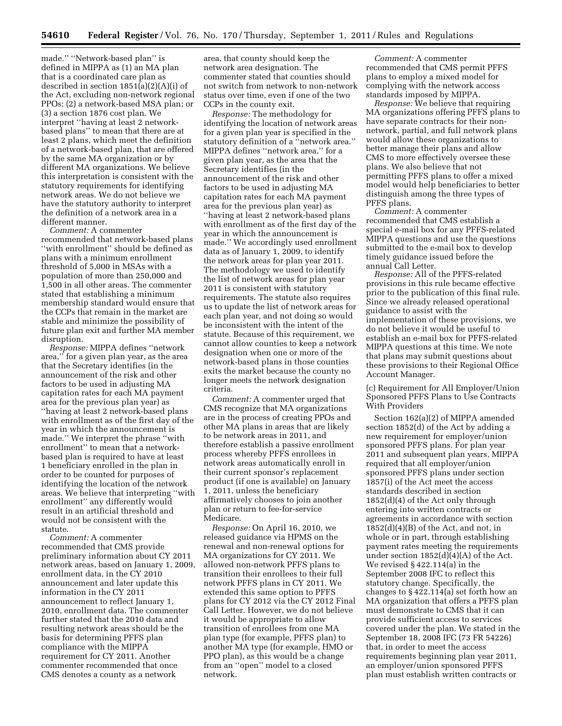made.'' ''Network-based plan'' is defined in MIPPA as (1) an MA plan that is a coordinated care plan as described in section 1851(a)(2)(A)(i) of the Act, excluding non-network regional PPOs; (2) a network-based MSA plan; or (3) a section 1876 cost plan. We interpret ''having at least 2 networkbased plans'' to mean that there are at least 2 plans, which meet the definition of a network-based plan, that are offered by the same MA organization or by different MA organizations. We believe this interpretation is consistent with the statutory requirements for identifying network areas. We do not believe we have the statutory authority to interpret the definition of a network area in a different manner.

*Comment:* A commenter recommended that network-based plans ''with enrollment'' should be defined as plans with a minimum enrollment threshold of 5,000 in MSAs with a population of more than 250,000 and 1,500 in all other areas. The commenter stated that establishing a minimum membership standard would ensure that the CCPs that remain in the market are stable and minimize the possibility of future plan exit and further MA member disruption.

*Response:* MIPPA defines ''network area,'' for a given plan year, as the area that the Secretary identifies (in the announcement of the risk and other factors to be used in adjusting MA capitation rates for each MA payment area for the previous plan year) as ''having at least 2 network-based plans with enrollment as of the first day of the year in which the announcement is made.'' We interpret the phrase ''with enrollment'' to mean that a networkbased plan is required to have at least 1 beneficiary enrolled in the plan in order to be counted for purposes of identifying the location of the network areas. We believe that interpreting ''with enrollment'' any differently would result in an artificial threshold and would not be consistent with the statute.

*Comment:* A commenter recommended that CMS provide preliminary information about CY 2011 network areas, based on January 1, 2009, enrollment data, in the CY 2010 announcement and later update this information in the CY 2011 announcement to reflect January 1, 2010, enrollment data. The commenter further stated that the 2010 data and resulting network areas should be the basis for determining PFFS plan compliance with the MIPPA requirement for CY 2011. Another commenter recommended that once CMS denotes a county as a network

area, that county should keep the network area designation. The commenter stated that counties should not switch from network to non-network status over time, even if one of the two CCPs in the county exit.

*Response:* The methodology for identifying the location of network areas for a given plan year is specified in the statutory definition of a ''network area.'' MIPPA defines ''network area,'' for a given plan year, as the area that the Secretary identifies (in the announcement of the risk and other factors to be used in adjusting MA capitation rates for each MA payment area for the previous plan year) as ''having at least 2 network-based plans with enrollment as of the first day of the year in which the announcement is made.'' We accordingly used enrollment data as of January 1, 2009, to identify the network areas for plan year 2011. The methodology we used to identify the list of network areas for plan year 2011 is consistent with statutory requirements. The statute also requires us to update the list of network areas for each plan year, and not doing so would be inconsistent with the intent of the statute. Because of this requirement, we cannot allow counties to keep a network designation when one or more of the network-based plans in those counties exits the market because the county no longer meets the network designation criteria.

*Comment:* A commenter urged that CMS recognize that MA organizations are in the process of creating PPOs and other MA plans in areas that are likely to be network areas in 2011, and therefore establish a passive enrollment process whereby PFFS enrollees in network areas automatically enroll in their current sponsor's replacement product (if one is available) on January 1, 2011, unless the beneficiary affirmatively chooses to join another plan or return to fee-for-service Medicare.

*Response:* On April 16, 2010, we released guidance via HPMS on the renewal and non-renewal options for MA organizations for CY 2011. We allowed non-network PFFS plans to transition their enrollees to their full network PFFS plans in CY 2011. We extended this same option to PFFS plans for CY 2012 via the CY 2012 Final Call Letter. However, we do not believe it would be appropriate to allow transition of enrollees from one MA plan type (for example, PFFS plan) to another MA type (for example, HMO or PPO plan), as this would be a change from an ''open'' model to a closed network.

*Comment:* A commenter recommended that CMS permit PFFS plans to employ a mixed model for complying with the network access standards imposed by MIPPA.

*Response:* We believe that requiring MA organizations offering PFFS plans to have separate contracts for their nonnetwork, partial, and full network plans would allow these organizations to better manage their plans and allow CMS to more effectively oversee these plans. We also believe that not permitting PFFS plans to offer a mixed model would help beneficiaries to better distinguish among the three types of PFFS plans.

*Comment:* A commenter recommended that CMS establish a special e-mail box for any PFFS-related MIPPA questions and use the questions submitted to the e-mail box to develop timely guidance issued before the annual Call Letter.

*Response:* All of the PFFS-related provisions in this rule became effective prior to the publication of this final rule. Since we already released operational guidance to assist with the implementation of these provisions, we do not believe it would be useful to establish an e-mail box for PFFS-related MIPPA questions at this time. We note that plans may submit questions about these provisions to their Regional Office Account Manager.

(c) Requirement for All Employer/Union Sponsored PFFS Plans to Use Contracts With Providers

Section 162(a)(2) of MIPPA amended section 1852(d) of the Act by adding a new requirement for employer/union sponsored PFFS plans. For plan year 2011 and subsequent plan years, MIPPA required that all employer/union sponsored PFFS plans under section 1857(i) of the Act meet the access standards described in section 1852(d)(4) of the Act only through entering into written contracts or agreements in accordance with section  $1852(d)(4)(B)$  of the Act, and not, in whole or in part, through establishing payment rates meeting the requirements under section 1852(d)(4)(A) of the Act. We revised § 422.114(a) in the September 2008 IFC to reflect this statutory change. Specifically, the changes to § 422.114(a) set forth how an MA organization that offers a PFFS plan must demonstrate to CMS that it can provide sufficient access to services covered under the plan. We stated in the September 18, 2008 IFC (73 FR 54226) that, in order to meet the access requirements beginning plan year 2011, an employer/union sponsored PFFS plan must establish written contracts or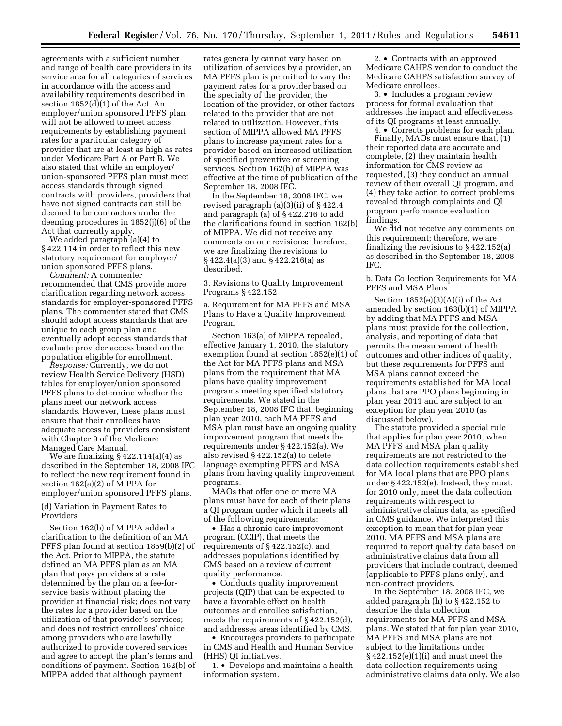agreements with a sufficient number and range of health care providers in its service area for all categories of services in accordance with the access and availability requirements described in section 1852(d)(1) of the Act. An employer/union sponsored PFFS plan will not be allowed to meet access requirements by establishing payment rates for a particular category of provider that are at least as high as rates under Medicare Part A or Part B. We also stated that while an employer/ union-sponsored PFFS plan must meet access standards through signed contracts with providers, providers that have not signed contracts can still be deemed to be contractors under the deeming procedures in 1852(j)(6) of the Act that currently apply.

We added paragraph (a)(4) to § 422.114 in order to reflect this new statutory requirement for employer/ union sponsored PFFS plans.

*Comment:* A commenter recommended that CMS provide more clarification regarding network access standards for employer-sponsored PFFS plans. The commenter stated that CMS should adopt access standards that are unique to each group plan and eventually adopt access standards that evaluate provider access based on the population eligible for enrollment.

*Response:* Currently, we do not review Health Service Delivery (HSD) tables for employer/union sponsored PFFS plans to determine whether the plans meet our network access standards. However, these plans must ensure that their enrollees have adequate access to providers consistent with Chapter 9 of the Medicare Managed Care Manual.

We are finalizing § 422.114(a)(4) as described in the September 18, 2008 IFC to reflect the new requirement found in section 162(a)(2) of MIPPA for employer/union sponsored PFFS plans.

(d) Variation in Payment Rates to Providers

Section 162(b) of MIPPA added a clarification to the definition of an MA PFFS plan found at section 1859(b)(2) of the Act. Prior to MIPPA, the statute defined an MA PFFS plan as an MA plan that pays providers at a rate determined by the plan on a fee-forservice basis without placing the provider at financial risk; does not vary the rates for a provider based on the utilization of that provider's services; and does not restrict enrollees' choice among providers who are lawfully authorized to provide covered services and agree to accept the plan's terms and conditions of payment. Section 162(b) of MIPPA added that although payment

rates generally cannot vary based on utilization of services by a provider, an MA PFFS plan is permitted to vary the payment rates for a provider based on the specialty of the provider, the location of the provider, or other factors related to the provider that are not related to utilization. However, this section of MIPPA allowed MA PFFS plans to increase payment rates for a provider based on increased utilization of specified preventive or screening services. Section 162(b) of MIPPA was effective at the time of publication of the September 18, 2008 IFC.

In the September 18, 2008 IFC, we revised paragraph (a)(3)(ii) of § 422.4 and paragraph (a) of § 422.216 to add the clarifications found in section 162(b) of MIPPA. We did not receive any comments on our revisions; therefore, we are finalizing the revisions to § 422.4(a)(3) and § 422.216(a) as described.

3. Revisions to Quality Improvement Programs § 422.152

a. Requirement for MA PFFS and MSA Plans to Have a Quality Improvement Program

Section 163(a) of MIPPA repealed, effective January 1, 2010, the statutory exemption found at section 1852(e)(1) of the Act for MA PFFS plans and MSA plans from the requirement that MA plans have quality improvement programs meeting specified statutory requirements. We stated in the September 18, 2008 IFC that, beginning plan year 2010, each MA PFFS and MSA plan must have an ongoing quality improvement program that meets the requirements under § 422.152(a). We also revised § 422.152(a) to delete language exempting PFFS and MSA plans from having quality improvement programs.

MAOs that offer one or more MA plans must have for each of their plans a QI program under which it meets all of the following requirements:

• Has a chronic care improvement program (CCIP), that meets the requirements of § 422.152(c), and addresses populations identified by CMS based on a review of current quality performance.

• Conducts quality improvement projects (QIP) that can be expected to have a favorable effect on health outcomes and enrollee satisfaction, meets the requirements of § 422.152(d), and addresses areas identified by CMS.

• Encourages providers to participate in CMS and Health and Human Service (HHS) QI initiatives.

1. • Develops and maintains a health information system.

2. • Contracts with an approved Medicare CAHPS vendor to conduct the Medicare CAHPS satisfaction survey of Medicare enrollees.

3. • Includes a program review process for formal evaluation that addresses the impact and effectiveness of its QI programs at least annually.

4. • Corrects problems for each plan. Finally, MAOs must ensure that, (1) their reported data are accurate and complete, (2) they maintain health information for CMS review as requested, (3) they conduct an annual review of their overall QI program, and (4) they take action to correct problems revealed through complaints and QI program performance evaluation findings.

We did not receive any comments on this requirement; therefore, we are finalizing the revisions to § 422.152(a) as described in the September 18, 2008 IFC.

b. Data Collection Requirements for MA PFFS and MSA Plans

Section 1852(e)(3)(A)(i) of the Act amended by section 163(b)(1) of MIPPA by adding that MA PFFS and MSA plans must provide for the collection, analysis, and reporting of data that permits the measurement of health outcomes and other indices of quality, but these requirements for PFFS and MSA plans cannot exceed the requirements established for MA local plans that are PPO plans beginning in plan year 2011 and are subject to an exception for plan year 2010 (as discussed below).

The statute provided a special rule that applies for plan year 2010, when MA PFFS and MSA plan quality requirements are not restricted to the data collection requirements established for MA local plans that are PPO plans under § 422.152(e). Instead, they must, for 2010 only, meet the data collection requirements with respect to administrative claims data, as specified in CMS guidance. We interpreted this exception to mean that for plan year 2010, MA PFFS and MSA plans are required to report quality data based on administrative claims data from all providers that include contract, deemed (applicable to PFFS plans only), and non-contract providers.

In the September 18, 2008 IFC, we added paragraph (h) to § 422.152 to describe the data collection requirements for MA PFFS and MSA plans. We stated that for plan year 2010, MA PFFS and MSA plans are not subject to the limitations under § 422.152(e)(1)(i) and must meet the data collection requirements using administrative claims data only. We also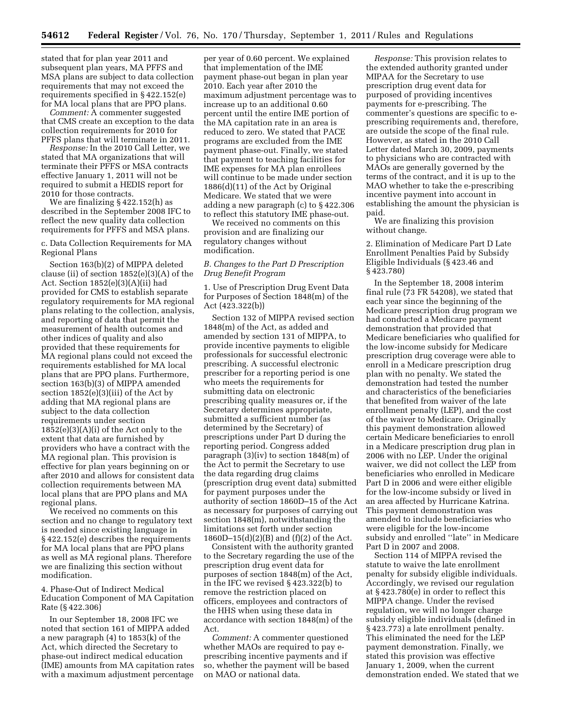stated that for plan year 2011 and subsequent plan years, MA PFFS and MSA plans are subject to data collection requirements that may not exceed the requirements specified in § 422.152(e) for MA local plans that are PPO plans.

*Comment:* A commenter suggested that CMS create an exception to the data collection requirements for 2010 for PFFS plans that will terminate in 2011.

*Response:* In the 2010 Call Letter, we stated that MA organizations that will terminate their PFFS or MSA contracts effective January 1, 2011 will not be required to submit a HEDIS report for 2010 for those contracts.

We are finalizing § 422.152(h) as described in the September 2008 IFC to reflect the new quality data collection requirements for PFFS and MSA plans.

c. Data Collection Requirements for MA Regional Plans

Section 163(b)(2) of MIPPA deleted clause (ii) of section 1852(e)(3)(A) of the Act. Section 1852(e)(3)(A)(ii) had provided for CMS to establish separate regulatory requirements for MA regional plans relating to the collection, analysis, and reporting of data that permit the measurement of health outcomes and other indices of quality and also provided that these requirements for MA regional plans could not exceed the requirements established for MA local plans that are PPO plans. Furthermore, section 163(b)(3) of MIPPA amended section 1852(e)(3)(iii) of the Act by adding that MA regional plans are subject to the data collection requirements under section 1852(e)(3)(A)(i) of the Act only to the extent that data are furnished by providers who have a contract with the MA regional plan. This provision is effective for plan years beginning on or after 2010 and allows for consistent data collection requirements between MA local plans that are PPO plans and MA regional plans.

We received no comments on this section and no change to regulatory text is needed since existing language in § 422.152(e) describes the requirements for MA local plans that are PPO plans as well as MA regional plans. Therefore we are finalizing this section without modification.

4. Phase-Out of Indirect Medical Education Component of MA Capitation Rate (§ 422.306)

In our September 18, 2008 IFC we noted that section 161 of MIPPA added a new paragraph (4) to 1853(k) of the Act, which directed the Secretary to phase-out indirect medical education (IME) amounts from MA capitation rates with a maximum adjustment percentage per year of 0.60 percent. We explained that implementation of the IME payment phase-out began in plan year 2010. Each year after 2010 the maximum adjustment percentage was to increase up to an additional 0.60 percent until the entire IME portion of the MA capitation rate in an area is reduced to zero. We stated that PACE programs are excluded from the IME payment phase-out. Finally, we stated that payment to teaching facilities for IME expenses for MA plan enrollees will continue to be made under section 1886(d)(11) of the Act by Original Medicare. We stated that we were adding a new paragraph (c) to § 422.306 to reflect this statutory IME phase-out.

We received no comments on this provision and are finalizing our regulatory changes without modification.

# *B. Changes to the Part D Prescription Drug Benefit Program*

1. Use of Prescription Drug Event Data for Purposes of Section 1848(m) of the Act (423.322(b))

Section 132 of MIPPA revised section 1848(m) of the Act, as added and amended by section 131 of MIPPA, to provide incentive payments to eligible professionals for successful electronic prescribing. A successful electronic prescriber for a reporting period is one who meets the requirements for submitting data on electronic prescribing quality measures or, if the Secretary determines appropriate, submitted a sufficient number (as determined by the Secretary) of prescriptions under Part D during the reporting period. Congress added paragraph (3)(iv) to section 1848(m) of the Act to permit the Secretary to use the data regarding drug claims (prescription drug event data) submitted for payment purposes under the authority of section 1860D–15 of the Act as necessary for purposes of carrying out section 1848(m), notwithstanding the limitations set forth under section 1860D–15(d)(2)(B) and (f)(2) of the Act.

Consistent with the authority granted to the Secretary regarding the use of the prescription drug event data for purposes of section 1848(m) of the Act, in the IFC we revised § 423.322(b) to remove the restriction placed on officers, employees and contractors of the HHS when using these data in accordance with section 1848(m) of the Act.

*Comment:* A commenter questioned whether MAOs are required to pay eprescribing incentive payments and if so, whether the payment will be based on MAO or national data.

*Response:* This provision relates to the extended authority granted under MIPAA for the Secretary to use prescription drug event data for purposed of providing incentives payments for e-prescribing. The commenter's questions are specific to eprescribing requirements and, therefore, are outside the scope of the final rule. However, as stated in the 2010 Call Letter dated March 30, 2009, payments to physicians who are contracted with MAOs are generally governed by the terms of the contract, and it is up to the MAO whether to take the e-prescribing incentive payment into account in establishing the amount the physician is paid.

We are finalizing this provision without change.

2. Elimination of Medicare Part D Late Enrollment Penalties Paid by Subsidy Eligible Individuals (§ 423.46 and § 423.780)

In the September 18, 2008 interim final rule (73 FR 54208), we stated that each year since the beginning of the Medicare prescription drug program we had conducted a Medicare payment demonstration that provided that Medicare beneficiaries who qualified for the low-income subsidy for Medicare prescription drug coverage were able to enroll in a Medicare prescription drug plan with no penalty. We stated the demonstration had tested the number and characteristics of the beneficiaries that benefited from waiver of the late enrollment penalty (LEP), and the cost of the waiver to Medicare. Originally this payment demonstration allowed certain Medicare beneficiaries to enroll in a Medicare prescription drug plan in 2006 with no LEP. Under the original waiver, we did not collect the LEP from beneficiaries who enrolled in Medicare Part D in 2006 and were either eligible for the low-income subsidy or lived in an area affected by Hurricane Katrina. This payment demonstration was amended to include beneficiaries who were eligible for the low-income subsidy and enrolled ''late'' in Medicare Part D in 2007 and 2008.

Section 114 of MIPPA revised the statute to waive the late enrollment penalty for subsidy eligible individuals. Accordingly, we revised our regulation at § 423.780(e) in order to reflect this MIPPA change. Under the revised regulation, we will no longer charge subsidy eligible individuals (defined in § 423.773) a late enrollment penalty. This eliminated the need for the LEP payment demonstration. Finally, we stated this provision was effective January 1, 2009, when the current demonstration ended. We stated that we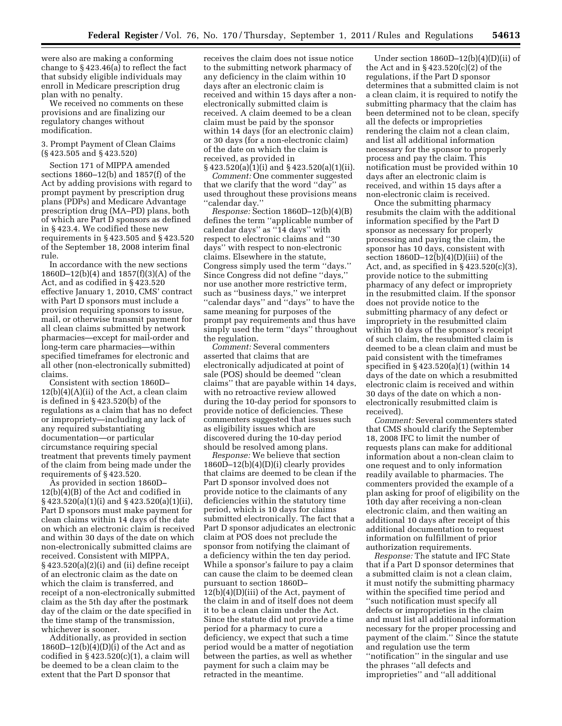were also are making a conforming change to § 423.46(a) to reflect the fact that subsidy eligible individuals may enroll in Medicare prescription drug plan with no penalty.

We received no comments on these provisions and are finalizing our regulatory changes without modification.

3. Prompt Payment of Clean Claims (§ 423.505 and § 423.520)

Section 171 of MIPPA amended sections 1860–12(b) and 1857(f) of the Act by adding provisions with regard to prompt payment by prescription drug plans (PDPs) and Medicare Advantage prescription drug (MA–PD) plans, both of which are Part D sponsors as defined in § 423.4. We codified these new requirements in § 423.505 and § 423.520 of the September 18, 2008 interim final rule.

In accordance with the new sections 1860D–12(b)(4) and 1857(f)(3)(A) of the Act, and as codified in § 423.520 effective January 1, 2010, CMS' contract with Part D sponsors must include a provision requiring sponsors to issue, mail, or otherwise transmit payment for all clean claims submitted by network pharmacies—except for mail-order and long-term care pharmacies—within specified timeframes for electronic and all other (non-electronically submitted) claims.

Consistent with section 1860D–  $12(b)(4)(A)(ii)$  of the Act, a clean claim is defined in § 423.520(b) of the regulations as a claim that has no defect or impropriety—including any lack of any required substantiating documentation—or particular circumstance requiring special treatment that prevents timely payment of the claim from being made under the requirements of § 423.520.

As provided in section 1860D– 12(b)(4)(B) of the Act and codified in § 423.520(a)(1)(i) and § 423.520(a)(1)(ii), Part D sponsors must make payment for clean claims within 14 days of the date on which an electronic claim is received and within 30 days of the date on which non-electronically submitted claims are received. Consistent with MIPPA, § 423.520(a)(2)(i) and (ii) define receipt of an electronic claim as the date on which the claim is transferred, and receipt of a non-electronically submitted claim as the 5th day after the postmark day of the claim or the date specified in the time stamp of the transmission, whichever is sooner.

Additionally, as provided in section  $1860D-12(b)(4)(D)(i)$  of the Act and as codified in  $\S 423.520(c)(1)$ , a claim will be deemed to be a clean claim to the extent that the Part D sponsor that

receives the claim does not issue notice to the submitting network pharmacy of any deficiency in the claim within 10 days after an electronic claim is received and within 15 days after a nonelectronically submitted claim is received. A claim deemed to be a clean claim must be paid by the sponsor within 14 days (for an electronic claim) or 30 days (for a non-electronic claim) of the date on which the claim is received, as provided in

 $\S$  423.520(a)(1)(i) and  $\S$  423.520(a)(1)(ii). *Comment:* One commenter suggested that we clarify that the word ''day'' as used throughout these provisions means ''calendar day.''

*Response:* Section 1860D–12(b)(4)(B) defines the term ''applicable number of calendar days'' as ''14 days'' with respect to electronic claims and ''30 days'' with respect to non-electronic claims. Elsewhere in the statute, Congress simply used the term ''days.'' Since Congress did not define ''days,'' nor use another more restrictive term, such as ''business days,'' we interpret ''calendar days'' and ''days'' to have the same meaning for purposes of the prompt pay requirements and thus have simply used the term ''days'' throughout the regulation.

*Comment:* Several commenters asserted that claims that are electronically adjudicated at point of sale (POS) should be deemed ''clean claims'' that are payable within 14 days, with no retroactive review allowed during the 10-day period for sponsors to provide notice of deficiencies. These commenters suggested that issues such as eligibility issues which are discovered during the 10-day period should be resolved among plans.

*Response:* We believe that section 1860D–12(b)(4)(D)(i) clearly provides that claims are deemed to be clean if the Part D sponsor involved does not provide notice to the claimants of any deficiencies within the statutory time period, which is 10 days for claims submitted electronically. The fact that a Part D sponsor adjudicates an electronic claim at POS does not preclude the sponsor from notifying the claimant of a deficiency within the ten day period. While a sponsor's failure to pay a claim can cause the claim to be deemed clean pursuant to section 1860D– 12(b)(4)(D)(iii) of the Act, payment of the claim in and of itself does not deem it to be a clean claim under the Act. Since the statute did not provide a time period for a pharmacy to cure a deficiency, we expect that such a time period would be a matter of negotiation between the parties, as well as whether payment for such a claim may be retracted in the meantime.

Under section  $1860D-12(b)(4)(D)(ii)$  of the Act and in § 423.520(c)(2) of the regulations, if the Part D sponsor determines that a submitted claim is not a clean claim, it is required to notify the submitting pharmacy that the claim has been determined not to be clean, specify all the defects or improprieties rendering the claim not a clean claim, and list all additional information necessary for the sponsor to properly process and pay the claim. This notification must be provided within 10 days after an electronic claim is received, and within 15 days after a non-electronic claim is received.

Once the submitting pharmacy resubmits the claim with the additional information specified by the Part D sponsor as necessary for properly processing and paying the claim, the sponsor has 10 days, consistent with section 1860D–12(b)(4)(D)(iii) of the Act, and, as specified in  $\S 423.520(c)(3)$ , provide notice to the submitting pharmacy of any defect or impropriety in the resubmitted claim. If the sponsor does not provide notice to the submitting pharmacy of any defect or impropriety in the resubmitted claim within 10 days of the sponsor's receipt of such claim, the resubmitted claim is deemed to be a clean claim and must be paid consistent with the timeframes specified in § 423.520(a)(1) (within 14 days of the date on which a resubmitted electronic claim is received and within 30 days of the date on which a nonelectronically resubmitted claim is received).

*Comment:* Several commenters stated that CMS should clarify the September 18, 2008 IFC to limit the number of requests plans can make for additional information about a non-clean claim to one request and to only information readily available to pharmacies. The commenters provided the example of a plan asking for proof of eligibility on the 10th day after receiving a non-clean electronic claim, and then waiting an additional 10 days after receipt of this additional documentation to request information on fulfillment of prior authorization requirements.

*Response:* The statute and IFC State that if a Part D sponsor determines that a submitted claim is not a clean claim, it must notify the submitting pharmacy within the specified time period and ''such notification must specify all defects or improprieties in the claim and must list all additional information necessary for the proper processing and payment of the claim.'' Since the statute and regulation use the term ''notification'' in the singular and use the phrases ''all defects and improprieties'' and ''all additional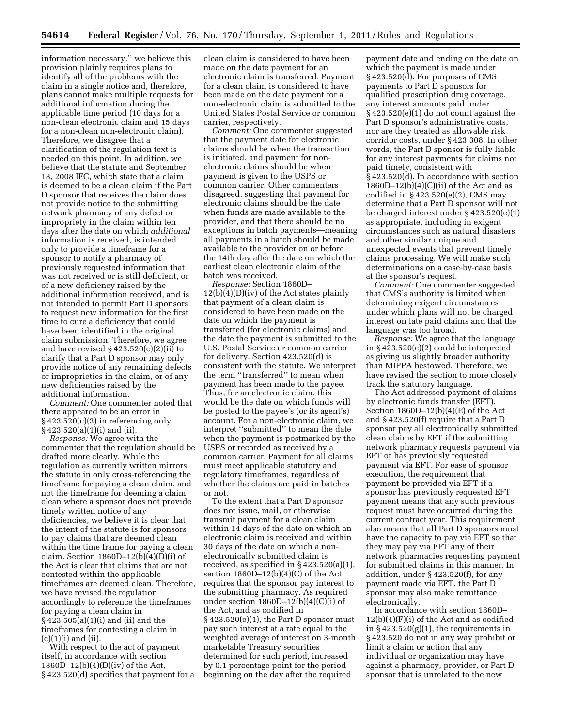information necessary,'' we believe this provision plainly requires plans to identify all of the problems with the claim in a single notice and, therefore, plans cannot make multiple requests for additional information during the applicable time period (10 days for a non-clean electronic claim and 15 days for a non-clean non-electronic claim). Therefore, we disagree that a clarification of the regulation text is needed on this point. In addition, we believe that the statute and September 18, 2008 IFC, which state that a claim is deemed to be a clean claim if the Part D sponsor that receives the claim does not provide notice to the submitting network pharmacy of any defect or impropriety in the claim within ten days after the date on which *additional*  information is received, is intended only to provide a timeframe for a sponsor to notify a pharmacy of previously requested information that was not received or is still deficient, or of a new deficiency raised by the additional information received, and is not intended to permit Part D sponsors to request new information for the first time to cure a deficiency that could have been identified in the original claim submission. Therefore, we agree and have revised  $\S 423.520(c)(2)(ii)$  to clarify that a Part D sponsor may only provide notice of any remaining defects or improprieties in the claim, or of any new deficiencies raised by the additional information.

*Comment:* One commenter noted that there appeared to be an error in § 423.520(c)(3) in referencing only § 423.520(a)(1)(i) and (ii).

*Response:* We agree with the commenter that the regulation should be drafted more clearly. While the regulation as currently written mirrors the statute in only cross-referencing the timeframe for paying a clean claim, and not the timeframe for deeming a claim clean where a sponsor does not provide timely written notice of any deficiencies, we believe it is clear that the intent of the statute is for sponsors to pay claims that are deemed clean within the time frame for paying a clean claim. Section  $1860D-12(b)(4)(D)(i)$  of the Act is clear that claims that are not contested within the applicable timeframes are deemed clean. Therefore, we have revised the regulation accordingly to reference the timeframes for paying a clean claim in § 423.505(a)(1)(i) and (ii) and the timeframes for contesting a claim in  $(c)(1)(i)$  and  $(ii)$ .

With respect to the act of payment itself, in accordance with section 1860D–12(b)(4)(D)(iv) of the Act, § 423.520(d) specifies that payment for a

clean claim is considered to have been made on the date payment for an electronic claim is transferred. Payment for a clean claim is considered to have been made on the date payment for a non-electronic claim is submitted to the United States Postal Service or common carrier, respectively.

*Comment:* One commenter suggested that the payment date for electronic claims should be when the transaction is initiated, and payment for nonelectronic claims should be when payment is given to the USPS or common carrier. Other commenters disagreed, suggesting that payment for electronic claims should be the date when funds are made available to the provider, and that there should be no exceptions in batch payments—meaning all payments in a batch should be made available to the provider on or before the 14th day after the date on which the earliest clean electronic claim of the batch was received.

*Response:* Section 1860D– 12(b)(4)(D)(iv) of the Act states plainly that payment of a clean claim is considered to have been made on the date on which the payment is transferred (for electronic claims) and the date the payment is submitted to the U.S. Postal Service or common carrier for delivery. Section 423.520(d) is consistent with the statute. We interpret the term ''transferred'' to mean when payment has been made to the payee. Thus, for an electronic claim, this would be the date on which funds will be posted to the payee's (or its agent's) account. For a non-electronic claim, we interpret ''submitted'' to mean the date when the payment is postmarked by the USPS or recorded as received by a common carrier. Payment for all claims must meet applicable statutory and regulatory timeframes, regardless of whether the claims are paid in batches or not.

To the extent that a Part D sponsor does not issue, mail, or otherwise transmit payment for a clean claim within 14 days of the date on which an electronic claim is received and within 30 days of the date on which a nonelectronically submitted claim is received, as specified in § 423.520(a)(1), section  $1860D-12(b)(4)(C)$  of the Act requires that the sponsor pay interest to the submitting pharmacy. As required under section 1860D–12(b)(4)(C)(i) of the Act, and as codified in § 423.520(e)(1), the Part D sponsor must pay such interest at a rate equal to the weighted average of interest on 3-month marketable Treasury securities determined for such period, increased by 0.1 percentage point for the period beginning on the day after the required

payment date and ending on the date on which the payment is made under § 423.520(d). For purposes of CMS payments to Part D sponsors for qualified prescription drug coverage, any interest amounts paid under § 423.520(e)(1) do not count against the Part D sponsor's administrative costs, nor are they treated as allowable risk corridor costs, under § 423.308. In other words, the Part D sponsor is fully liable for any interest payments for claims not paid timely, consistent with § 423.520(d). In accordance with section  $1860D-12(b)(4)(C)(ii)$  of the Act and as codified in § 423.520(e)(2), CMS may determine that a Part D sponsor will not be charged interest under § 423.520(e)(1) as appropriate, including in exigent circumstances such as natural disasters and other similar unique and unexpected events that prevent timely claims processing. We will make such determinations on a case-by-case basis at the sponsor's request.

*Comment:* One commenter suggested that CMS's authority is limited when determining exigent circumstances under which plans will not be charged interest on late paid claims and that the language was too broad.

*Response:* We agree that the language in § 423.520(e)(2) could be interpreted as giving us slightly broader authority than MIPPA bestowed. Therefore, we have revised the section to more closely track the statutory language.

The Act addressed payment of claims by electronic funds transfer (EFT). Section  $1860D-12(b)(4)(E)$  of the Act and § 423.520(f) require that a Part D sponsor pay all electronically submitted clean claims by EFT if the submitting network pharmacy requests payment via EFT or has previously requested payment via EFT. For ease of sponsor execution, the requirement that payment be provided via EFT if a sponsor has previously requested EFT payment means that any such previous request must have occurred during the current contract year. This requirement also means that all Part D sponsors must have the capacity to pay via EFT so that they may pay via EFT any of their network pharmacies requesting payment for submitted claims in this manner. In addition, under § 423.520(f), for any payment made via EFT, the Part D sponsor may also make remittance electronically.

In accordance with section 1860D– 12(b)(4)(F)(i) of the Act and as codified in § 423.520(g)(1), the requirements in § 423.520 do not in any way prohibit or limit a claim or action that any individual or organization may have against a pharmacy, provider, or Part D sponsor that is unrelated to the new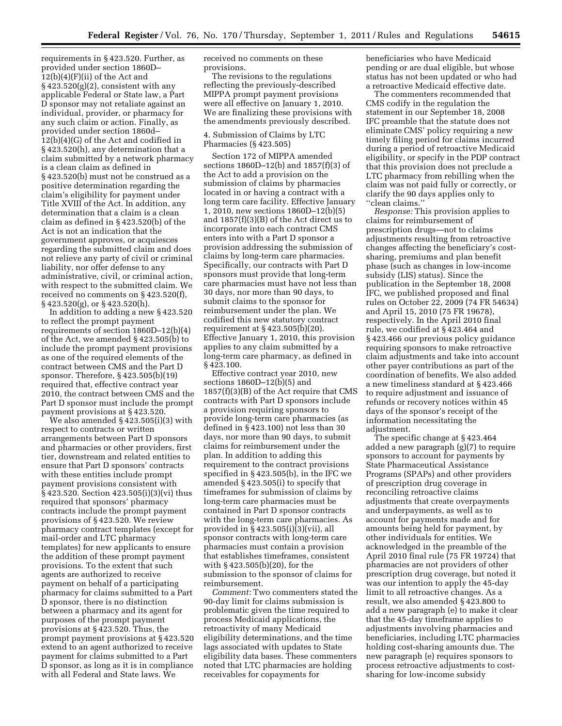requirements in § 423.520. Further, as provided under section 1860D–  $12(b)(4)(F)(ii)$  of the Act and  $\S 423.520(g)(2)$ , consistent with any applicable Federal or State law, a Part D sponsor may not retaliate against an individual, provider, or pharmacy for any such claim or action. Finally, as provided under section 1860d– 12(b)(4)(G) of the Act and codified in § 423.520(h), any determination that a claim submitted by a network pharmacy is a clean claim as defined in § 423.520(b) must not be construed as a positive determination regarding the claim's eligibility for payment under Title XVIII of the Act. In addition, any determination that a claim is a clean claim as defined in § 423.520(b) of the Act is not an indication that the government approves, or acquiesces regarding the submitted claim and does not relieve any party of civil or criminal liability, nor offer defense to any administrative, civil, or criminal action, with respect to the submitted claim. We received no comments on § 423.520(f), § 423.520(g), or § 423.520(h).

In addition to adding a new § 423.520 to reflect the prompt payment requirements of section 1860D–12(b)(4) of the Act, we amended § 423.505(b) to include the prompt payment provisions as one of the required elements of the contract between CMS and the Part D sponsor. Therefore, § 423.505(b)(19) required that, effective contract year 2010, the contract between CMS and the Part D sponsor must include the prompt payment provisions at § 423.520.

We also amended § 423.505(i)(3) with respect to contracts or written arrangements between Part D sponsors and pharmacies or other providers, first tier, downstream and related entities to ensure that Part D sponsors' contracts with these entities include prompt payment provisions consistent with § 423.520. Section 423.505(i)(3)(vi) thus required that sponsors' pharmacy contracts include the prompt payment provisions of § 423.520. We review pharmacy contract templates (except for mail-order and LTC pharmacy templates) for new applicants to ensure the addition of these prompt payment provisions. To the extent that such agents are authorized to receive payment on behalf of a participating pharmacy for claims submitted to a Part D sponsor, there is no distinction between a pharmacy and its agent for purposes of the prompt payment provisions at § 423.520. Thus, the prompt payment provisions at § 423.520 extend to an agent authorized to receive payment for claims submitted to a Part D sponsor, as long as it is in compliance with all Federal and State laws. We

received no comments on these provisions.

The revisions to the regulations reflecting the previously-described MIPPA prompt payment provisions were all effective on January 1, 2010. We are finalizing these provisions with the amendments previously described.

4. Submission of Claims by LTC Pharmacies (§ 423.505)

Section 172 of MIPPA amended sections 1860D–12(b) and 1857(f)(3) of the Act to add a provision on the submission of claims by pharmacies located in or having a contract with a long term care facility. Effective January 1, 2010, new sections 1860D–12(b)(5) and 1857(f)(3)(B) of the Act direct us to incorporate into each contract CMS enters into with a Part D sponsor a provision addressing the submission of claims by long-term care pharmacies. Specifically, our contracts with Part D sponsors must provide that long-term care pharmacies must have not less than 30 days, nor more than 90 days, to submit claims to the sponsor for reimbursement under the plan. We codified this new statutory contract requirement at § 423.505(b)(20). Effective January 1, 2010, this provision applies to any claim submitted by a long-term care pharmacy, as defined in § 423.100.

Effective contract year 2010, new sections 1860D–12(b)(5) and 1857(f)(3)(B) of the Act require that CMS contracts with Part D sponsors include a provision requiring sponsors to provide long-term care pharmacies (as defined in § 423.100) not less than 30 days, nor more than 90 days, to submit claims for reimbursement under the plan. In addition to adding this requirement to the contract provisions specified in § 423.505(b), in the IFC we amended § 423.505(i) to specify that timeframes for submission of claims by long-term care pharmacies must be contained in Part D sponsor contracts with the long-term care pharmacies. As provided in § 423.505(i)(3)(vii), all sponsor contracts with long-term care pharmacies must contain a provision that establishes timeframes, consistent with § 423.505(b)(20), for the submission to the sponsor of claims for reimbursement.

*Comment:* Two commenters stated the 90-day limit for claims submission is problematic given the time required to process Medicaid applications, the retroactivity of many Medicaid eligibility determinations, and the time lags associated with updates to State eligibility data bases. These commenters noted that LTC pharmacies are holding receivables for copayments for

beneficiaries who have Medicaid pending or are dual eligible, but whose status has not been updated or who had a retroactive Medicaid effective date.

The commenters recommended that CMS codify in the regulation the statement in our September 18, 2008 IFC preamble that the statute does not eliminate CMS' policy requiring a new timely filing period for claims incurred during a period of retroactive Medicaid eligibility, or specify in the PDP contract that this provision does not preclude a LTC pharmacy from rebilling when the claim was not paid fully or correctly, or clarify the 90 days applies only to ''clean claims.''

*Response:* This provision applies to claims for reimbursement of prescription drugs—not to claims adjustments resulting from retroactive changes affecting the beneficiary's costsharing, premiums and plan benefit phase (such as changes in low-income subsidy (LIS) status). Since the publication in the September 18, 2008 IFC, we published proposed and final rules on October 22, 2009 (74 FR 54634) and April 15, 2010 (75 FR 19678), respectively. In the April 2010 final rule, we codified at § 423.464 and § 423.466 our previous policy guidance requiring sponsors to make retroactive claim adjustments and take into account other payer contributions as part of the coordination of benefits. We also added a new timeliness standard at § 423.466 to require adjustment and issuance of refunds or recovery notices within 45 days of the sponsor's receipt of the information necessitating the adjustment.

The specific change at § 423.464 added a new paragraph (g)(7) to require sponsors to account for payments by State Pharmaceutical Assistance Programs (SPAPs) and other providers of prescription drug coverage in reconciling retroactive claims adjustments that create overpayments and underpayments, as well as to account for payments made and for amounts being held for payment, by other individuals for entities. We acknowledged in the preamble of the April 2010 final rule (75 FR 19724) that pharmacies are not providers of other prescription drug coverage, but noted it was our intention to apply the 45-day limit to all retroactive changes. As a result, we also amended § 423.800 to add a new paragraph (e) to make it clear that the 45-day timeframe applies to adjustments involving pharmacies and beneficiaries, including LTC pharmacies holding cost-sharing amounts due. The new paragraph (e) requires sponsors to process retroactive adjustments to costsharing for low-income subsidy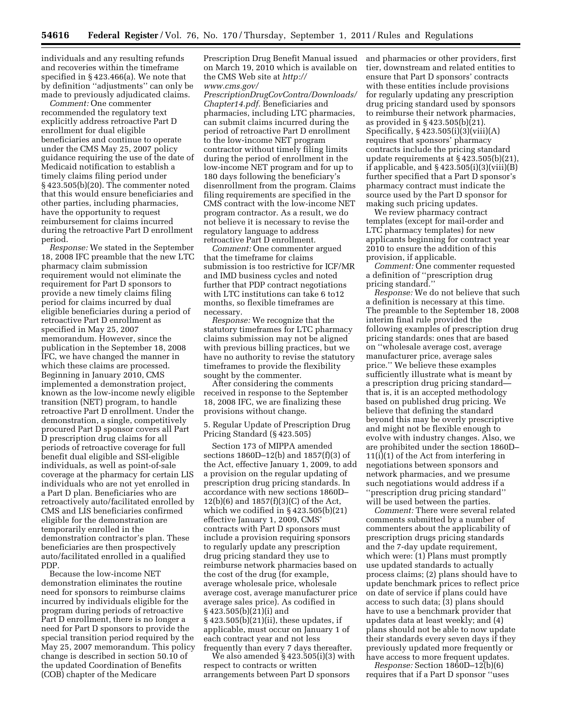individuals and any resulting refunds and recoveries within the timeframe specified in § 423.466(a). We note that by definition ''adjustments'' can only be made to previously adjudicated claims.

*Comment:* One commenter recommended the regulatory text explicitly address retroactive Part D enrollment for dual eligible beneficiaries and continue to operate under the CMS May 25, 2007 policy guidance requiring the use of the date of Medicaid notification to establish a timely claims filing period under § 423.505(b)(20). The commenter noted that this would ensure beneficiaries and other parties, including pharmacies, have the opportunity to request reimbursement for claims incurred during the retroactive Part D enrollment period.

*Response:* We stated in the September 18, 2008 IFC preamble that the new LTC pharmacy claim submission requirement would not eliminate the requirement for Part D sponsors to provide a new timely claims filing period for claims incurred by dual eligible beneficiaries during a period of retroactive Part D enrollment as specified in May 25, 2007 memorandum. However, since the publication in the September 18, 2008 IFC, we have changed the manner in which these claims are processed. Beginning in January 2010, CMS implemented a demonstration project, known as the low-income newly eligible transition (NET) program, to handle retroactive Part D enrollment. Under the demonstration, a single, competitively procured Part D sponsor covers all Part D prescription drug claims for all periods of retroactive coverage for full benefit dual eligible and SSI-eligible individuals, as well as point-of-sale coverage at the pharmacy for certain LIS individuals who are not yet enrolled in a Part D plan. Beneficiaries who are retroactively auto/facilitated enrolled by CMS and LIS beneficiaries confirmed eligible for the demonstration are temporarily enrolled in the demonstration contractor's plan. These beneficiaries are then prospectively auto/facilitated enrolled in a qualified PDP.

Because the low-income NET demonstration eliminates the routine need for sponsors to reimburse claims incurred by individuals eligible for the program during periods of retroactive Part D enrollment, there is no longer a need for Part D sponsors to provide the special transition period required by the May 25, 2007 memorandum. This policy change is described in section 50.10 of the updated Coordination of Benefits (COB) chapter of the Medicare

Prescription Drug Benefit Manual issued on March 19, 2010 which is available on the CMS Web site at *[http://](http://www.cms.gov/PrescriptionDrugCovContra/Downloads/Chapter14.pdf) [www.cms.gov/](http://www.cms.gov/PrescriptionDrugCovContra/Downloads/Chapter14.pdf)* 

*[PrescriptionDrugCovContra/Downloads/](http://www.cms.gov/PrescriptionDrugCovContra/Downloads/Chapter14.pdf) [Chapter14.pdf.](http://www.cms.gov/PrescriptionDrugCovContra/Downloads/Chapter14.pdf)* Beneficiaries and pharmacies, including LTC pharmacies, can submit claims incurred during the period of retroactive Part D enrollment to the low-income NET program contractor without timely filing limits during the period of enrollment in the low-income NET program and for up to 180 days following the beneficiary's disenrollment from the program. Claims filing requirements are specified in the CMS contract with the low-income NET program contractor. As a result, we do not believe it is necessary to revise the regulatory language to address retroactive Part D enrollment.

*Comment:* One commenter argued that the timeframe for claims submission is too restrictive for ICF/MR and IMD business cycles and noted further that PDP contract negotiations with LTC institutions can take 6 to12 months, so flexible timeframes are necessary.

*Response:* We recognize that the statutory timeframes for LTC pharmacy claims submission may not be aligned with previous billing practices, but we have no authority to revise the statutory timeframes to provide the flexibility sought by the commenter.

After considering the comments received in response to the September 18, 2008 IFC, we are finalizing these provisions without change.

5. Regular Update of Prescription Drug Pricing Standard (§ 423.505)

Section 173 of MIPPA amended sections 1860D–12(b) and 1857(f)(3) of the Act, effective January 1, 2009, to add a provision on the regular updating of prescription drug pricing standards. In accordance with new sections 1860D– 12(b)(6) and 1857(f)(3)(C) of the Act, which we codified in § 423.505(b)(21) effective January 1, 2009, CMS' contracts with Part D sponsors must include a provision requiring sponsors to regularly update any prescription drug pricing standard they use to reimburse network pharmacies based on the cost of the drug (for example, average wholesale price, wholesale average cost, average manufacturer price average sales price). As codified in § 423.505(b)(21)(i) and § 423.505(b)(21)(ii), these updates, if applicable, must occur on January 1 of each contract year and not less frequently than every 7 days thereafter.

We also amended § 423.505(i)(3) with respect to contracts or written arrangements between Part D sponsors

and pharmacies or other providers, first tier, downstream and related entities to ensure that Part D sponsors' contracts with these entities include provisions for regularly updating any prescription drug pricing standard used by sponsors to reimburse their network pharmacies, as provided in § 423.505(b)(21). Specifically,  $§$  423.505(i)(3)(viii)(A) requires that sponsors' pharmacy contracts include the pricing standard update requirements at § 423.505(b)(21), if applicable, and  $\S$  423.505(i)(3)(viii)(B) further specified that a Part D sponsor's pharmacy contract must indicate the source used by the Part D sponsor for making such pricing updates.

We review pharmacy contract templates (except for mail-order and LTC pharmacy templates) for new applicants beginning for contract year 2010 to ensure the addition of this provision, if applicable.

*Comment:* One commenter requested a definition of ''prescription drug pricing standard.''

*Response:* We do not believe that such a definition is necessary at this time. The preamble to the September 18, 2008 interim final rule provided the following examples of prescription drug pricing standards: ones that are based on ''wholesale average cost, average manufacturer price, average sales price.'' We believe these examples sufficiently illustrate what is meant by a prescription drug pricing standard that is, it is an accepted methodology based on published drug pricing. We believe that defining the standard beyond this may be overly prescriptive and might not be flexible enough to evolve with industry changes. Also, we are prohibited under the section 1860D– 11(i)(1) of the Act from interfering in negotiations between sponsors and network pharmacies, and we presume such negotiations would address if a ''prescription drug pricing standard'' will be used between the parties.

*Comment:* There were several related comments submitted by a number of commenters about the applicability of prescription drugs pricing standards and the 7-day update requirement, which were: (1) Plans must promptly use updated standards to actually process claims; (2) plans should have to update benchmark prices to reflect price on date of service if plans could have access to such data; (3) plans should have to use a benchmark provider that updates data at least weekly; and (4) plans should not be able to now update their standards every seven days if they previously updated more frequently or have access to more frequent updates.

*Response:* Section 1860D–12(b)(6) requires that if a Part D sponsor ''uses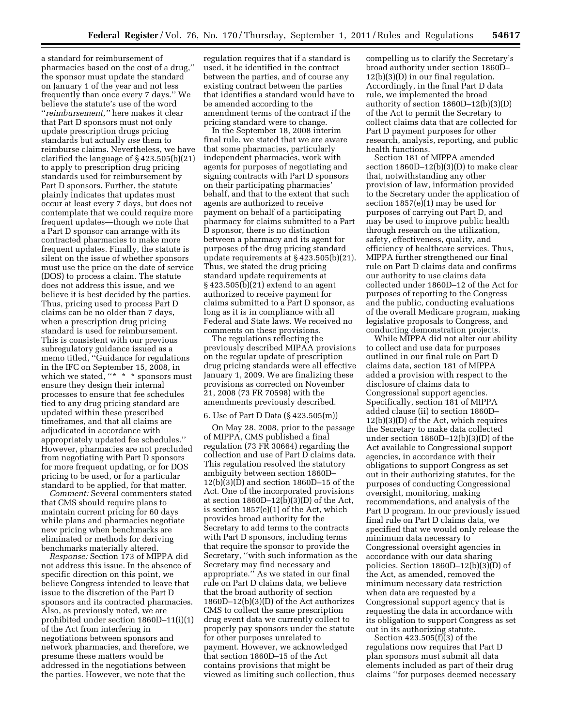a standard for reimbursement of pharmacies based on the cost of a drug,'' the sponsor must update the standard on January 1 of the year and not less frequently than once every 7 days.'' We believe the statute's use of the word ''*reimbursement,''* here makes it clear that Part D sponsors must not only update prescription drugs pricing standards but actually *use* them to reimburse claims. Nevertheless, we have clarified the language of § 423.505(b)(21) to apply to prescription drug pricing standards used for reimbursement by Part D sponsors. Further, the statute plainly indicates that updates must occur at least every 7 days, but does not contemplate that we could require more frequent updates—though we note that a Part D sponsor can arrange with its contracted pharmacies to make more frequent updates. Finally, the statute is silent on the issue of whether sponsors must use the price on the date of service (DOS) to process a claim. The statute does not address this issue, and we believe it is best decided by the parties. Thus, pricing used to process Part D claims can be no older than 7 days, when a prescription drug pricing standard is used for reimbursement. This is consistent with our previous subregulatory guidance issued as a memo titled, ''Guidance for regulations in the IFC on September 15, 2008, in which we stated, "\* \* \* sponsors must ensure they design their internal processes to ensure that fee schedules tied to any drug pricing standard are updated within these prescribed timeframes, and that all claims are adjudicated in accordance with appropriately updated fee schedules.'' However, pharmacies are not precluded from negotiating with Part D sponsors for more frequent updating, or for DOS pricing to be used, or for a particular standard to be applied, for that matter.

*Comment:* Several commenters stated that CMS should require plans to maintain current pricing for 60 days while plans and pharmacies negotiate new pricing when benchmarks are eliminated or methods for deriving benchmarks materially altered.

*Response:* Section 173 of MIPPA did not address this issue. In the absence of specific direction on this point, we believe Congress intended to leave that issue to the discretion of the Part D sponsors and its contracted pharmacies. Also, as previously noted, we are prohibited under section 1860D–11(i)(1) of the Act from interfering in negotiations between sponsors and network pharmacies, and therefore, we presume these matters would be addressed in the negotiations between the parties. However, we note that the

regulation requires that if a standard is used, it be identified in the contract between the parties, and of course any existing contract between the parties that identifies a standard would have to be amended according to the amendment terms of the contract if the pricing standard were to change.

In the September 18, 2008 interim final rule, we stated that we are aware that some pharmacies, particularly independent pharmacies, work with agents for purposes of negotiating and signing contracts with Part D sponsors on their participating pharmacies' behalf, and that to the extent that such agents are authorized to receive payment on behalf of a participating pharmacy for claims submitted to a Part D sponsor, there is no distinction between a pharmacy and its agent for purposes of the drug pricing standard update requirements at § 423.505(b)(21). Thus, we stated the drug pricing standard update requirements at § 423.505(b)(21) extend to an agent authorized to receive payment for claims submitted to a Part D sponsor, as long as it is in compliance with all Federal and State laws. We received no comments on these provisions.

The regulations reflecting the previously described MIPAA provisions on the regular update of prescription drug pricing standards were all effective January 1, 2009. We are finalizing these provisions as corrected on November 21, 2008 (73 FR 70598) with the amendments previously described.

#### 6. Use of Part D Data (§ 423.505(m))

On May 28, 2008, prior to the passage of MIPPA, CMS published a final regulation (73 FR 30664) regarding the collection and use of Part D claims data. This regulation resolved the statutory ambiguity between section 1860D– 12(b)(3)(D) and section 1860D–15 of the Act. One of the incorporated provisions at section  $1860D-12(b)(3)(D)$  of the Act, is section 1857(e)(1) of the Act, which provides broad authority for the Secretary to add terms to the contracts with Part D sponsors, including terms that require the sponsor to provide the Secretary, ''with such information as the Secretary may find necessary and appropriate.'' As we stated in our final rule on Part D claims data, we believe that the broad authority of section 1860D–12(b)(3)(D) of the Act authorizes CMS to collect the same prescription drug event data we currently collect to properly pay sponsors under the statute for other purposes unrelated to payment. However, we acknowledged that section 1860D–15 of the Act contains provisions that might be viewed as limiting such collection, thus

compelling us to clarify the Secretary's broad authority under section 1860D– 12(b)(3)(D) in our final regulation. Accordingly, in the final Part D data rule, we implemented the broad authority of section 1860D–12(b)(3)(D) of the Act to permit the Secretary to collect claims data that are collected for Part D payment purposes for other research, analysis, reporting, and public health functions.

Section 181 of MIPPA amended section 1860D–12(b)(3)(D) to make clear that, notwithstanding any other provision of law, information provided to the Secretary under the application of section 1857(e)(1) may be used for purposes of carrying out Part D, and may be used to improve public health through research on the utilization, safety, effectiveness, quality, and efficiency of healthcare services. Thus, MIPPA further strengthened our final rule on Part D claims data and confirms our authority to use claims data collected under 1860D–12 of the Act for purposes of reporting to the Congress and the public, conducting evaluations of the overall Medicare program, making legislative proposals to Congress, and conducting demonstration projects.

While MIPPA did not alter our ability to collect and use data for purposes outlined in our final rule on Part D claims data, section 181 of MIPPA added a provision with respect to the disclosure of claims data to Congressional support agencies. Specifically, section 181 of MIPPA added clause (ii) to section 1860D– 12(b)(3)(D) of the Act, which requires the Secretary to make data collected under section 1860D–12(b)(3)(D) of the Act available to Congressional support agencies, in accordance with their obligations to support Congress as set out in their authorizing statutes, for the purposes of conducting Congressional oversight, monitoring, making recommendations, and analysis of the Part D program. In our previously issued final rule on Part D claims data, we specified that we would only release the minimum data necessary to Congressional oversight agencies in accordance with our data sharing policies. Section 1860D–12(b)(3)(D) of the Act, as amended, removed the minimum necessary data restriction when data are requested by a Congressional support agency that is requesting the data in accordance with its obligation to support Congress as set out in its authorizing statute.

Section 423.505(f)(3) of the regulations now requires that Part D plan sponsors must submit all data elements included as part of their drug claims ''for purposes deemed necessary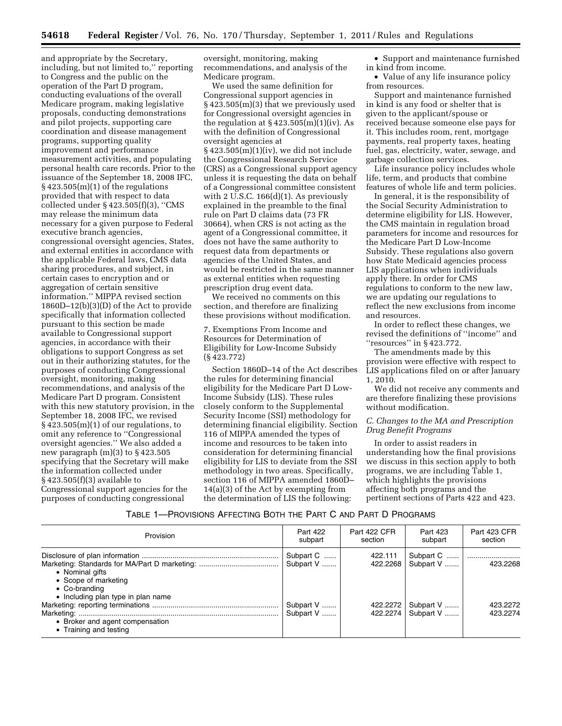and appropriate by the Secretary, including, but not limited to,'' reporting to Congress and the public on the operation of the Part D program, conducting evaluations of the overall Medicare program, making legislative proposals, conducting demonstrations and pilot projects, supporting care coordination and disease management programs, supporting quality improvement and performance measurement activities, and populating personal health care records. Prior to the issuance of the September 18, 2008 IFC,  $§ 423.505(m)(1)$  of the regulations provided that with respect to data collected under § 423.505(f)(3), ''CMS may release the minimum data necessary for a given purpose to Federal executive branch agencies, congressional oversight agencies, States, and external entities in accordance with the applicable Federal laws, CMS data sharing procedures, and subject, in certain cases to encryption and or aggregation of certain sensitive information.'' MIPPA revised section 1860D–12(b)(3)(D) of the Act to provide specifically that information collected pursuant to this section be made available to Congressional support agencies, in accordance with their obligations to support Congress as set out in their authorizing statutes, for the purposes of conducting Congressional oversight, monitoring, making recommendations, and analysis of the Medicare Part D program. Consistent with this new statutory provision, in the September 18, 2008 IFC, we revised  $\S$  423.505(m)(1) of our regulations, to omit any reference to ''Congressional oversight agencies.'' We also added a new paragraph  $(m)(3)$  to  $\S$  423.505 specifying that the Secretary will make the information collected under § 423.505(f)(3) available to Congressional support agencies for the purposes of conducting congressional

oversight, monitoring, making recommendations, and analysis of the Medicare program.

We used the same definition for Congressional support agencies in § 423.505(m)(3) that we previously used for Congressional oversight agencies in the regulation at  $\S$  423.505(m)(1)(iv). As with the definition of Congressional oversight agencies at § 423.505(m)(1)(iv), we did not include the Congressional Research Service (CRS) as a Congressional support agency unless it is requesting the data on behalf of a Congressional committee consistent with 2 U.S.C. 166(d)(1). As previously explained in the preamble to the final rule on Part D claims data (73 FR 30664), when CRS is not acting as the agent of a Congressional committee, it does not have the same authority to request data from departments or agencies of the United States, and would be restricted in the same manner as external entities when requesting prescription drug event data.

We received no comments on this section, and therefore are finalizing these provisions without modification.

7. Exemptions From Income and Resources for Determination of Eligibility for Low-Income Subsidy (§ 423.772)

Section 1860D–14 of the Act describes the rules for determining financial eligibility for the Medicare Part D Low-Income Subsidy (LIS). These rules closely conform to the Supplemental Security Income (SSI) methodology for determining financial eligibility. Section 116 of MIPPA amended the types of income and resources to be taken into consideration for determining financial eligibility for LIS to deviate from the SSI methodology in two areas. Specifically, section 116 of MIPPA amended 1860D– 14(a)(3) of the Act by exempting from the determination of LIS the following:

• Support and maintenance furnished in kind from income.

• Value of any life insurance policy from resources.

Support and maintenance furnished in kind is any food or shelter that is given to the applicant/spouse or received because someone else pays for it. This includes room, rent, mortgage payments, real property taxes, heating fuel, gas, electricity, water, sewage, and garbage collection services.

Life insurance policy includes whole life, term, and products that combine features of whole life and term policies.

In general, it is the responsibility of the Social Security Administration to determine eligibility for LIS. However, the CMS maintain in regulation broad parameters for income and resources for the Medicare Part D Low-Income Subsidy. These regulations also govern how State Medicaid agencies process LIS applications when individuals apply there. In order for CMS regulations to conform to the new law, we are updating our regulations to reflect the new exclusions from income and resources.

In order to reflect these changes, we revised the definitions of ''income'' and ''resources'' in § 423.772.

The amendments made by this provision were effective with respect to LIS applications filed on or after January 1, 2010.

We did not receive any comments and are therefore finalizing these provisions without modification.

# *C. Changes to the MA and Prescription Drug Benefit Programs*

In order to assist readers in understanding how the final provisions we discuss in this section apply to both programs, we are including Table 1, which highlights the provisions affecting both programs and the pertinent sections of Parts 422 and 423.

# TABLE 1—PROVISIONS AFFECTING BOTH THE PART C AND PART D PROGRAMS

| Provision                                                                                       | Part 422<br>subpart    | Part 422 CFR<br>section | Part 423<br>subpart       | Part 423 CFR<br>section |
|-------------------------------------------------------------------------------------------------|------------------------|-------------------------|---------------------------|-------------------------|
| • Nominal gifts<br>• Scope of marketing<br>• Co-branding                                        | Subpart C<br>Subpart V | 422.111<br>422.2268     | Subpart C   <br>Subpart V | 423.2268                |
| • Including plan type in plan name<br>• Broker and agent compensation<br>• Training and testing | Subpart V<br>Subpart V | 422.2272<br>422.2274    | Subpart V<br>Subpart V    | 423.2272<br>423.2274    |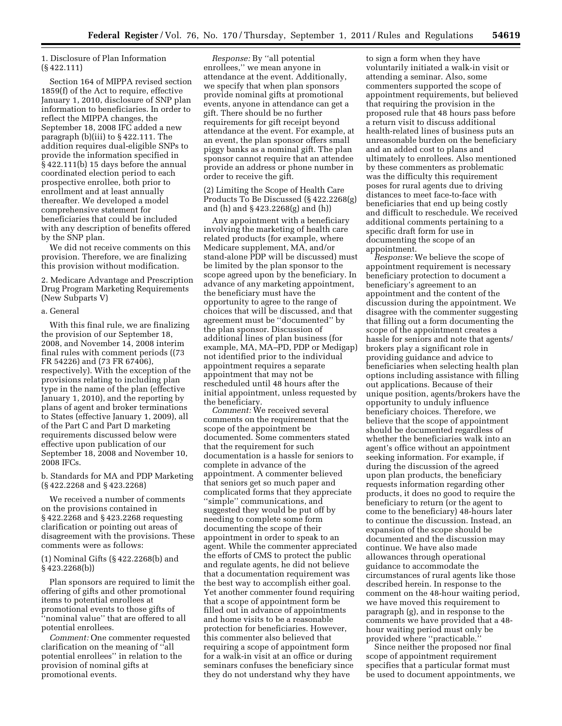# 1. Disclosure of Plan Information (§ 422.111)

Section 164 of MIPPA revised section 1859(f) of the Act to require, effective January 1, 2010, disclosure of SNP plan information to beneficiaries. In order to reflect the MIPPA changes, the September 18, 2008 IFC added a new paragraph (b)(iii) to § 422.111. The addition requires dual-eligible SNPs to provide the information specified in § 422.111(b) 15 days before the annual coordinated election period to each prospective enrollee, both prior to enrollment and at least annually thereafter. We developed a model comprehensive statement for beneficiaries that could be included with any description of benefits offered by the SNP plan.

We did not receive comments on this provision. Therefore, we are finalizing this provision without modification.

2. Medicare Advantage and Prescription Drug Program Marketing Requirements (New Subparts V)

#### a. General

With this final rule, we are finalizing the provision of our September 18, 2008, and November 14, 2008 interim final rules with comment periods ((73 FR 54226) and (73 FR 67406), respectively). With the exception of the provisions relating to including plan type in the name of the plan (effective January 1, 2010), and the reporting by plans of agent and broker terminations to States (effective January 1, 2009), all of the Part C and Part D marketing requirements discussed below were effective upon publication of our September 18, 2008 and November 10, 2008 IFCs.

b. Standards for MA and PDP Marketing (§ 422.2268 and § 423.2268)

We received a number of comments on the provisions contained in § 422.2268 and § 423.2268 requesting clarification or pointing out areas of disagreement with the provisions. These comments were as follows:

# (1) Nominal Gifts (§ 422.2268(b) and § 423.2268(b))

Plan sponsors are required to limit the offering of gifts and other promotional items to potential enrollees at promotional events to those gifts of ''nominal value'' that are offered to all potential enrollees.

*Comment:* One commenter requested clarification on the meaning of ''all potential enrollees'' in relation to the provision of nominal gifts at promotional events.

*Response:* By ''all potential enrollees,'' we mean anyone in attendance at the event. Additionally, we specify that when plan sponsors provide nominal gifts at promotional events, anyone in attendance can get a gift. There should be no further requirements for gift receipt beyond attendance at the event. For example, at an event, the plan sponsor offers small piggy banks as a nominal gift. The plan sponsor cannot require that an attendee provide an address or phone number in order to receive the gift.

(2) Limiting the Scope of Health Care Products To Be Discussed (§ 422.2268(g) and (h) and § 423.2268(g) and (h))

Any appointment with a beneficiary involving the marketing of health care related products (for example, where Medicare supplement, MA, and/or stand-alone PDP will be discussed) must be limited by the plan sponsor to the scope agreed upon by the beneficiary. In advance of any marketing appointment, the beneficiary must have the opportunity to agree to the range of choices that will be discussed, and that agreement must be ''documented'' by the plan sponsor. Discussion of additional lines of plan business (for example, MA, MA–PD, PDP or Medigap) not identified prior to the individual appointment requires a separate appointment that may not be rescheduled until 48 hours after the initial appointment, unless requested by the beneficiary.

*Comment:* We received several comments on the requirement that the scope of the appointment be documented. Some commenters stated that the requirement for such documentation is a hassle for seniors to complete in advance of the appointment. A commenter believed that seniors get so much paper and complicated forms that they appreciate ''simple'' communications, and suggested they would be put off by needing to complete some form documenting the scope of their appointment in order to speak to an agent. While the commenter appreciated the efforts of CMS to protect the public and regulate agents, he did not believe that a documentation requirement was the best way to accomplish either goal. Yet another commenter found requiring that a scope of appointment form be filled out in advance of appointments and home visits to be a reasonable protection for beneficiaries. However, this commenter also believed that requiring a scope of appointment form for a walk-in visit at an office or during seminars confuses the beneficiary since they do not understand why they have

to sign a form when they have voluntarily initiated a walk-in visit or attending a seminar. Also, some commenters supported the scope of appointment requirements, but believed that requiring the provision in the proposed rule that 48 hours pass before a return visit to discuss additional health-related lines of business puts an unreasonable burden on the beneficiary and an added cost to plans and ultimately to enrollees. Also mentioned by these commenters as problematic was the difficulty this requirement poses for rural agents due to driving distances to meet face-to-face with beneficiaries that end up being costly and difficult to reschedule. We received additional comments pertaining to a specific draft form for use in documenting the scope of an appointment.

*Response:* We believe the scope of appointment requirement is necessary beneficiary protection to document a beneficiary's agreement to an appointment and the content of the discussion during the appointment. We disagree with the commenter suggesting that filling out a form documenting the scope of the appointment creates a hassle for seniors and note that agents/ brokers play a significant role in providing guidance and advice to beneficiaries when selecting health plan options including assistance with filling out applications. Because of their unique position, agents/brokers have the opportunity to unduly influence beneficiary choices. Therefore, we believe that the scope of appointment should be documented regardless of whether the beneficiaries walk into an agent's office without an appointment seeking information. For example, if during the discussion of the agreed upon plan products, the beneficiary requests information regarding other products, it does no good to require the beneficiary to return (or the agent to come to the beneficiary) 48-hours later to continue the discussion. Instead, an expansion of the scope should be documented and the discussion may continue. We have also made allowances through operational guidance to accommodate the circumstances of rural agents like those described herein. In response to the comment on the 48-hour waiting period, we have moved this requirement to paragraph (g), and in response to the comments we have provided that a 48 hour waiting period must only be provided where "practicable.

Since neither the proposed nor final scope of appointment requirement specifies that a particular format must be used to document appointments, we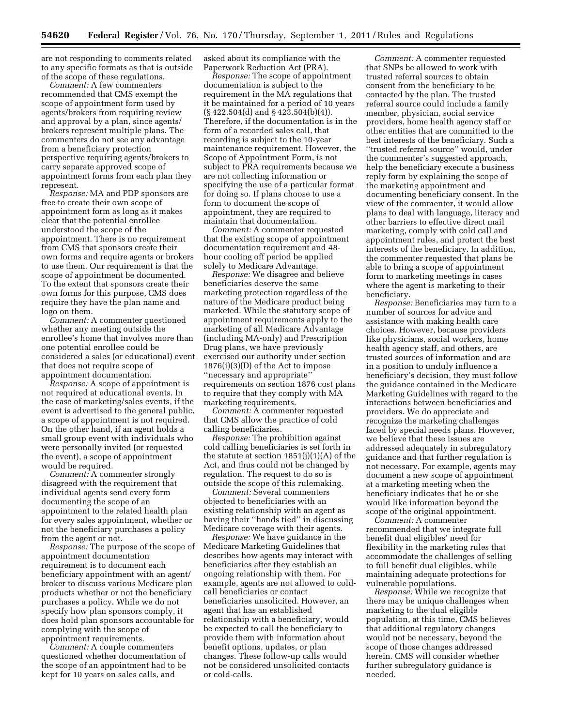are not responding to comments related to any specific formats as that is outside of the scope of these regulations.

*Comment:* A few commenters recommended that CMS exempt the scope of appointment form used by agents/brokers from requiring review and approval by a plan, since agents/ brokers represent multiple plans. The commenters do not see any advantage from a beneficiary protection perspective requiring agents/brokers to carry separate approved scope of appointment forms from each plan they represent.

*Response:* MA and PDP sponsors are free to create their own scope of appointment form as long as it makes clear that the potential enrollee understood the scope of the appointment. There is no requirement from CMS that sponsors create their own forms and require agents or brokers to use them. Our requirement is that the scope of appointment be documented. To the extent that sponsors create their own forms for this purpose, CMS does require they have the plan name and logo on them.

*Comment:* A commenter questioned whether any meeting outside the enrollee's home that involves more than one potential enrollee could be considered a sales (or educational) event that does not require scope of appointment documentation.

*Response:* A scope of appointment is not required at educational events. In the case of marketing/sales events, if the event is advertised to the general public, a scope of appointment is not required. On the other hand, if an agent holds a small group event with individuals who were personally invited (or requested the event), a scope of appointment would be required.

*Comment:* A commenter strongly disagreed with the requirement that individual agents send every form documenting the scope of an appointment to the related health plan for every sales appointment, whether or not the beneficiary purchases a policy from the agent or not.

*Response:* The purpose of the scope of appointment documentation requirement is to document each beneficiary appointment with an agent/ broker to discuss various Medicare plan products whether or not the beneficiary purchases a policy. While we do not specify how plan sponsors comply, it does hold plan sponsors accountable for complying with the scope of appointment requirements.

*Comment:* A couple commenters questioned whether documentation of the scope of an appointment had to be kept for 10 years on sales calls, and

asked about its compliance with the Paperwork Reduction Act (PRA).

*Response:* The scope of appointment documentation is subject to the requirement in the MA regulations that it be maintained for a period of 10 years (§ 422.504(d) and § 423.504(b)(4)). Therefore, if the documentation is in the form of a recorded sales call, that recording is subject to the 10-year maintenance requirement. However, the Scope of Appointment Form, is not subject to PRA requirements because we are not collecting information or specifying the use of a particular format for doing so. If plans choose to use a form to document the scope of appointment, they are required to maintain that documentation.

*Comment:* A commenter requested that the existing scope of appointment documentation requirement and 48 hour cooling off period be applied solely to Medicare Advantage.

*Response:* We disagree and believe beneficiaries deserve the same marketing protection regardless of the nature of the Medicare product being marketed. While the statutory scope of appointment requirements apply to the marketing of all Medicare Advantage (including MA-only) and Prescription Drug plans, we have previously exercised our authority under section 1876(i)(3)(D) of the Act to impose ''necessary and appropriate'' requirements on section 1876 cost plans to require that they comply with MA marketing requirements.

*Comment:* A commenter requested that CMS allow the practice of cold calling beneficiaries.

*Response:* The prohibition against cold calling beneficiaries is set forth in the statute at section 1851(j)(1)(A) of the Act, and thus could not be changed by regulation. The request to do so is outside the scope of this rulemaking.

*Comment:* Several commenters objected to beneficiaries with an existing relationship with an agent as having their ''hands tied'' in discussing Medicare coverage with their agents.

*Response:* We have guidance in the Medicare Marketing Guidelines that describes how agents may interact with beneficiaries after they establish an ongoing relationship with them. For example, agents are not allowed to coldcall beneficiaries or contact beneficiaries unsolicited. However, an agent that has an established relationship with a beneficiary, would be expected to call the beneficiary to provide them with information about benefit options, updates, or plan changes. These follow-up calls would not be considered unsolicited contacts or cold-calls.

*Comment:* A commenter requested that SNPs be allowed to work with trusted referral sources to obtain consent from the beneficiary to be contacted by the plan. The trusted referral source could include a family member, physician, social service providers, home health agency staff or other entities that are committed to the best interests of the beneficiary. Such a ''trusted referral source'' would, under the commenter's suggested approach, help the beneficiary execute a business reply form by explaining the scope of the marketing appointment and documenting beneficiary consent. In the view of the commenter, it would allow plans to deal with language, literacy and other barriers to effective direct mail marketing, comply with cold call and appointment rules, and protect the best interests of the beneficiary. In addition, the commenter requested that plans be able to bring a scope of appointment form to marketing meetings in cases where the agent is marketing to their beneficiary.

*Response:* Beneficiaries may turn to a number of sources for advice and assistance with making health care choices. However, because providers like physicians, social workers, home health agency staff, and others, are trusted sources of information and are in a position to unduly influence a beneficiary's decision, they must follow the guidance contained in the Medicare Marketing Guidelines with regard to the interactions between beneficiaries and providers. We do appreciate and recognize the marketing challenges faced by special needs plans. However, we believe that these issues are addressed adequately in subregulatory guidance and that further regulation is not necessary. For example, agents may document a new scope of appointment at a marketing meeting when the beneficiary indicates that he or she would like information beyond the scope of the original appointment.

*Comment:* A commenter recommended that we integrate full benefit dual eligibles' need for flexibility in the marketing rules that accommodate the challenges of selling to full benefit dual eligibles, while maintaining adequate protections for vulnerable populations.

*Response:* While we recognize that there may be unique challenges when marketing to the dual eligible population, at this time, CMS believes that additional regulatory changes would not be necessary, beyond the scope of those changes addressed herein. CMS will consider whether further subregulatory guidance is needed.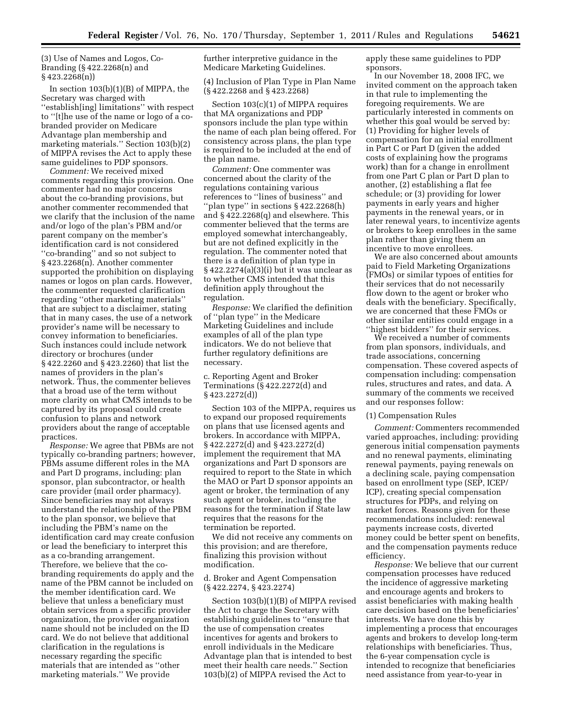(3) Use of Names and Logos, Co-Branding (§ 422.2268(n) and § 423.2268(n))

In section  $103(b)(1)(B)$  of MIPPA, the Secretary was charged with ''establish[ing] limitations'' with respect to ''[t]he use of the name or logo of a cobranded provider on Medicare Advantage plan membership and marketing materials.'' Section 103(b)(2) of MIPPA revises the Act to apply these same guidelines to PDP sponsors.

*Comment:* We received mixed comments regarding this provision. One commenter had no major concerns about the co-branding provisions, but another commenter recommended that we clarify that the inclusion of the name and/or logo of the plan's PBM and/or parent company on the member's identification card is not considered ''co-branding'' and so not subject to § 423.2268(n). Another commenter supported the prohibition on displaying names or logos on plan cards. However, the commenter requested clarification regarding ''other marketing materials'' that are subject to a disclaimer, stating that in many cases, the use of a network provider's name will be necessary to convey information to beneficiaries. Such instances could include network directory or brochures (under § 422.2260 and § 423.2260) that list the names of providers in the plan's network. Thus, the commenter believes that a broad use of the term without more clarity on what CMS intends to be captured by its proposal could create confusion to plans and network providers about the range of acceptable practices.

*Response:* We agree that PBMs are not typically co-branding partners; however, PBMs assume different roles in the MA and Part D programs, including: plan sponsor, plan subcontractor, or health care provider (mail order pharmacy). Since beneficiaries may not always understand the relationship of the PBM to the plan sponsor, we believe that including the PBM's name on the identification card may create confusion or lead the beneficiary to interpret this as a co-branding arrangement. Therefore, we believe that the cobranding requirements do apply and the name of the PBM cannot be included on the member identification card. We believe that unless a beneficiary must obtain services from a specific provider organization, the provider organization name should not be included on the ID card. We do not believe that additional clarification in the regulations is necessary regarding the specific materials that are intended as ''other marketing materials.'' We provide

further interpretive guidance in the Medicare Marketing Guidelines.

(4) Inclusion of Plan Type in Plan Name (§ 422.2268 and § 423.2268)

Section 103(c)(1) of MIPPA requires that MA organizations and PDP sponsors include the plan type within the name of each plan being offered. For consistency across plans, the plan type is required to be included at the end of the plan name.

*Comment:* One commenter was concerned about the clarity of the regulations containing various references to ''lines of business'' and ''plan type'' in sections § 422.2268(h) and § 422.2268(q) and elsewhere. This commenter believed that the terms are employed somewhat interchangeably, but are not defined explicitly in the regulation. The commenter noted that there is a definition of plan type in § 422.2274(a)(3)(i) but it was unclear as to whether CMS intended that this definition apply throughout the regulation.

*Response:* We clarified the definition of ''plan type'' in the Medicare Marketing Guidelines and include examples of all of the plan type indicators. We do not believe that further regulatory definitions are necessary.

c. Reporting Agent and Broker Terminations (§ 422.2272(d) and § 423.2272(d))

Section 103 of the MIPPA, requires us to expand our proposed requirements on plans that use licensed agents and brokers. In accordance with MIPPA, § 422.2272(d) and § 423.2272(d) implement the requirement that MA organizations and Part D sponsors are required to report to the State in which the MAO or Part D sponsor appoints an agent or broker, the termination of any such agent or broker, including the reasons for the termination if State law requires that the reasons for the termination be reported.

We did not receive any comments on this provision; and are therefore, finalizing this provision without modification.

# d. Broker and Agent Compensation (§ 422.2274, § 423.2274)

Section 103(b)(1)(B) of MIPPA revised the Act to charge the Secretary with establishing guidelines to ''ensure that the use of compensation creates incentives for agents and brokers to enroll individuals in the Medicare Advantage plan that is intended to best meet their health care needs.'' Section 103(b)(2) of MIPPA revised the Act to

apply these same guidelines to PDP sponsors.

In our November 18, 2008 IFC, we invited comment on the approach taken in that rule to implementing the foregoing requirements. We are particularly interested in comments on whether this goal would be served by: (1) Providing for higher levels of compensation for an initial enrollment in Part C or Part D (given the added costs of explaining how the programs work) than for a change in enrollment from one Part C plan or Part D plan to another, (2) establishing a flat fee schedule; or (3) providing for lower payments in early years and higher payments in the renewal years, or in later renewal years, to incentivize agents or brokers to keep enrollees in the same plan rather than giving them an incentive to move enrollees.

We are also concerned about amounts paid to Field Marketing Organizations (FMOs) or similar typoes of entities for their services that do not necessarily flow down to the agent or broker who deals with the beneficiary. Specifically, we are concerned that these FMOs or other similar entities could engage in a ''highest bidders'' for their services.

We received a number of comments from plan sponsors, individuals, and trade associations, concerning compensation. These covered aspects of compensation including: compensation rules, structures and rates, and data. A summary of the comments we received and our responses follow:

#### (1) Compensation Rules

*Comment:* Commenters recommended varied approaches, including: providing generous initial compensation payments and no renewal payments, eliminating renewal payments, paying renewals on a declining scale, paying compensation based on enrollment type (SEP, ICEP/ ICP), creating special compensation structures for PDPs, and relying on market forces. Reasons given for these recommendations included: renewal payments increase costs, diverted money could be better spent on benefits, and the compensation payments reduce efficiency.

*Response:* We believe that our current compensation processes have reduced the incidence of aggressive marketing and encourage agents and brokers to assist beneficiaries with making health care decision based on the beneficiaries' interests. We have done this by implementing a process that encourages agents and brokers to develop long-term relationships with beneficiaries. Thus, the 6-year compensation cycle is intended to recognize that beneficiaries need assistance from year-to-year in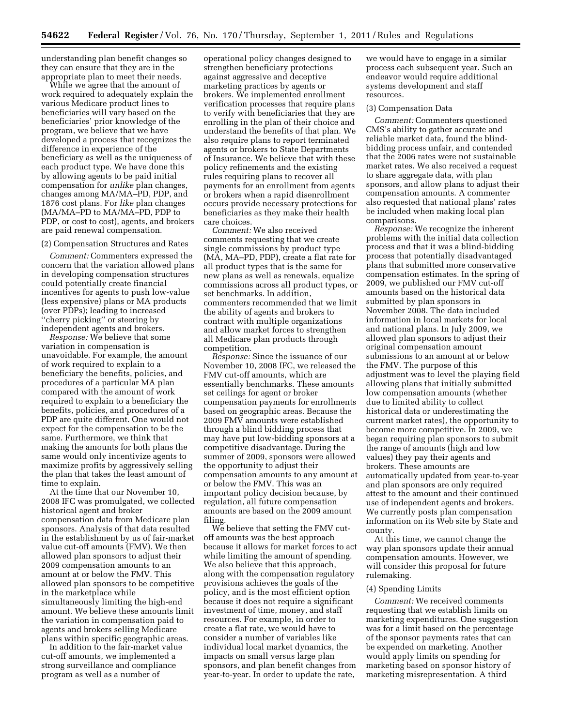understanding plan benefit changes so they can ensure that they are in the appropriate plan to meet their needs.

While we agree that the amount of work required to adequately explain the various Medicare product lines to beneficiaries will vary based on the beneficiaries' prior knowledge of the program, we believe that we have developed a process that recognizes the difference in experience of the beneficiary as well as the uniqueness of each product type. We have done this by allowing agents to be paid initial compensation for *unlike* plan changes, changes among MA/MA–PD, PDP, and 1876 cost plans. For *like* plan changes (MA/MA–PD to MA/MA–PD, PDP to PDP, or cost to cost), agents, and brokers are paid renewal compensation.

#### (2) Compensation Structures and Rates

*Comment:* Commenters expressed the concern that the variation allowed plans in developing compensation structures could potentially create financial incentives for agents to push low-value (less expensive) plans or MA products (over PDPs); leading to increased ''cherry picking'' or steering by independent agents and brokers.

*Response:* We believe that some variation in compensation is unavoidable. For example, the amount of work required to explain to a beneficiary the benefits, policies, and procedures of a particular MA plan compared with the amount of work required to explain to a beneficiary the benefits, policies, and procedures of a PDP are quite different. One would not expect for the compensation to be the same. Furthermore, we think that making the amounts for both plans the same would only incentivize agents to maximize profits by aggressively selling the plan that takes the least amount of time to explain.

At the time that our November 10, 2008 IFC was promulgated, we collected historical agent and broker compensation data from Medicare plan sponsors. Analysis of that data resulted in the establishment by us of fair-market value cut-off amounts (FMV). We then allowed plan sponsors to adjust their 2009 compensation amounts to an amount at or below the FMV. This allowed plan sponsors to be competitive in the marketplace while simultaneously limiting the high-end amount. We believe these amounts limit the variation in compensation paid to agents and brokers selling Medicare plans within specific geographic areas.

In addition to the fair-market value cut-off amounts, we implemented a strong surveillance and compliance program as well as a number of

operational policy changes designed to strengthen beneficiary protections against aggressive and deceptive marketing practices by agents or brokers. We implemented enrollment verification processes that require plans to verify with beneficiaries that they are enrolling in the plan of their choice and understand the benefits of that plan. We also require plans to report terminated agents or brokers to State Departments of Insurance. We believe that with these policy refinements and the existing rules requiring plans to recover all payments for an enrollment from agents or brokers when a rapid disenrollment occurs provide necessary protections for beneficiaries as they make their health care choices.

*Comment:* We also received comments requesting that we create single commissions by product type (MA, MA–PD, PDP), create a flat rate for all product types that is the same for new plans as well as renewals, equalize commissions across all product types, or set benchmarks. In addition, commenters recommended that we limit the ability of agents and brokers to contract with multiple organizations and allow market forces to strengthen all Medicare plan products through competition.

*Response:* Since the issuance of our November 10, 2008 IFC, we released the FMV cut-off amounts, which are essentially benchmarks. These amounts set ceilings for agent or broker compensation payments for enrollments based on geographic areas. Because the 2009 FMV amounts were established through a blind bidding process that may have put low-bidding sponsors at a competitive disadvantage. During the summer of 2009, sponsors were allowed the opportunity to adjust their compensation amounts to any amount at or below the FMV. This was an important policy decision because, by regulation, all future compensation amounts are based on the 2009 amount filing.

We believe that setting the FMV cutoff amounts was the best approach because it allows for market forces to act while limiting the amount of spending. We also believe that this approach, along with the compensation regulatory provisions achieves the goals of the policy, and is the most efficient option because it does not require a significant investment of time, money, and staff resources. For example, in order to create a flat rate, we would have to consider a number of variables like individual local market dynamics, the impacts on small versus large plan sponsors, and plan benefit changes from year-to-year. In order to update the rate,

we would have to engage in a similar process each subsequent year. Such an endeavor would require additional systems development and staff resources.

#### (3) Compensation Data

*Comment:* Commenters questioned CMS's ability to gather accurate and reliable market data, found the blindbidding process unfair, and contended that the 2006 rates were not sustainable market rates. We also received a request to share aggregate data, with plan sponsors, and allow plans to adjust their compensation amounts. A commenter also requested that national plans' rates be included when making local plan comparisons.

*Response:* We recognize the inherent problems with the initial data collection process and that it was a blind-bidding process that potentially disadvantaged plans that submitted more conservative compensation estimates. In the spring of 2009, we published our FMV cut-off amounts based on the historical data submitted by plan sponsors in November 2008. The data included information in local markets for local and national plans. In July 2009, we allowed plan sponsors to adjust their original compensation amount submissions to an amount at or below the FMV. The purpose of this adjustment was to level the playing field allowing plans that initially submitted low compensation amounts (whether due to limited ability to collect historical data or underestimating the current market rates), the opportunity to become more competitive. In 2009, we began requiring plan sponsors to submit the range of amounts (high and low values) they pay their agents and brokers. These amounts are automatically updated from year-to-year and plan sponsors are only required attest to the amount and their continued use of independent agents and brokers. We currently posts plan compensation information on its Web site by State and county.

At this time, we cannot change the way plan sponsors update their annual compensation amounts. However, we will consider this proposal for future rulemaking.

#### (4) Spending Limits

*Comment:* We received comments requesting that we establish limits on marketing expenditures. One suggestion was for a limit based on the percentage of the sponsor payments rates that can be expended on marketing. Another would apply limits on spending for marketing based on sponsor history of marketing misrepresentation. A third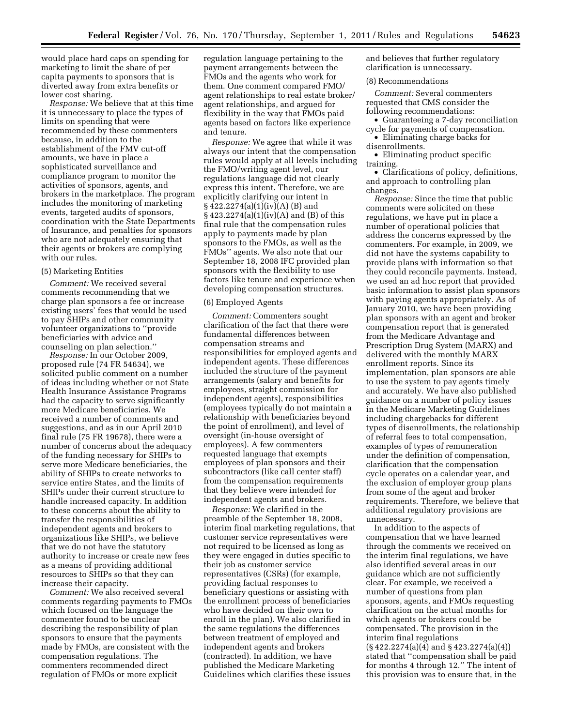would place hard caps on spending for marketing to limit the share of per capita payments to sponsors that is diverted away from extra benefits or lower cost sharing.

*Response:* We believe that at this time it is unnecessary to place the types of limits on spending that were recommended by these commenters because, in addition to the establishment of the FMV cut-off amounts, we have in place a sophisticated surveillance and compliance program to monitor the activities of sponsors, agents, and brokers in the marketplace. The program includes the monitoring of marketing events, targeted audits of sponsors, coordination with the State Departments of Insurance, and penalties for sponsors who are not adequately ensuring that their agents or brokers are complying with our rules.

#### (5) Marketing Entities

*Comment:* We received several comments recommending that we charge plan sponsors a fee or increase existing users' fees that would be used to pay SHIPs and other community volunteer organizations to ''provide beneficiaries with advice and counseling on plan selection.''

*Response:* In our October 2009, proposed rule (74 FR 54634), we solicited public comment on a number of ideas including whether or not State Health Insurance Assistance Programs had the capacity to serve significantly more Medicare beneficiaries. We received a number of comments and suggestions, and as in our April 2010 final rule (75 FR 19678), there were a number of concerns about the adequacy of the funding necessary for SHIPs to serve more Medicare beneficiaries, the ability of SHIPs to create networks to service entire States, and the limits of SHIPs under their current structure to handle increased capacity. In addition to these concerns about the ability to transfer the responsibilities of independent agents and brokers to organizations like SHIPs, we believe that we do not have the statutory authority to increase or create new fees as a means of providing additional resources to SHIPs so that they can increase their capacity.

*Comment:* We also received several comments regarding payments to FMOs which focused on the language the commenter found to be unclear describing the responsibility of plan sponsors to ensure that the payments made by FMOs, are consistent with the compensation regulations. The commenters recommended direct regulation of FMOs or more explicit

regulation language pertaining to the payment arrangements between the FMOs and the agents who work for them. One comment compared FMO/ agent relationships to real estate broker/ agent relationships, and argued for flexibility in the way that FMOs paid agents based on factors like experience and tenure.

*Response:* We agree that while it was always our intent that the compensation rules would apply at all levels including the FMO/writing agent level, our regulations language did not clearly express this intent. Therefore, we are explicitly clarifying our intent in  $§ 422.2274(a)(1)(iv)(A) (B) and$ § 423.2274(a)(1)(iv)(A) and (B) of this final rule that the compensation rules apply to payments made by plan sponsors to the FMOs, as well as the FMOs'' agents. We also note that our September 18, 2008 IFC provided plan sponsors with the flexibility to use factors like tenure and experience when developing compensation structures.

## (6) Employed Agents

*Comment:* Commenters sought clarification of the fact that there were fundamental differences between compensation streams and responsibilities for employed agents and independent agents. These differences included the structure of the payment arrangements (salary and benefits for employees, straight commission for independent agents), responsibilities (employees typically do not maintain a relationship with beneficiaries beyond the point of enrollment), and level of oversight (in-house oversight of employees). A few commenters requested language that exempts employees of plan sponsors and their subcontractors (like call center staff) from the compensation requirements that they believe were intended for independent agents and brokers.

*Response:* We clarified in the preamble of the September 18, 2008, interim final marketing regulations, that customer service representatives were not required to be licensed as long as they were engaged in duties specific to their job as customer service representatives (CSRs) (for example, providing factual responses to beneficiary questions or assisting with the enrollment process of beneficiaries who have decided on their own to enroll in the plan). We also clarified in the same regulations the differences between treatment of employed and independent agents and brokers (contracted). In addition, we have published the Medicare Marketing Guidelines which clarifies these issues

and believes that further regulatory clarification is unnecessary.

#### (8) Recommendations

*Comment:* Several commenters requested that CMS consider the following recommendations:

• Guaranteeing a 7-day reconciliation cycle for payments of compensation.

• Eliminating charge backs for disenrollments.

• Eliminating product specific training.

• Clarifications of policy, definitions, and approach to controlling plan changes.

*Response:* Since the time that public comments were solicited on these regulations, we have put in place a number of operational policies that address the concerns expressed by the commenters. For example, in 2009, we did not have the systems capability to provide plans with information so that they could reconcile payments. Instead, we used an ad hoc report that provided basic information to assist plan sponsors with paying agents appropriately. As of January 2010, we have been providing plan sponsors with an agent and broker compensation report that is generated from the Medicare Advantage and Prescription Drug System (MARX) and delivered with the monthly MARX enrollment reports. Since its implementation, plan sponsors are able to use the system to pay agents timely and accurately. We have also published guidance on a number of policy issues in the Medicare Marketing Guidelines including chargebacks for different types of disenrollments, the relationship of referral fees to total compensation, examples of types of remuneration under the definition of compensation, clarification that the compensation cycle operates on a calendar year, and the exclusion of employer group plans from some of the agent and broker requirements. Therefore, we believe that additional regulatory provisions are unnecessary.

In addition to the aspects of compensation that we have learned through the comments we received on the interim final regulations, we have also identified several areas in our guidance which are not sufficiently clear. For example, we received a number of questions from plan sponsors, agents, and FMOs requesting clarification on the actual months for which agents or brokers could be compensated. The provision in the interim final regulations (§ 422.2274(a)(4) and § 423.2274(a)(4)) stated that ''compensation shall be paid for months 4 through 12.'' The intent of this provision was to ensure that, in the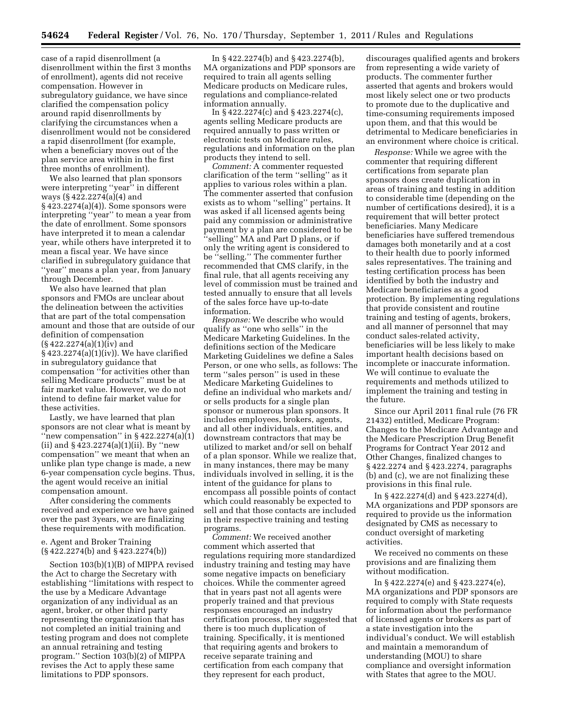case of a rapid disenrollment (a disenrollment within the first 3 months of enrollment), agents did not receive compensation. However in subregulatory guidance, we have since clarified the compensation policy around rapid disenrollments by clarifying the circumstances when a disenrollment would not be considered a rapid disenrollment (for example, when a beneficiary moves out of the plan service area within in the first three months of enrollment).

We also learned that plan sponsors were interpreting ''year'' in different ways  $(\frac{6}{422.2274(a)(4)}$  and § 423.2274(a)(4)). Some sponsors were interpreting ''year'' to mean a year from the date of enrollment. Some sponsors have interpreted it to mean a calendar year, while others have interpreted it to mean a fiscal year. We have since clarified in subregulatory guidance that ''year'' means a plan year, from January through December.

We also have learned that plan sponsors and FMOs are unclear about the delineation between the activities that are part of the total compensation amount and those that are outside of our definition of compensation (§ 422.2274(a)(1)(iv) and § 423.2274(a)(1)(iv)). We have clarified in subregulatory guidance that compensation ''for activities other than selling Medicare products'' must be at fair market value. However, we do not intend to define fair market value for these activities.

Lastly, we have learned that plan sponsors are not clear what is meant by "new compensation" in  $§$  422.2274(a)(1) (ii) and  $\S 423.2274(a)(1)(ii)$ . By "new compensation'' we meant that when an unlike plan type change is made, a new 6-year compensation cycle begins. Thus, the agent would receive an initial compensation amount.

After considering the comments received and experience we have gained over the past 3years, we are finalizing these requirements with modification.

# e. Agent and Broker Training (§ 422.2274(b) and § 423.2274(b))

Section 103(b)(1)(B) of MIPPA revised the Act to charge the Secretary with establishing ''limitations with respect to the use by a Medicare Advantage organization of any individual as an agent, broker, or other third party representing the organization that has not completed an initial training and testing program and does not complete an annual retraining and testing program.'' Section 103(b)(2) of MIPPA revises the Act to apply these same limitations to PDP sponsors.

In § 422.2274(b) and § 423.2274(b), MA organizations and PDP sponsors are required to train all agents selling Medicare products on Medicare rules, regulations and compliance-related information annually.

In § 422.2274(c) and § 423.2274(c), agents selling Medicare products are required annually to pass written or electronic tests on Medicare rules, regulations and information on the plan products they intend to sell.

*Comment:* A commenter requested clarification of the term ''selling'' as it applies to various roles within a plan. The commenter asserted that confusion exists as to whom ''selling'' pertains. It was asked if all licensed agents being paid any commission or administrative payment by a plan are considered to be ''selling'' MA and Part D plans, or if only the writing agent is considered to be ''selling.'' The commenter further recommended that CMS clarify, in the final rule, that all agents receiving any level of commission must be trained and tested annually to ensure that all levels of the sales force have up-to-date information.

*Response:* We describe who would qualify as ''one who sells'' in the Medicare Marketing Guidelines. In the definitions section of the Medicare Marketing Guidelines we define a Sales Person, or one who sells, as follows: The term ''sales person'' is used in these Medicare Marketing Guidelines to define an individual who markets and/ or sells products for a single plan sponsor or numerous plan sponsors. It includes employees, brokers, agents, and all other individuals, entities, and downstream contractors that may be utilized to market and/or sell on behalf of a plan sponsor. While we realize that, in many instances, there may be many individuals involved in selling, it is the intent of the guidance for plans to encompass all possible points of contact which could reasonably be expected to sell and that those contacts are included in their respective training and testing programs.

*Comment:* We received another comment which asserted that regulations requiring more standardized industry training and testing may have some negative impacts on beneficiary choices. While the commenter agreed that in years past not all agents were properly trained and that previous responses encouraged an industry certification process, they suggested that there is too much duplication of training. Specifically, it is mentioned that requiring agents and brokers to receive separate training and certification from each company that they represent for each product,

discourages qualified agents and brokers from representing a wide variety of products. The commenter further asserted that agents and brokers would most likely select one or two products to promote due to the duplicative and time-consuming requirements imposed upon them, and that this would be detrimental to Medicare beneficiaries in an environment where choice is critical.

*Response:* While we agree with the commenter that requiring different certifications from separate plan sponsors does create duplication in areas of training and testing in addition to considerable time (depending on the number of certifications desired), it is a requirement that will better protect beneficiaries. Many Medicare beneficiaries have suffered tremendous damages both monetarily and at a cost to their health due to poorly informed sales representatives. The training and testing certification process has been identified by both the industry and Medicare beneficiaries as a good protection. By implementing regulations that provide consistent and routine training and testing of agents, brokers, and all manner of personnel that may conduct sales-related activity, beneficiaries will be less likely to make important health decisions based on incomplete or inaccurate information. We will continue to evaluate the requirements and methods utilized to implement the training and testing in the future.

Since our April 2011 final rule (76 FR 21432) entitled, Medicare Program: Changes to the Medicare Advantage and the Medicare Prescription Drug Benefit Programs for Contract Year 2012 and Other Changes, finalized changes to § 422.2274 and § 423.2274, paragraphs (b) and (c), we are not finalizing these provisions in this final rule.

In § 422.2274(d) and § 423.2274(d), MA organizations and PDP sponsors are required to provide us the information designated by CMS as necessary to conduct oversight of marketing activities.

We received no comments on these provisions and are finalizing them without modification.

In § 422.2274(e) and § 423.2274(e), MA organizations and PDP sponsors are required to comply with State requests for information about the performance of licensed agents or brokers as part of a state investigation into the individual's conduct. We will establish and maintain a memorandum of understanding (MOU) to share compliance and oversight information with States that agree to the MOU.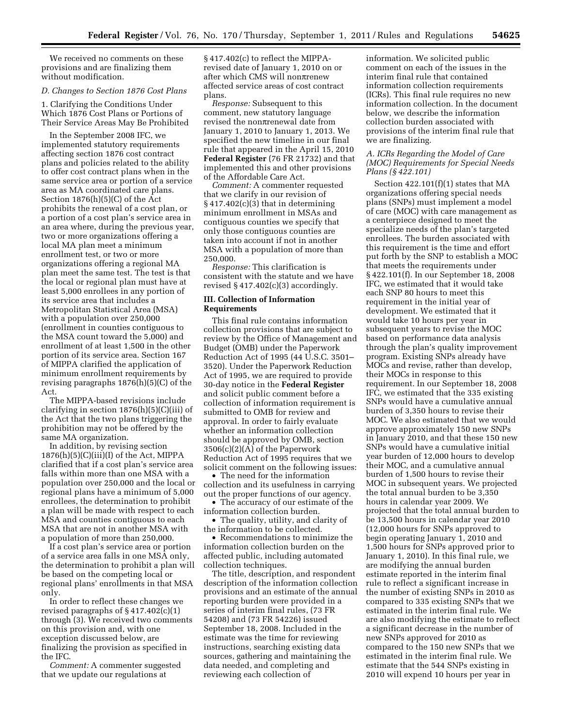We received no comments on these provisions and are finalizing them without modification.

#### *D. Changes to Section 1876 Cost Plans*

1. Clarifying the Conditions Under Which 1876 Cost Plans or Portions of Their Service Areas May Be Prohibited

In the September 2008 IFC, we implemented statutory requirements affecting section 1876 cost contract plans and policies related to the ability to offer cost contract plans when in the same service area or portion of a service area as MA coordinated care plans. Section 1876(h)(5)(C) of the Act prohibits the renewal of a cost plan, or a portion of a cost plan's service area in an area where, during the previous year, two or more organizations offering a local MA plan meet a minimum enrollment test, or two or more organizations offering a regional MA plan meet the same test. The test is that the local or regional plan must have at least 5,000 enrollees in any portion of its service area that includes a Metropolitan Statistical Area (MSA) with a population over 250,000 (enrollment in counties contiguous to the MSA count toward the 5,000) and enrollment of at least 1,500 in the other portion of its service area. Section 167 of MIPPA clarified the application of minimum enrollment requirements by revising paragraphs 1876(h)(5)(C) of the Act.

The MIPPA-based revisions include clarifying in section 1876(h)(5)(C)(iii) of the Act that the two plans triggering the prohibition may not be offered by the same MA organization.

In addition, by revising section  $1876(h)(5)(C)(iii)(I)$  of the Act, MIPPA clarified that if a cost plan's service area falls within more than one MSA with a population over 250,000 and the local or regional plans have a minimum of 5,000 enrollees, the determination to prohibit a plan will be made with respect to each MSA and counties contiguous to each MSA that are not in another MSA with a population of more than 250,000.

If a cost plan's service area or portion of a service area falls in one MSA only, the determination to prohibit a plan will be based on the competing local or regional plans' enrollments in that MSA only.

In order to reflect these changes we revised paragraphs of § 417.402(c)(1) through (3). We received two comments on this provision and, with one exception discussed below, are finalizing the provision as specified in the IFC.

*Comment:* A commenter suggested that we update our regulations at

§ 417.402(c) to reflect the MIPPArevised date of January 1, 2010 on or after which CMS will nonπrenew affected service areas of cost contract plans.

*Response:* Subsequent to this comment, new statutory language revised the nonπrenewal date from January 1, 2010 to January 1, 2013. We specified the new timeline in our final rule that appeared in the April 15, 2010 **Federal Register** (76 FR 21732) and that implemented this and other provisions of the Affordable Care Act.

*Comment:* A commenter requested that we clarify in our revision of § 417.402(c)(3) that in determining minimum enrollment in MSAs and contiguous counties we specify that only those contiguous counties are taken into account if not in another MSA with a population of more than 250,000.

*Response:* This clarification is consistent with the statute and we have revised  $§$  417.402(c)(3) accordingly.

# **III. Collection of Information Requirements**

This final rule contains information collection provisions that are subject to review by the Office of Management and Budget (OMB) under the Paperwork Reduction Act of 1995 (44 U.S.C. 3501– 3520). Under the Paperwork Reduction Act of 1995, we are required to provide 30-day notice in the **Federal Register**  and solicit public comment before a collection of information requirement is submitted to OMB for review and approval. In order to fairly evaluate whether an information collection should be approved by OMB, section 3506(c)(2)(A) of the Paperwork Reduction Act of 1995 requires that we solicit comment on the following issues:

• The need for the information collection and its usefulness in carrying out the proper functions of our agency.

• The accuracy of our estimate of the information collection burden.

• The quality, utility, and clarity of the information to be collected.

• Recommendations to minimize the information collection burden on the affected public, including automated collection techniques.

The title, description, and respondent description of the information collection provisions and an estimate of the annual reporting burden were provided in a series of interim final rules, (73 FR 54208) and (73 FR 54226) issued September 18, 2008. Included in the estimate was the time for reviewing instructions, searching existing data sources, gathering and maintaining the data needed, and completing and reviewing each collection of

information. We solicited public comment on each of the issues in the interim final rule that contained information collection requirements (ICRs). This final rule requires no new information collection. In the document below, we describe the information collection burden associated with provisions of the interim final rule that we are finalizing.

#### *A. ICRs Regarding the Model of Care (MOC) Requirements for Special Needs Plans (§ 422.101)*

Section 422.101(f)(1) states that MA organizations offering special needs plans (SNPs) must implement a model of care (MOC) with care management as a centerpiece designed to meet the specialize needs of the plan's targeted enrollees. The burden associated with this requirement is the time and effort put forth by the SNP to establish a MOC that meets the requirements under § 422.101(f). In our September 18, 2008 IFC, we estimated that it would take each SNP 80 hours to meet this requirement in the initial year of development. We estimated that it would take 10 hours per year in subsequent years to revise the MOC based on performance data analysis through the plan's quality improvement program. Existing SNPs already have MOCs and revise, rather than develop, their MOCs in response to this requirement. In our September 18, 2008 IFC, we estimated that the 335 existing SNPs would have a cumulative annual burden of 3,350 hours to revise their MOC. We also estimated that we would approve approximately 150 new SNPs in January 2010, and that these 150 new SNPs would have a cumulative initial year burden of 12,000 hours to develop their MOC, and a cumulative annual burden of 1,500 hours to revise their MOC in subsequent years. We projected the total annual burden to be 3,350 hours in calendar year 2009. We projected that the total annual burden to be 13,500 hours in calendar year 2010 (12,000 hours for SNPs approved to begin operating January 1, 2010 and 1,500 hours for SNPs approved prior to January 1, 2010). In this final rule, we are modifying the annual burden estimate reported in the interim final rule to reflect a significant increase in the number of existing SNPs in 2010 as compared to 335 existing SNPs that we estimated in the interim final rule. We are also modifying the estimate to reflect a significant decrease in the number of new SNPs approved for 2010 as compared to the 150 new SNPs that we estimated in the interim final rule. We estimate that the 544 SNPs existing in 2010 will expend 10 hours per year in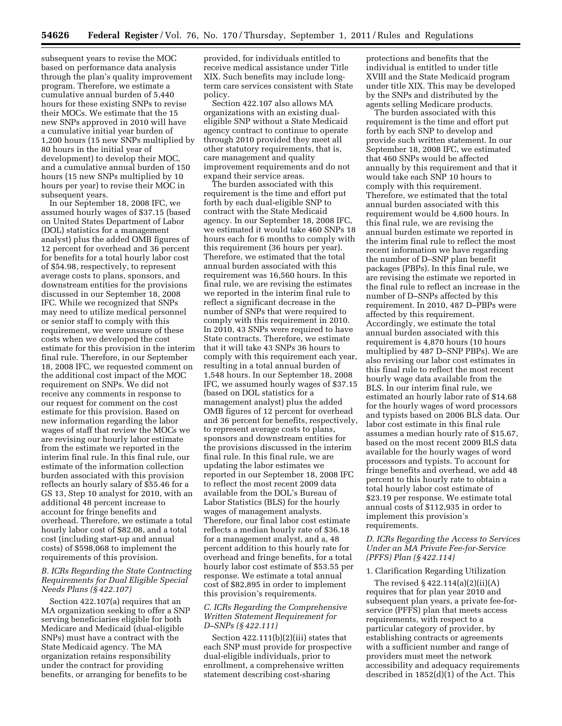subsequent years to revise the MOC based on performance data analysis through the plan's quality improvement program. Therefore, we estimate a cumulative annual burden of 5,440 hours for these existing SNPs to revise their MOCs. We estimate that the 15 new SNPs approved in 2010 will have a cumulative initial year burden of 1,200 hours (15 new SNPs multiplied by 80 hours in the initial year of development) to develop their MOC, and a cumulative annual burden of 150 hours (15 new SNPs multiplied by 10 hours per year) to revise their MOC in subsequent years.

In our September 18, 2008 IFC, we assumed hourly wages of \$37.15 (based on United States Department of Labor (DOL) statistics for a management analyst) plus the added OMB figures of 12 percent for overhead and 36 percent for benefits for a total hourly labor cost of \$54.98, respectively, to represent average costs to plans, sponsors, and downstream entities for the provisions discussed in our September 18, 2008 IFC. While we recognized that SNPs may need to utilize medical personnel or senior staff to comply with this requirement, we were unsure of these costs when we developed the cost estimate for this provision in the interim final rule. Therefore, in our September 18, 2008 IFC, we requested comment on the additional cost impact of the MOC requirement on SNPs. We did not receive any comments in response to our request for comment on the cost estimate for this provision. Based on new information regarding the labor wages of staff that review the MOCs we are revising our hourly labor estimate from the estimate we reported in the interim final rule. In this final rule, our estimate of the information collection burden associated with this provision reflects an hourly salary of \$55.46 for a GS 13, Step 10 analyst for 2010, with an additional 48 percent increase to account for fringe benefits and overhead. Therefore, we estimate a total hourly labor cost of \$82.08, and a total cost (including start-up and annual costs) of \$598,068 to implement the requirements of this provision.

# *B. ICRs Regarding the State Contracting Requirements for Dual Eligible Special Needs Plans (§ 422.107)*

Section 422.107(a) requires that an MA organization seeking to offer a SNP serving beneficiaries eligible for both Medicare and Medicaid (dual-eligible SNPs) must have a contract with the State Medicaid agency. The MA organization retains responsibility under the contract for providing benefits, or arranging for benefits to be

provided, for individuals entitled to receive medical assistance under Title XIX. Such benefits may include longterm care services consistent with State policy.

Section 422.107 also allows MA organizations with an existing dualeligible SNP without a State Medicaid agency contract to continue to operate through 2010 provided they meet all other statutory requirements, that is, care management and quality improvement requirements and do not expand their service areas.

The burden associated with this requirement is the time and effort put forth by each dual-eligible SNP to contract with the State Medicaid agency. In our September 18, 2008 IFC, we estimated it would take 460 SNPs 18 hours each for 6 months to comply with this requirement (36 hours per year). Therefore, we estimated that the total annual burden associated with this requirement was 16,560 hours. In this final rule, we are revising the estimates we reported in the interim final rule to reflect a significant decrease in the number of SNPs that were required to comply with this requirement in 2010. In 2010, 43 SNPs were required to have State contracts. Therefore, we estimate that it will take 43 SNPs 36 hours to comply with this requirement each year, resulting in a total annual burden of 1,548 hours. In our September 18, 2008 IFC, we assumed hourly wages of \$37.15 (based on DOL statistics for a management analyst) plus the added OMB figures of 12 percent for overhead and 36 percent for benefits, respectively, to represent average costs to plans, sponsors and downstream entities for the provisions discussed in the interim final rule. In this final rule, we are updating the labor estimates we reported in our September 18, 2008 IFC to reflect the most recent 2009 data available from the DOL's Bureau of Labor Statistics (BLS) for the hourly wages of management analysts. Therefore, our final labor cost estimate reflects a median hourly rate of \$36.18 for a management analyst, and a, 48 percent addition to this hourly rate for overhead and fringe benefits, for a total hourly labor cost estimate of \$53.55 per response. We estimate a total annual cost of \$82,895 in order to implement this provision's requirements.

#### *C. ICRs Regarding the Comprehensive Written Statement Requirement for D–SNPs (§ 422.111)*

Section 422.111(b)(2)(iii) states that each SNP must provide for prospective dual-eligible individuals, prior to enrollment, a comprehensive written statement describing cost-sharing

protections and benefits that the individual is entitled to under title XVIII and the State Medicaid program under title XIX. This may be developed by the SNPs and distributed by the agents selling Medicare products.

The burden associated with this requirement is the time and effort put forth by each SNP to develop and provide such written statement. In our September 18, 2008 IFC, we estimated that 460 SNPs would be affected annually by this requirement and that it would take each SNP 10 hours to comply with this requirement. Therefore, we estimated that the total annual burden associated with this requirement would be 4,600 hours. In this final rule, we are revising the annual burden estimate we reported in the interim final rule to reflect the most recent information we have regarding the number of D–SNP plan benefit packages (PBPs). In this final rule, we are revising the estimate we reported in the final rule to reflect an increase in the number of D–SNPs affected by this requirement. In 2010, 487 D–PBPs were affected by this requirement. Accordingly, we estimate the total annual burden associated with this requirement is 4,870 hours (10 hours multiplied by 487 D–SNP PBPs). We are also revising our labor cost estimates in this final rule to reflect the most recent hourly wage data available from the BLS. In our interim final rule, we estimated an hourly labor rate of \$14.68 for the hourly wages of word processors and typists based on 2006 BLS data. Our labor cost estimate in this final rule assumes a median hourly rate of \$15.67, based on the most recent 2009 BLS data available for the hourly wages of word processors and typists. To account for fringe benefits and overhead, we add 48 percent to this hourly rate to obtain a total hourly labor cost estimate of \$23.19 per response. We estimate total annual costs of \$112,935 in order to implement this provision's requirements.

# *D. ICRs Regarding the Access to Services Under an MA Private Fee-for-Service (PFFS) Plan (§ 422.114)*

# 1. Clarification Regarding Utilization

The revised  $\S 422.114(a)(2)(ii)(A)$ requires that for plan year 2010 and subsequent plan years, a private fee-forservice (PFFS) plan that meets access requirements, with respect to a particular category of provider, by establishing contracts or agreements with a sufficient number and range of providers must meet the network accessibility and adequacy requirements described in 1852(d)(1) of the Act. This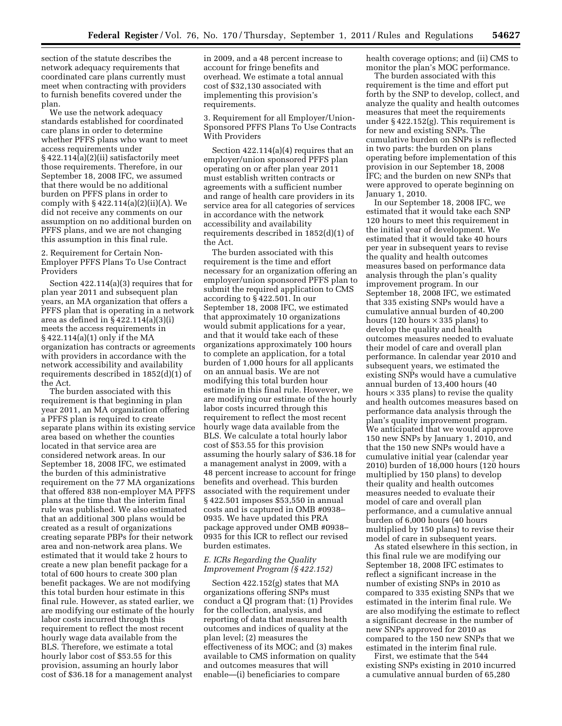section of the statute describes the network adequacy requirements that coordinated care plans currently must meet when contracting with providers to furnish benefits covered under the plan.

We use the network adequacy standards established for coordinated care plans in order to determine whether PFFS plans who want to meet access requirements under § 422.114(a)(2)(ii) satisfactorily meet those requirements. Therefore, in our September 18, 2008 IFC, we assumed that there would be no additional burden on PFFS plans in order to comply with  $\S 422.114(a)(2)(ii)(A)$ . We did not receive any comments on our assumption on no additional burden on PFFS plans, and we are not changing this assumption in this final rule.

2. Requirement for Certain Non-Employer PFFS Plans To Use Contract Providers

Section 422.114(a)(3) requires that for plan year 2011 and subsequent plan years, an MA organization that offers a PFFS plan that is operating in a network area as defined in § 422.114(a)(3)(i) meets the access requirements in § 422.114(a)(1) only if the MA organization has contracts or agreements with providers in accordance with the network accessibility and availability requirements described in 1852(d)(1) of the Act.

The burden associated with this requirement is that beginning in plan year 2011, an MA organization offering a PFFS plan is required to create separate plans within its existing service area based on whether the counties located in that service area are considered network areas. In our September 18, 2008 IFC, we estimated the burden of this administrative requirement on the 77 MA organizations that offered 838 non-employer MA PFFS plans at the time that the interim final rule was published. We also estimated that an additional 300 plans would be created as a result of organizations creating separate PBPs for their network area and non-network area plans. We estimated that it would take 2 hours to create a new plan benefit package for a total of 600 hours to create 300 plan benefit packages. We are not modifying this total burden hour estimate in this final rule. However, as stated earlier, we are modifying our estimate of the hourly labor costs incurred through this requirement to reflect the most recent hourly wage data available from the BLS. Therefore, we estimate a total hourly labor cost of \$53.55 for this provision, assuming an hourly labor cost of \$36.18 for a management analyst

in 2009, and a 48 percent increase to account for fringe benefits and overhead. We estimate a total annual cost of \$32,130 associated with implementing this provision's requirements.

3. Requirement for all Employer/Union-Sponsored PFFS Plans To Use Contracts With Providers

Section 422.114(a)(4) requires that an employer/union sponsored PFFS plan operating on or after plan year 2011 must establish written contracts or agreements with a sufficient number and range of health care providers in its service area for all categories of services in accordance with the network accessibility and availability requirements described in 1852(d)(1) of the Act.

The burden associated with this requirement is the time and effort necessary for an organization offering an employer/union sponsored PFFS plan to submit the required application to CMS according to § 422.501. In our September 18, 2008 IFC, we estimated that approximately 10 organizations would submit applications for a year, and that it would take each of these organizations approximately 100 hours to complete an application, for a total burden of 1,000 hours for all applicants on an annual basis. We are not modifying this total burden hour estimate in this final rule. However, we are modifying our estimate of the hourly labor costs incurred through this requirement to reflect the most recent hourly wage data available from the BLS. We calculate a total hourly labor cost of \$53.55 for this provision assuming the hourly salary of \$36.18 for a management analyst in 2009, with a 48 percent increase to account for fringe benefits and overhead. This burden associated with the requirement under § 422.501 imposes \$53,550 in annual costs and is captured in OMB #0938– 0935. We have updated this PRA package approved under OMB #0938– 0935 for this ICR to reflect our revised burden estimates.

# *E. ICRs Regarding the Quality Improvement Program (§ 422.152)*

Section 422.152(g) states that MA organizations offering SNPs must conduct a QI program that: (1) Provides for the collection, analysis, and reporting of data that measures health outcomes and indices of quality at the plan level; (2) measures the effectiveness of its MOC; and (3) makes available to CMS information on quality and outcomes measures that will enable—(i) beneficiaries to compare

health coverage options; and (ii) CMS to monitor the plan's MOC performance.

The burden associated with this requirement is the time and effort put forth by the SNP to develop, collect, and analyze the quality and health outcomes measures that meet the requirements under § 422.152(g). This requirement is for new and existing SNPs. The cumulative burden on SNPs is reflected in two parts: the burden on plans operating before implementation of this provision in our September 18, 2008 IFC; and the burden on new SNPs that were approved to operate beginning on January 1, 2010.

In our September 18, 2008 IFC, we estimated that it would take each SNP 120 hours to meet this requirement in the initial year of development. We estimated that it would take 40 hours per year in subsequent years to revise the quality and health outcomes measures based on performance data analysis through the plan's quality improvement program. In our September 18, 2008 IFC, we estimated that 335 existing SNPs would have a cumulative annual burden of 40,200 hours (120 hours  $\times$  335 plans) to develop the quality and health outcomes measures needed to evaluate their model of care and overall plan performance. In calendar year 2010 and subsequent years, we estimated the existing SNPs would have a cumulative annual burden of 13,400 hours (40 hours  $\times$  335 plans) to revise the quality and health outcomes measures based on performance data analysis through the plan's quality improvement program. We anticipated that we would approve 150 new SNPs by January 1, 2010, and that the 150 new SNPs would have a cumulative initial year (calendar year 2010) burden of 18,000 hours (120 hours multiplied by 150 plans) to develop their quality and health outcomes measures needed to evaluate their model of care and overall plan performance, and a cumulative annual burden of 6,000 hours (40 hours multiplied by 150 plans) to revise their model of care in subsequent years.

As stated elsewhere in this section, in this final rule we are modifying our September 18, 2008 IFC estimates to reflect a significant increase in the number of existing SNPs in 2010 as compared to 335 existing SNPs that we estimated in the interim final rule. We are also modifying the estimate to reflect a significant decrease in the number of new SNPs approved for 2010 as compared to the 150 new SNPs that we estimated in the interim final rule.

First, we estimate that the 544 existing SNPs existing in 2010 incurred a cumulative annual burden of 65,280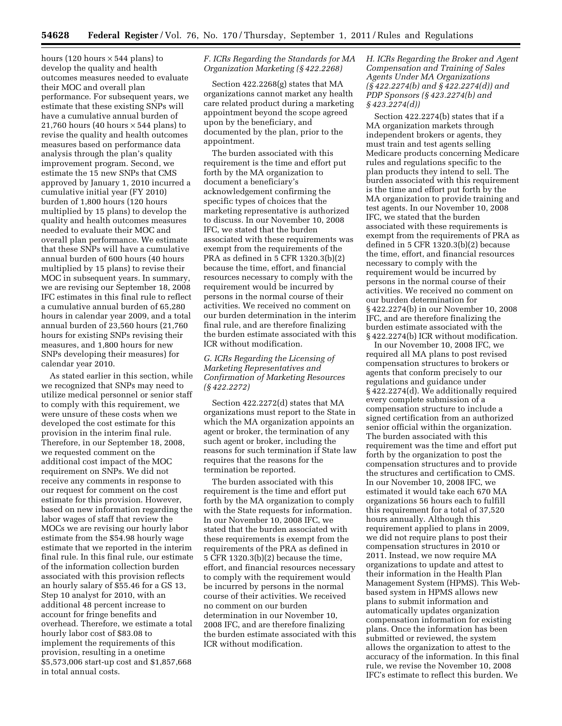hours (120 hours  $\times$  544 plans) to develop the quality and health outcomes measures needed to evaluate their MOC and overall plan performance. For subsequent years, we estimate that these existing SNPs will have a cumulative annual burden of 21,760 hours (40 hours  $\times$  544 plans) to revise the quality and health outcomes measures based on performance data analysis through the plan's quality improvement program. Second, we estimate the 15 new SNPs that CMS approved by January 1, 2010 incurred a cumulative initial year (FY 2010) burden of 1,800 hours (120 hours multiplied by 15 plans) to develop the quality and health outcomes measures needed to evaluate their MOC and overall plan performance. We estimate that these SNPs will have a cumulative annual burden of 600 hours (40 hours multiplied by 15 plans) to revise their MOC in subsequent years. In summary, we are revising our September 18, 2008 IFC estimates in this final rule to reflect a cumulative annual burden of 65,280 hours in calendar year 2009, and a total annual burden of 23,560 hours (21,760 hours for existing SNPs revising their measures, and 1,800 hours for new SNPs developing their measures) for calendar year 2010.

As stated earlier in this section, while we recognized that SNPs may need to utilize medical personnel or senior staff to comply with this requirement, we were unsure of these costs when we developed the cost estimate for this provision in the interim final rule. Therefore, in our September 18, 2008, we requested comment on the additional cost impact of the MOC requirement on SNPs. We did not receive any comments in response to our request for comment on the cost estimate for this provision. However, based on new information regarding the labor wages of staff that review the MOCs we are revising our hourly labor estimate from the \$54.98 hourly wage estimate that we reported in the interim final rule. In this final rule, our estimate of the information collection burden associated with this provision reflects an hourly salary of \$55.46 for a GS 13, Step 10 analyst for 2010, with an additional 48 percent increase to account for fringe benefits and overhead. Therefore, we estimate a total hourly labor cost of \$83.08 to implement the requirements of this provision, resulting in a onetime \$5,573,006 start-up cost and \$1,857,668 in total annual costs.

# *F. ICRs Regarding the Standards for MA Organization Marketing (§ 422.2268)*

Section 422.2268(g) states that MA organizations cannot market any health care related product during a marketing appointment beyond the scope agreed upon by the beneficiary, and documented by the plan, prior to the appointment.

The burden associated with this requirement is the time and effort put forth by the MA organization to document a beneficiary's acknowledgement confirming the specific types of choices that the marketing representative is authorized to discuss. In our November 10, 2008 IFC, we stated that the burden associated with these requirements was exempt from the requirements of the PRA as defined in 5 CFR 1320.3(b)(2) because the time, effort, and financial resources necessary to comply with the requirement would be incurred by persons in the normal course of their activities. We received no comment on our burden determination in the interim final rule, and are therefore finalizing the burden estimate associated with this ICR without modification.

# *G. ICRs Regarding the Licensing of Marketing Representatives and Confirmation of Marketing Resources (§ 422.2272)*

Section 422.2272(d) states that MA organizations must report to the State in which the MA organization appoints an agent or broker, the termination of any such agent or broker, including the reasons for such termination if State law requires that the reasons for the termination be reported.

The burden associated with this requirement is the time and effort put forth by the MA organization to comply with the State requests for information. In our November 10, 2008 IFC, we stated that the burden associated with these requirements is exempt from the requirements of the PRA as defined in 5 CFR 1320.3(b)(2) because the time, effort, and financial resources necessary to comply with the requirement would be incurred by persons in the normal course of their activities. We received no comment on our burden determination in our November 10, 2008 IFC, and are therefore finalizing the burden estimate associated with this ICR without modification.

# *H. ICRs Regarding the Broker and Agent Compensation and Training of Sales Agents Under MA Organizations (§ 422.2274(b) and § 422.2274(d)) and PDP Sponsors (§ 423.2274(b) and § 423.2274(d))*

Section 422.2274(b) states that if a MA organization markets through independent brokers or agents, they must train and test agents selling Medicare products concerning Medicare rules and regulations specific to the plan products they intend to sell. The burden associated with this requirement is the time and effort put forth by the MA organization to provide training and test agents. In our November 10, 2008 IFC, we stated that the burden associated with these requirements is exempt from the requirements of PRA as defined in 5 CFR 1320.3(b)(2) because the time, effort, and financial resources necessary to comply with the requirement would be incurred by persons in the normal course of their activities. We received no comment on our burden determination for § 422.2274(b) in our November 10, 2008 IFC, and are therefore finalizing the burden estimate associated with the § 422.2274(b) ICR without modification.

In our November 10, 2008 IFC, we required all MA plans to post revised compensation structures to brokers or agents that conform precisely to our regulations and guidance under § 422.2274(d). We additionally required every complete submission of a compensation structure to include a signed certification from an authorized senior official within the organization. The burden associated with this requirement was the time and effort put forth by the organization to post the compensation structures and to provide the structures and certification to CMS. In our November 10, 2008 IFC, we estimated it would take each 670 MA organizations 56 hours each to fulfill this requirement for a total of 37,520 hours annually. Although this requirement applied to plans in 2009, we did not require plans to post their compensation structures in 2010 or 2011. Instead, we now require MA organizations to update and attest to their information in the Health Plan Management System (HPMS). This Webbased system in HPMS allows new plans to submit information and automatically updates organization compensation information for existing plans. Once the information has been submitted or reviewed, the system allows the organization to attest to the accuracy of the information. In this final rule, we revise the November 10, 2008 IFC's estimate to reflect this burden. We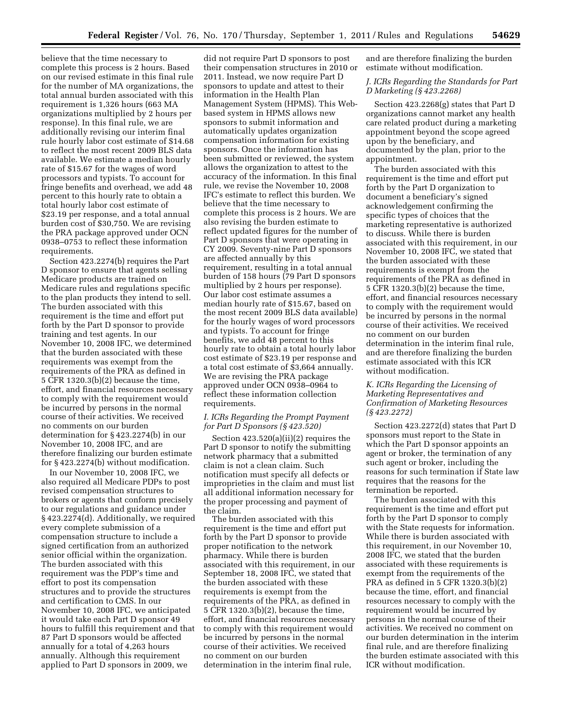believe that the time necessary to complete this process is 2 hours. Based on our revised estimate in this final rule for the number of MA organizations, the total annual burden associated with this requirement is 1,326 hours (663 MA organizations multiplied by 2 hours per response). In this final rule, we are additionally revising our interim final rule hourly labor cost estimate of \$14.68 to reflect the most recent 2009 BLS data available. We estimate a median hourly rate of \$15.67 for the wages of word processors and typists. To account for fringe benefits and overhead, we add 48 percent to this hourly rate to obtain a total hourly labor cost estimate of \$23.19 per response, and a total annual burden cost of \$30,750. We are revising the PRA package approved under OCN 0938–0753 to reflect these information requirements.

Section 423.2274(b) requires the Part D sponsor to ensure that agents selling Medicare products are trained on Medicare rules and regulations specific to the plan products they intend to sell. The burden associated with this requirement is the time and effort put forth by the Part D sponsor to provide training and test agents. In our November 10, 2008 IFC, we determined that the burden associated with these requirements was exempt from the requirements of the PRA as defined in 5 CFR 1320.3(b)(2) because the time, effort, and financial resources necessary to comply with the requirement would be incurred by persons in the normal course of their activities. We received no comments on our burden determination for § 423.2274(b) in our November 10, 2008 IFC, and are therefore finalizing our burden estimate for § 423.2274(b) without modification.

In our November 10, 2008 IFC, we also required all Medicare PDPs to post revised compensation structures to brokers or agents that conform precisely to our regulations and guidance under § 423.2274(d). Additionally, we required every complete submission of a compensation structure to include a signed certification from an authorized senior official within the organization. The burden associated with this requirement was the PDP's time and effort to post its compensation structures and to provide the structures and certification to CMS. In our November 10, 2008 IFC, we anticipated it would take each Part D sponsor 49 hours to fulfill this requirement and that 87 Part D sponsors would be affected annually for a total of 4,263 hours annually. Although this requirement applied to Part D sponsors in 2009, we

did not require Part D sponsors to post their compensation structures in 2010 or 2011. Instead, we now require Part D sponsors to update and attest to their information in the Health Plan Management System (HPMS). This Webbased system in HPMS allows new sponsors to submit information and automatically updates organization compensation information for existing sponsors. Once the information has been submitted or reviewed, the system allows the organization to attest to the accuracy of the information. In this final rule, we revise the November 10, 2008 IFC's estimate to reflect this burden. We believe that the time necessary to complete this process is 2 hours. We are also revising the burden estimate to reflect updated figures for the number of Part D sponsors that were operating in CY 2009. Seventy-nine Part D sponsors are affected annually by this requirement, resulting in a total annual burden of 158 hours (79 Part D sponsors multiplied by 2 hours per response). Our labor cost estimate assumes a median hourly rate of \$15.67, based on the most recent 2009 BLS data available) for the hourly wages of word processors and typists. To account for fringe benefits, we add 48 percent to this hourly rate to obtain a total hourly labor cost estimate of \$23.19 per response and a total cost estimate of \$3,664 annually. We are revising the PRA package approved under OCN 0938–0964 to reflect these information collection requirements.

#### *I. ICRs Regarding the Prompt Payment for Part D Sponsors (§ 423.520)*

Section 423.520(a)(ii)(2) requires the Part D sponsor to notify the submitting network pharmacy that a submitted claim is not a clean claim. Such notification must specify all defects or improprieties in the claim and must list all additional information necessary for the proper processing and payment of the claim.

The burden associated with this requirement is the time and effort put forth by the Part D sponsor to provide proper notification to the network pharmacy. While there is burden associated with this requirement, in our September 18, 2008 IFC, we stated that the burden associated with these requirements is exempt from the requirements of the PRA, as defined in 5 CFR 1320.3(b)(2), because the time, effort, and financial resources necessary to comply with this requirement would be incurred by persons in the normal course of their activities. We received no comment on our burden determination in the interim final rule,

and are therefore finalizing the burden estimate without modification.

# *J. ICRs Regarding the Standards for Part D Marketing (§ 423.2268)*

Section 423.2268(g) states that Part D organizations cannot market any health care related product during a marketing appointment beyond the scope agreed upon by the beneficiary, and documented by the plan, prior to the appointment.

The burden associated with this requirement is the time and effort put forth by the Part D organization to document a beneficiary's signed acknowledgement confirming the specific types of choices that the marketing representative is authorized to discuss. While there is burden associated with this requirement, in our November 10, 2008 IFC, we stated that the burden associated with these requirements is exempt from the requirements of the PRA as defined in 5 CFR 1320.3(b)(2) because the time, effort, and financial resources necessary to comply with the requirement would be incurred by persons in the normal course of their activities. We received no comment on our burden determination in the interim final rule, and are therefore finalizing the burden estimate associated with this ICR without modification.

# *K. ICRs Regarding the Licensing of Marketing Representatives and Confirmation of Marketing Resources (§ 423.2272)*

Section 423.2272(d) states that Part D sponsors must report to the State in which the Part D sponsor appoints an agent or broker, the termination of any such agent or broker, including the reasons for such termination if State law requires that the reasons for the termination be reported.

The burden associated with this requirement is the time and effort put forth by the Part D sponsor to comply with the State requests for information. While there is burden associated with this requirement, in our November 10, 2008 IFC, we stated that the burden associated with these requirements is exempt from the requirements of the PRA as defined in 5 CFR 1320.3(b)(2) because the time, effort, and financial resources necessary to comply with the requirement would be incurred by persons in the normal course of their activities. We received no comment on our burden determination in the interim final rule, and are therefore finalizing the burden estimate associated with this ICR without modification.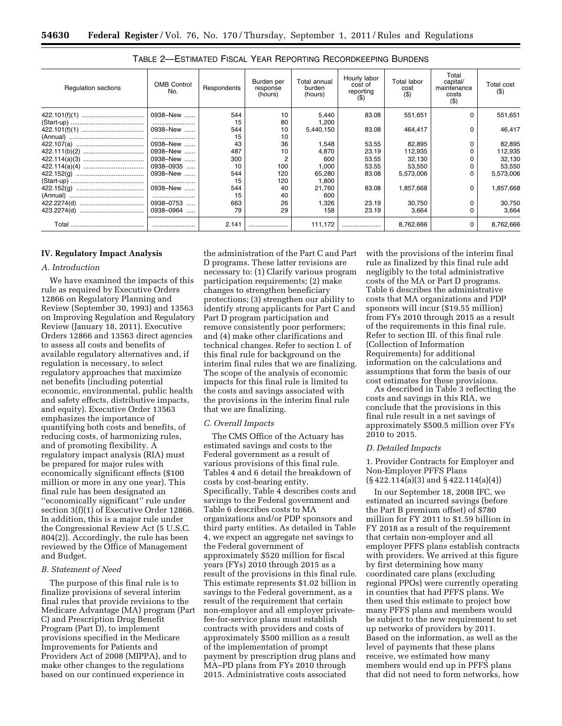| <b>Regulation sections</b> | <b>OMB Control</b><br>No. | Respondents | Burden per<br>response<br>(hours) | Total annual<br>burden<br>(hours) | Hourly labor<br>cost of<br>reporting<br>$($ \$) | Total labor<br>cost<br>$($ \$) | Total<br>capital/<br>maintenance<br>costs<br>$($ \$) | Total cost<br>$($ \$) |
|----------------------------|---------------------------|-------------|-----------------------------------|-----------------------------------|-------------------------------------------------|--------------------------------|------------------------------------------------------|-----------------------|
|                            | 0938-New                  | 544         | 10                                | 5,440                             | 83.08                                           | 551,651                        |                                                      | 551,651               |
|                            |                           | 15          | 80                                | 1,200                             |                                                 |                                |                                                      |                       |
|                            | 0938-New                  | 544         | 10                                | 5,440,150                         | 83.08                                           | 464,417                        | 0                                                    | 46,417                |
|                            |                           | 15          | 10                                |                                   |                                                 |                                |                                                      |                       |
|                            | 0938-New                  | 43          | 36                                | 1,548                             | 53.55                                           | 82,895                         |                                                      | 82,895                |
|                            | 0938-New                  | 487         | 10                                | 4,870                             | 23.19                                           | 112,935                        |                                                      | 112,935               |
|                            | 0938-New                  | 300         |                                   | 600                               | 53.55                                           | 32,130                         |                                                      | 32,130                |
|                            | 0938-0935                 | 10          | 100                               | 1,000                             | 53.55                                           | 53,550                         |                                                      | 53,550                |
|                            | 0938-New                  | 544         | 120                               | 65,280                            | 83.08                                           | 5,573,006                      |                                                      | 5,573,006             |
|                            |                           | 15          | 120                               | 1,800                             |                                                 |                                |                                                      |                       |
|                            | 0938-New                  | 544         | 40                                | 21.760                            | 83.08                                           | 1,857,668                      |                                                      | 1,857,668             |
|                            |                           | 15          | 40                                | 600                               |                                                 |                                |                                                      |                       |
|                            | 0938-0753                 | 663         | 26                                | 1,326                             | 23.19                                           | 30,750                         |                                                      | 30,750                |
|                            | 0938-0964                 | 79          | 29                                | 158                               | 23.19                                           | 3,664                          |                                                      | 3,664                 |
| Total                      |                           | 2.141       |                                   | 111,172                           |                                                 | 8,762,666                      | 0                                                    | 8,762,666             |

| <b>TABLE 2-ESTIMATED FISCAL YEAR REPORTING RECORDKEEPING BURDENS</b> |  |
|----------------------------------------------------------------------|--|
|----------------------------------------------------------------------|--|

#### **IV. Regulatory Impact Analysis**

#### *A. Introduction*

We have examined the impacts of this rule as required by Executive Orders 12866 on Regulatory Planning and Review (September 30, 1993) and 13563 on Improving Regulation and Regulatory Review (January 18, 2011). Executive Orders 12866 and 13563 direct agencies to assess all costs and benefits of available regulatory alternatives and, if regulation is necessary, to select regulatory approaches that maximize net benefits (including potential economic, environmental, public health and safety effects, distributive impacts, and equity). Executive Order 13563 emphasizes the importance of quantifying both costs and benefits, of reducing costs, of harmonizing rules, and of promoting flexibility. A regulatory impact analysis (RIA) must be prepared for major rules with economically significant effects (\$100 million or more in any one year). This final rule has been designated an ''economically significant'' rule under section 3(f)(1) of Executive Order 12866. In addition, this is a major rule under the Congressional Review Act (5 U.S.C. 804(2)). Accordingly, the rule has been reviewed by the Office of Management and Budget.

# *B. Statement of Need*

The purpose of this final rule is to finalize provisions of several interim final rules that provide revisions to the Medicare Advantage (MA) program (Part C) and Prescription Drug Benefit Program (Part D), to implement provisions specified in the Medicare Improvements for Patients and Providers Act of 2008 (MIPPA), and to make other changes to the regulations based on our continued experience in

the administration of the Part C and Part D programs. These latter revisions are necessary to: (1) Clarify various program participation requirements; (2) make changes to strengthen beneficiary protections; (3) strengthen our ability to identify strong applicants for Part C and Part D program participation and remove consistently poor performers; and (4) make other clarifications and technical changes. Refer to section I. of this final rule for background on the interim final rules that we are finalizing. The scope of the analysis of economic impacts for this final rule is limited to the costs and savings associated with the provisions in the interim final rule that we are finalizing.

#### *C. Overall Impacts*

The CMS Office of the Actuary has estimated savings and costs to the Federal government as a result of various provisions of this final rule. Tables 4 and 6 detail the breakdown of costs by cost-bearing entity. Specifically, Table 4 describes costs and savings to the Federal government and Table 6 describes costs to MA organizations and/or PDP sponsors and third party entities. As detailed in Table 4, we expect an aggregate net savings to the Federal government of approximately \$520 million for fiscal years (FYs) 2010 through 2015 as a result of the provisions in this final rule. This estimate represents \$1.02 billion in savings to the Federal government, as a result of the requirement that certain non-employer and all employer privatefee-for-service plans must establish contracts with providers and costs of approximately \$500 million as a result of the implementation of prompt payment by prescription drug plans and MA–PD plans from FYs 2010 through 2015. Administrative costs associated

with the provisions of the interim final rule as finalized by this final rule add negligibly to the total administrative costs of the MA or Part D programs. Table 6 describes the administrative costs that MA organizations and PDP sponsors will incur (\$19.55 million) from FYs 2010 through 2015 as a result of the requirements in this final rule. Refer to section III. of this final rule (Collection of Information Requirements) for additional information on the calculations and assumptions that form the basis of our cost estimates for these provisions.

As described in Table 3 reflecting the costs and savings in this RIA, we conclude that the provisions in this final rule result in a net savings of approximately \$500.5 million over FYs 2010 to 2015.

#### *D. Detailed Impacts*

1. Provider Contracts for Employer and Non-Employer PFFS Plans (§ 422.114(a)(3) and § 422.114(a)(4))

In our September 18, 2008 IFC, we estimated an incurred savings (before the Part B premium offset) of \$780 million for FY 2011 to \$1.59 billion in FY 2018 as a result of the requirement that certain non-employer and all employer PFFS plans establish contracts with providers. We arrived at this figure by first determining how many coordinated care plans (excluding regional PPOs) were currently operating in counties that had PFFS plans. We then used this estimate to project how many PFFS plans and members would be subject to the new requirement to set up networks of providers by 2011. Based on the information, as well as the level of payments that these plans receive, we estimated how many members would end up in PFFS plans that did not need to form networks, how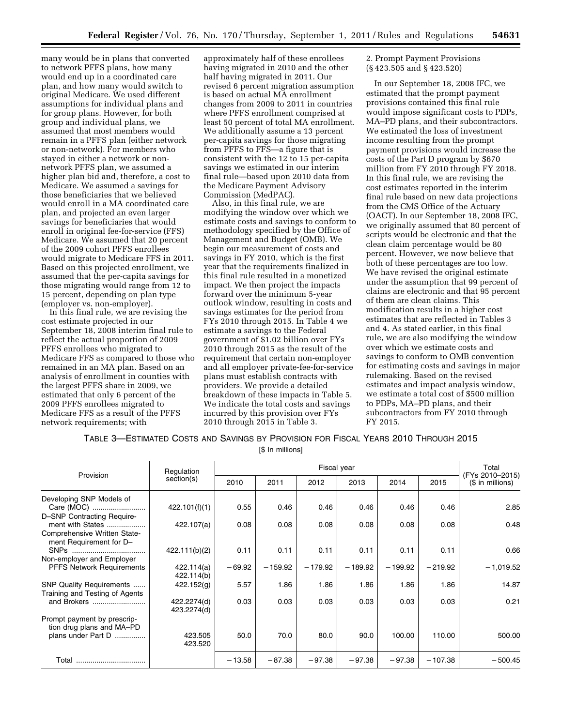many would be in plans that converted to network PFFS plans, how many would end up in a coordinated care plan, and how many would switch to original Medicare. We used different assumptions for individual plans and for group plans. However, for both group and individual plans, we assumed that most members would remain in a PFFS plan (either network or non-network). For members who stayed in either a network or nonnetwork PFFS plan, we assumed a higher plan bid and, therefore, a cost to Medicare. We assumed a savings for those beneficiaries that we believed would enroll in a MA coordinated care plan, and projected an even larger savings for beneficiaries that would enroll in original fee-for-service (FFS) Medicare. We assumed that 20 percent of the 2009 cohort PFFS enrollees would migrate to Medicare FFS in 2011. Based on this projected enrollment, we assumed that the per-capita savings for those migrating would range from 12 to 15 percent, depending on plan type (employer vs. non-employer).

In this final rule, we are revising the cost estimate projected in our September 18, 2008 interim final rule to reflect the actual proportion of 2009 PFFS enrollees who migrated to Medicare FFS as compared to those who remained in an MA plan. Based on an analysis of enrollment in counties with the largest PFFS share in 2009, we estimated that only 6 percent of the 2009 PFFS enrollees migrated to Medicare FFS as a result of the PFFS network requirements; with

approximately half of these enrollees having migrated in 2010 and the other half having migrated in 2011. Our revised 6 percent migration assumption is based on actual MA enrollment changes from 2009 to 2011 in countries where PFFS enrollment comprised at least 50 percent of total MA enrollment. We additionally assume a 13 percent per-capita savings for those migrating from PFFS to FFS—a figure that is consistent with the 12 to 15 per-capita savings we estimated in our interim final rule—based upon 2010 data from the Medicare Payment Advisory Commission (MedPAC).

Also, in this final rule, we are modifying the window over which we estimate costs and savings to conform to methodology specified by the Office of Management and Budget (OMB). We begin our measurement of costs and savings in FY 2010, which is the first year that the requirements finalized in this final rule resulted in a monetized impact. We then project the impacts forward over the minimum 5-year outlook window, resulting in costs and savings estimates for the period from FYs 2010 through 2015. In Table 4 we estimate a savings to the Federal government of \$1.02 billion over FYs 2010 through 2015 as the result of the requirement that certain non-employer and all employer private-fee-for-service plans must establish contracts with providers. We provide a detailed breakdown of these impacts in Table 5. We indicate the total costs and savings incurred by this provision over FYs 2010 through 2015 in Table 3.

2. Prompt Payment Provisions (§ 423.505 and § 423.520)

In our September 18, 2008 IFC, we estimated that the prompt payment provisions contained this final rule would impose significant costs to PDPs, MA–PD plans, and their subcontractors. We estimated the loss of investment income resulting from the prompt payment provisions would increase the costs of the Part D program by \$670 million from FY 2010 through FY 2018. In this final rule, we are revising the cost estimates reported in the interim final rule based on new data projections from the CMS Office of the Actuary (OACT). In our September 18, 2008 IFC, we originally assumed that 80 percent of scripts would be electronic and that the clean claim percentage would be 80 percent. However, we now believe that both of these percentages are too low. We have revised the original estimate under the assumption that 99 percent of claims are electronic and that 95 percent of them are clean claims. This modification results in a higher cost estimates that are reflected in Tables 3 and 4. As stated earlier, in this final rule, we are also modifying the window over which we estimate costs and savings to conform to OMB convention for estimating costs and savings in major rulemaking. Based on the revised estimates and impact analysis window, we estimate a total cost of \$500 million to PDPs, MA–PD plans, and their subcontractors from FY 2010 through FY 2015.

TABLE 3—ESTIMATED COSTS AND SAVINGS BY PROVISION FOR FISCAL YEARS 2010 THROUGH 2015

[\$ In millions]

| Provision                                                  | Regulation                 |          |           |           | Fiscal year |           |           | Total                                |
|------------------------------------------------------------|----------------------------|----------|-----------|-----------|-------------|-----------|-----------|--------------------------------------|
|                                                            | section(s)                 | 2010     | 2011      | 2012      | 2013        | 2014      | 2015      | (FYs 2010–2015)<br>$($$ in millions) |
| Developing SNP Models of<br>Care (MOC)                     | 422.101(f)(1)              | 0.55     | 0.46      | 0.46      | 0.46        | 0.46      | 0.46      | 2.85                                 |
| D-SNP Contracting Require-<br>ment with States             | 422.107(a)                 | 0.08     | 0.08      | 0.08      | 0.08        | 0.08      | 0.08      | 0.48                                 |
| Comprehensive Written State-<br>ment Requirement for D-    |                            |          |           |           |             |           |           |                                      |
|                                                            | 422.111(b)(2)              | 0.11     | 0.11      | 0.11      | 0.11        | 0.11      | 0.11      | 0.66                                 |
| Non-employer and Employer                                  |                            |          |           |           |             |           |           |                                      |
| <b>PFFS Network Requirements</b>                           | 422.114(a)<br>422.114(b)   | $-69.92$ | $-159.92$ | $-179.92$ | $-189.92$   | $-199.92$ | $-219.92$ | $-1,019.52$                          |
| SNP Quality Requirements<br>Training and Testing of Agents | 422.152(g)                 | 5.57     | 1.86      | 1.86      | 1.86        | 1.86      | 1.86      | 14.87                                |
| and Brokers                                                | 422.2274(d)<br>423.2274(d) | 0.03     | 0.03      | 0.03      | 0.03        | 0.03      | 0.03      | 0.21                                 |
| Prompt payment by prescrip-<br>tion drug plans and MA-PD   |                            |          |           |           |             |           |           |                                      |
| plans under Part D                                         | 423.505<br>423.520         | 50.0     | 70.0      | 80.0      | 90.0        | 100.00    | 110.00    | 500.00                               |
| Total                                                      |                            | $-13.58$ | $-87.38$  | $-97.38$  | $-97.38$    | $-97.38$  | $-107.38$ | $-500.45$                            |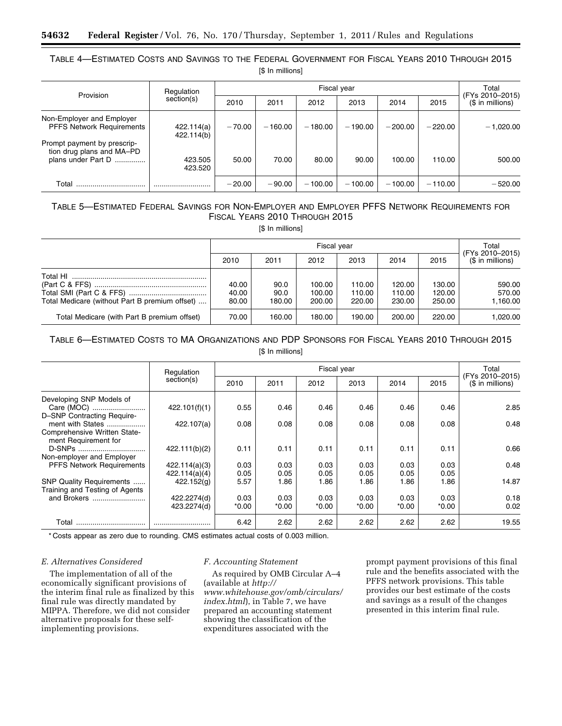# TABLE 4—ESTIMATED COSTS AND SAVINGS TO THE FEDERAL GOVERNMENT FOR FISCAL YEARS 2010 THROUGH 2015 [\$ In millions]

| Provision                                                                      | Regulation<br>section(s) |          | Total     |           |           |           |           |                                     |
|--------------------------------------------------------------------------------|--------------------------|----------|-----------|-----------|-----------|-----------|-----------|-------------------------------------|
|                                                                                |                          | 2010     | 2011      | 2012      | 2013      | 2014      | 2015      | (FYs 2010-2015)<br>(\$ in millions) |
| Non-Employer and Employer<br><b>PFFS Network Requirements</b>                  | 422.114(a)<br>422.114(b) | $-70.00$ | $-160.00$ | $-180.00$ | $-190.00$ | $-200.00$ | $-220.00$ | $-1,020.00$                         |
| Prompt payment by prescrip-<br>tion drug plans and MA-PD<br>plans under Part D | 423.505<br>423.520       | 50.00    | 70.00     | 80.00     | 90.00     | 100.00    | 110.00    | 500.00                              |
| Total                                                                          |                          | $-20.00$ | $-90.00$  | $-100.00$ | $-100.00$ | $-100.00$ | $-110.00$ | $-520.00$                           |

# TABLE 5—ESTIMATED FEDERAL SAVINGS FOR NON-EMPLOYER AND EMPLOYER PFFS NETWORK REQUIREMENTS FOR FISCAL YEARS 2010 THROUGH 2015

[\$ In millions]

|                                                            |                         | Total                  |                            |                            |                            |                            |                                     |
|------------------------------------------------------------|-------------------------|------------------------|----------------------------|----------------------------|----------------------------|----------------------------|-------------------------------------|
|                                                            | 2010                    | 2011                   | 2012                       | 2013                       | 2014                       | 2015                       | (FYs 2010-2015)<br>(\$ in millions) |
| Total HI<br>Total Medicare (without Part B premium offset) | 40.00<br>40.00<br>80.00 | 90.0<br>90.0<br>180.00 | 100.00<br>100.00<br>200.00 | 110.00<br>110.00<br>220.00 | 120.00<br>110.00<br>230.00 | 130.00<br>120.00<br>250.00 | 590.00<br>570.00<br>1.160.00        |
| Total Medicare (with Part B premium offset)                | 70.00                   | 160.00                 | 180.00                     | 190.00                     | 200.00                     | 220.00                     | 1.020.00                            |

# TABLE 6—ESTIMATED COSTS TO MA ORGANIZATIONS AND PDP SPONSORS FOR FISCAL YEARS 2010 THROUGH 2015 [\$ In millions]

|                                                      | Regulation<br>section(s) | Fiscal year |         |       |         |         |         | Total                                |
|------------------------------------------------------|--------------------------|-------------|---------|-------|---------|---------|---------|--------------------------------------|
|                                                      |                          | 2010        | 2011    | 2012  | 2013    | 2014    | 2015    | (FYs 2010-2015)<br>$($$ in millions) |
| Developing SNP Models of<br>Care (MOC)               | 422.101(f)(1)            | 0.55        | 0.46    | 0.46  | 0.46    | 0.46    | 0.46    | 2.85                                 |
| D-SNP Contracting Require-                           |                          |             |         |       |         |         |         |                                      |
| ment with States                                     | 422.107(a)               | 0.08        | 0.08    | 0.08  | 0.08    | 0.08    | 0.08    | 0.48                                 |
| Comprehensive Written State-<br>ment Requirement for |                          |             |         |       |         |         |         |                                      |
| D-SNPs                                               | 422.111(b)(2)            | 0.11        | 0.11    | 0.11  | 0.11    | 0.11    | 0.11    | 0.66                                 |
| Non-employer and Employer                            |                          |             |         |       |         |         |         |                                      |
| PFFS Network Requirements                            | 422.114(a)(3)            | 0.03        | 0.03    | 0.03  | 0.03    | 0.03    | 0.03    | 0.48                                 |
|                                                      | 422.114(a)(4)            | 0.05        | 0.05    | 0.05  | 0.05    | 0.05    | 0.05    |                                      |
| SNP Quality Requirements                             | 422.152(g)               | 5.57        | 1.86    | 1.86  | 1.86    | 1.86    | 1.86    | 14.87                                |
| Training and Testing of Agents                       |                          |             |         |       |         |         |         |                                      |
| and Brokers                                          | 422.2274(d)              | 0.03        | 0.03    | 0.03  | 0.03    | 0.03    | 0.03    | 0.18                                 |
|                                                      | 423.2274(d)              | $*0.00$     | $*0.00$ | *0.00 | $*0.00$ | $*0.00$ | $*0.00$ | 0.02                                 |
| Total                                                |                          | 6.42        | 2.62    | 2.62  | 2.62    | 2.62    | 2.62    | 19.55                                |

\* Costs appear as zero due to rounding. CMS estimates actual costs of 0.003 million.

# *E. Alternatives Considered*

The implementation of all of the economically significant provisions of the interim final rule as finalized by this final rule was directly mandated by MIPPA. Therefore, we did not consider alternative proposals for these selfimplementing provisions.

# *F. Accounting Statement*

As required by OMB Circular A–4 (available at *[http://](http://www.whitehouse.gov/omb/circulars/index.html)  [www.whitehouse.gov/omb/circulars/](http://www.whitehouse.gov/omb/circulars/index.html)  [index.html](http://www.whitehouse.gov/omb/circulars/index.html)*), in Table 7, we have prepared an accounting statement showing the classification of the expenditures associated with the

prompt payment provisions of this final rule and the benefits associated with the PFFS network provisions. This table provides our best estimate of the costs and savings as a result of the changes presented in this interim final rule.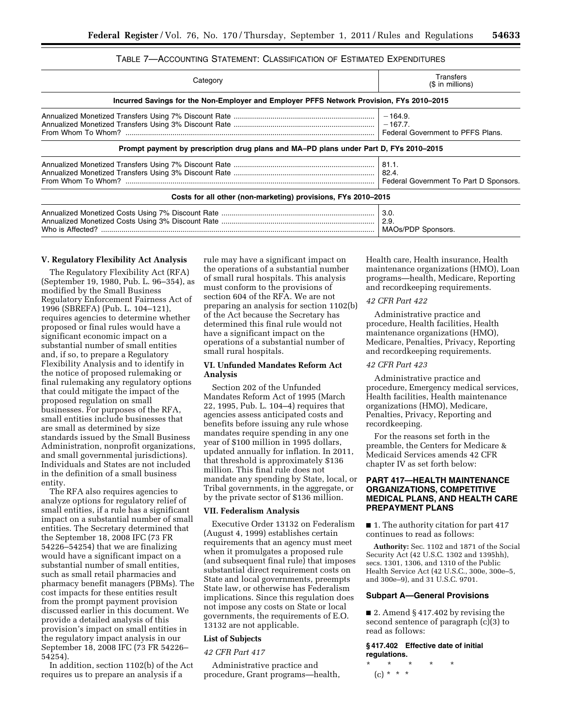# TABLE 7—ACCOUNTING STATEMENT: CLASSIFICATION OF ESTIMATED EXPENDITURES

| Category                                                                                 | Transfers<br>(\$ in millions)                               |  |  |  |  |  |  |  |
|------------------------------------------------------------------------------------------|-------------------------------------------------------------|--|--|--|--|--|--|--|
| Incurred Savings for the Non-Employer and Employer PFFS Network Provision, FYs 2010–2015 |                                                             |  |  |  |  |  |  |  |
|                                                                                          | $-164.9.$<br>$-167.7.$<br>Federal Government to PFFS Plans. |  |  |  |  |  |  |  |
| Prompt payment by prescription drug plans and MA-PD plans under Part D, FYs 2010–2015    |                                                             |  |  |  |  |  |  |  |
|                                                                                          | 81.1.<br>-82.4.<br>Federal Government To Part D Sponsors.   |  |  |  |  |  |  |  |
| Costs for all other (non-marketing) provisions, FYs 2010-2015                            |                                                             |  |  |  |  |  |  |  |
|                                                                                          | 3.0.<br>2.9.                                                |  |  |  |  |  |  |  |

#### **V. Regulatory Flexibility Act Analysis**

The Regulatory Flexibility Act (RFA) (September 19, 1980, Pub. L. 96–354), as modified by the Small Business Regulatory Enforcement Fairness Act of 1996 (SBREFA) (Pub. L. 104–121), requires agencies to determine whether proposed or final rules would have a significant economic impact on a substantial number of small entities and, if so, to prepare a Regulatory Flexibility Analysis and to identify in the notice of proposed rulemaking or final rulemaking any regulatory options that could mitigate the impact of the proposed regulation on small businesses. For purposes of the RFA, small entities include businesses that are small as determined by size standards issued by the Small Business Administration, nonprofit organizations, and small governmental jurisdictions). Individuals and States are not included in the definition of a small business entity.

The RFA also requires agencies to analyze options for regulatory relief of small entities, if a rule has a significant impact on a substantial number of small entities. The Secretary determined that the September 18, 2008 IFC (73 FR 54226–54254) that we are finalizing would have a significant impact on a substantial number of small entities, such as small retail pharmacies and pharmacy benefit managers (PBMs). The cost impacts for these entities result from the prompt payment provision discussed earlier in this document. We provide a detailed analysis of this provision's impact on small entities in the regulatory impact analysis in our September 18, 2008 IFC (73 FR 54226– 54254).

In addition, section 1102(b) of the Act requires us to prepare an analysis if a

rule may have a significant impact on the operations of a substantial number of small rural hospitals. This analysis must conform to the provisions of section 604 of the RFA. We are not preparing an analysis for section 1102(b) of the Act because the Secretary has determined this final rule would not have a significant impact on the operations of a substantial number of small rural hospitals.

Who is Affected? ...................................................................................................................................... MAOs/PDP Sponsors.

# **VI. Unfunded Mandates Reform Act Analysis**

Section 202 of the Unfunded Mandates Reform Act of 1995 (March 22, 1995, Pub. L. 104–4) requires that agencies assess anticipated costs and benefits before issuing any rule whose mandates require spending in any one year of \$100 million in 1995 dollars, updated annually for inflation. In 2011, that threshold is approximately \$136 million. This final rule does not mandate any spending by State, local, or Tribal governments, in the aggregate, or by the private sector of \$136 million.

#### **VII. Federalism Analysis**

Executive Order 13132 on Federalism (August 4, 1999) establishes certain requirements that an agency must meet when it promulgates a proposed rule (and subsequent final rule) that imposes substantial direct requirement costs on State and local governments, preempts State law, or otherwise has Federalism implications. Since this regulation does not impose any costs on State or local governments, the requirements of E.O. 13132 are not applicable.

#### **List of Subjects**

#### *42 CFR Part 417*

Administrative practice and procedure, Grant programs—health, Health care, Health insurance, Health maintenance organizations (HMO), Loan programs—health, Medicare, Reporting and recordkeeping requirements.

# *42 CFR Part 422*

Administrative practice and procedure, Health facilities, Health maintenance organizations (HMO), Medicare, Penalties, Privacy, Reporting and recordkeeping requirements.

#### *42 CFR Part 423*

Administrative practice and procedure, Emergency medical services, Health facilities, Health maintenance organizations (HMO), Medicare, Penalties, Privacy, Reporting and recordkeeping.

For the reasons set forth in the preamble, the Centers for Medicare & Medicaid Services amends 42 CFR chapter IV as set forth below:

# **PART 417—HEALTH MAINTENANCE ORGANIZATIONS, COMPETITIVE MEDICAL PLANS, AND HEALTH CARE PREPAYMENT PLANS**

■ 1. The authority citation for part 417 continues to read as follows:

**Authority:** Sec. 1102 and 1871 of the Social Security Act (42 U.S.C. 1302 and 1395hh), secs. 1301, 1306, and 1310 of the Public Health Service Act (42 U.S.C., 300e, 300e–5, and 300e–9), and 31 U.S.C. 9701.

#### **Subpart A—General Provisions**

■ 2. Amend § 417.402 by revising the second sentence of paragraph (c)(3) to read as follows:

# **§ 417.402 Effective date of initial regulations.**

\* \* \* \* \* (c) \* \* \*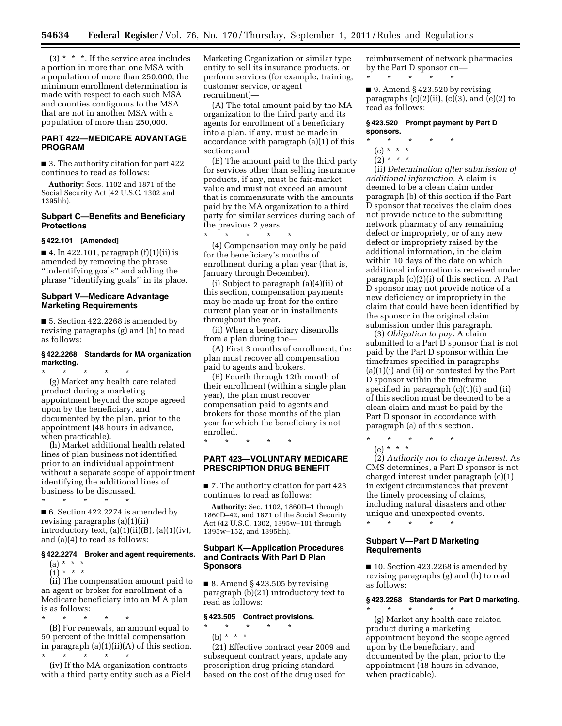$(3)$  \* \* \*. If the service area includes a portion in more than one MSA with a population of more than 250,000, the minimum enrollment determination is made with respect to each such MSA and counties contiguous to the MSA that are not in another MSA with a population of more than 250,000.

# **PART 422—MEDICARE ADVANTAGE PROGRAM**

■ 3. The authority citation for part 422 continues to read as follows:

**Authority:** Secs. 1102 and 1871 of the Social Security Act (42 U.S.C. 1302 and 1395hh).

# **Subpart C—Benefits and Beneficiary Protections**

#### **§ 422.101 [Amended]**

\* \* \* \* \*

\* \* \* \* \*

■ 4. In 422.101, paragraph (f)(1)(ii) is amended by removing the phrase ''indentifying goals'' and adding the phrase ''identifying goals'' in its place.

# **Subpart V—Medicare Advantage Marketing Requirements**

■ 5. Section 422.2268 is amended by revising paragraphs (g) and (h) to read as follows:

#### **§ 422.2268 Standards for MA organization marketing.**

(g) Market any health care related product during a marketing appointment beyond the scope agreed upon by the beneficiary, and documented by the plan, prior to the appointment (48 hours in advance, when practicable).

(h) Market additional health related lines of plan business not identified prior to an individual appointment without a separate scope of appointment identifying the additional lines of business to be discussed.

■ 6. Section 422.2274 is amended by revising paragraphs (a)(1)(ii) introductory text,  $(a)(1)(ii)(B)$ ,  $(a)(1)(iv)$ , and (a)(4) to read as follows:

#### **§ 422.2274 Broker and agent requirements.**

(a) \* \* \*  $(1) * * * *$ 

(ii) The compensation amount paid to an agent or broker for enrollment of a Medicare beneficiary into an M A plan is as follows:

\* \* \* \* \*

(B) For renewals, an amount equal to 50 percent of the initial compensation in paragraph (a)(1)(ii)(A) of this section. \* \* \* \* \*

(iv) If the MA organization contracts with a third party entity such as a Field Marketing Organization or similar type entity to sell its insurance products, or perform services (for example, training, customer service, or agent recruitment)—

(A) The total amount paid by the MA organization to the third party and its agents for enrollment of a beneficiary into a plan, if any, must be made in accordance with paragraph (a)(1) of this section; and

(B) The amount paid to the third party for services other than selling insurance products, if any, must be fair-market value and must not exceed an amount that is commensurate with the amounts paid by the MA organization to a third party for similar services during each of the previous 2 years.

\* \* \* \* \* (4) Compensation may only be paid for the beneficiary's months of enrollment during a plan year (that is, January through December).

(i) Subject to paragraph (a)(4)(ii) of this section, compensation payments may be made up front for the entire current plan year or in installments throughout the year.

(ii) When a beneficiary disenrolls from a plan during the—

(A) First 3 months of enrollment, the plan must recover all compensation paid to agents and brokers.

(B) Fourth through 12th month of their enrollment (within a single plan year), the plan must recover compensation paid to agents and brokers for those months of the plan year for which the beneficiary is not enrolled.

\* \* \* \* \*

#### **PART 423—VOLUNTARY MEDICARE PRESCRIPTION DRUG BENEFIT**

■ 7. The authority citation for part 423 continues to read as follows:

**Authority:** Sec. 1102, 1860D–1 through 1860D–42, and 1871 of the Social Security Act (42 U.S.C. 1302, 1395w–101 through 1395w–152, and 1395hh).

# **Subpart K—Application Procedures and Contracts With Part D Plan Sponsors**

 $\blacksquare$  8. Amend § 423.505 by revising paragraph (b)(21) introductory text to read as follows:

#### **§ 423.505 Contract provisions.**

\* \* \* \* \*

(b) \* \* \*

(21) Effective contract year 2009 and subsequent contract years, update any prescription drug pricing standard based on the cost of the drug used for

reimbursement of network pharmacies by the Part D sponsor on—

\* \* \* \* \*

 $\blacksquare$  9. Amend § 423.520 by revising paragraphs  $(c)(2)(ii)$ ,  $(c)(3)$ , and  $(e)(2)$  to read as follows:

#### **§ 423.520 Prompt payment by Part D sponsors.**

- \* \* \* \* \*
	- (c) \* \* \*
	- $(2) * * * *$

(ii) *Determination after submission of additional information.* A claim is deemed to be a clean claim under paragraph (b) of this section if the Part D sponsor that receives the claim does not provide notice to the submitting network pharmacy of any remaining defect or impropriety, or of any new defect or impropriety raised by the additional information, in the claim within 10 days of the date on which additional information is received under paragraph (c)(2)(i) of this section. A Part D sponsor may not provide notice of a new deficiency or impropriety in the claim that could have been identified by the sponsor in the original claim submission under this paragraph.

(3) *Obligation to pay.* A claim submitted to a Part D sponsor that is not paid by the Part D sponsor within the timeframes specified in paragraphs (a)(1)(i) and (ii) or contested by the Part D sponsor within the timeframe specified in paragraph  $(c)(1)(i)$  and  $(ii)$ of this section must be deemed to be a clean claim and must be paid by the Part D sponsor in accordance with paragraph (a) of this section.

\* \* \* \* \* (e) \* \* \*

(2) *Authority not to charge interest.* As CMS determines, a Part D sponsor is not charged interest under paragraph (e)(1) in exigent circumstances that prevent the timely processing of claims, including natural disasters and other unique and unexpected events. \* \* \* \* \*

# **Subpart V—Part D Marketing Requirements**

■ 10. Section 423.2268 is amended by revising paragraphs (g) and (h) to read as follows:

#### **§ 423.2268 Standards for Part D marketing.**

\* \* \* \* \* (g) Market any health care related product during a marketing appointment beyond the scope agreed upon by the beneficiary, and documented by the plan, prior to the appointment (48 hours in advance, when practicable).